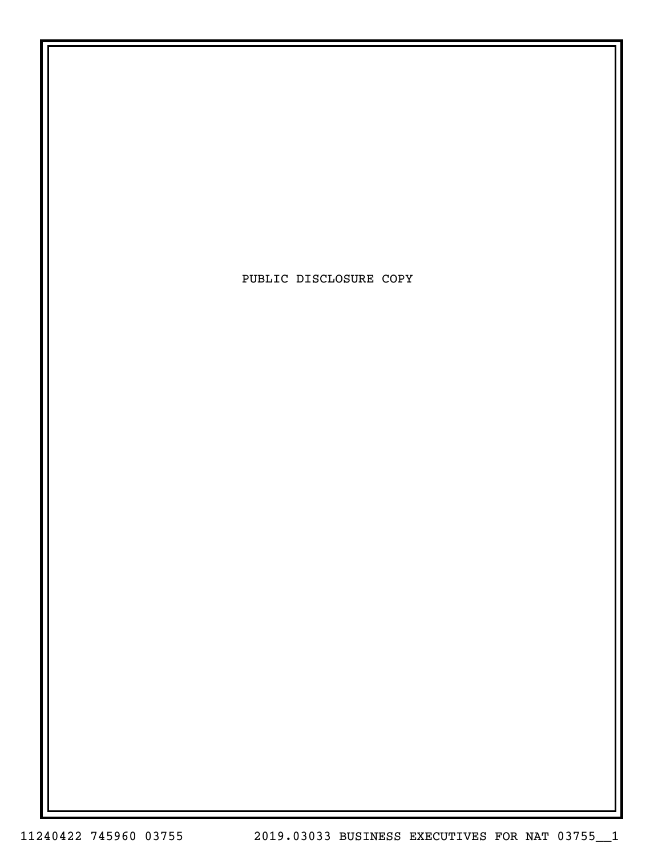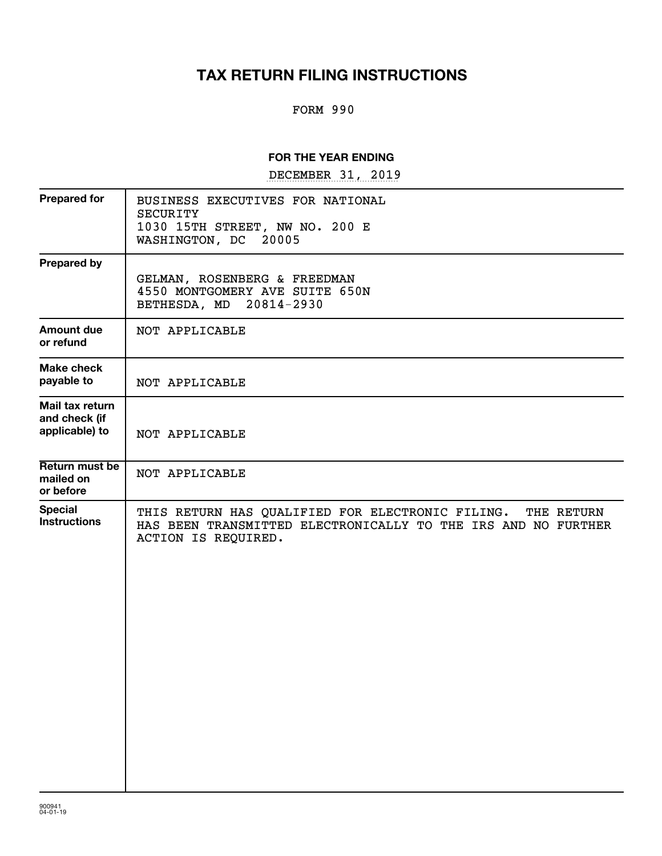# **TAX RETURN FILING INSTRUCTIONS**

## FORM 990

## **FOR THE YEAR ENDING**

DECEMBER 31, 2019

| <b>Prepared for</b>                                | BUSINESS EXECUTIVES FOR NATIONAL<br><b>SECURITY</b><br>1030 15TH STREET, NW NO. 200 E<br>WASHINGTON, DC 20005                                          |
|----------------------------------------------------|--------------------------------------------------------------------------------------------------------------------------------------------------------|
| <b>Prepared by</b>                                 | GELMAN, ROSENBERG & FREEDMAN<br>4550 MONTGOMERY AVE SUITE 650N<br>BETHESDA, MD 20814-2930                                                              |
| <b>Amount due</b><br>or refund                     | NOT APPLICABLE                                                                                                                                         |
| <b>Make check</b><br>payable to                    | NOT APPLICABLE                                                                                                                                         |
| Mail tax return<br>and check (if<br>applicable) to | NOT APPLICABLE                                                                                                                                         |
| Return must be<br>mailed on<br>or before           | NOT APPLICABLE                                                                                                                                         |
| <b>Special</b><br><b>Instructions</b>              | THIS RETURN HAS QUALIFIED FOR ELECTRONIC FILING.<br>THE RETURN<br>HAS BEEN TRANSMITTED ELECTRONICALLY TO THE IRS AND NO FURTHER<br>ACTION IS REQUIRED. |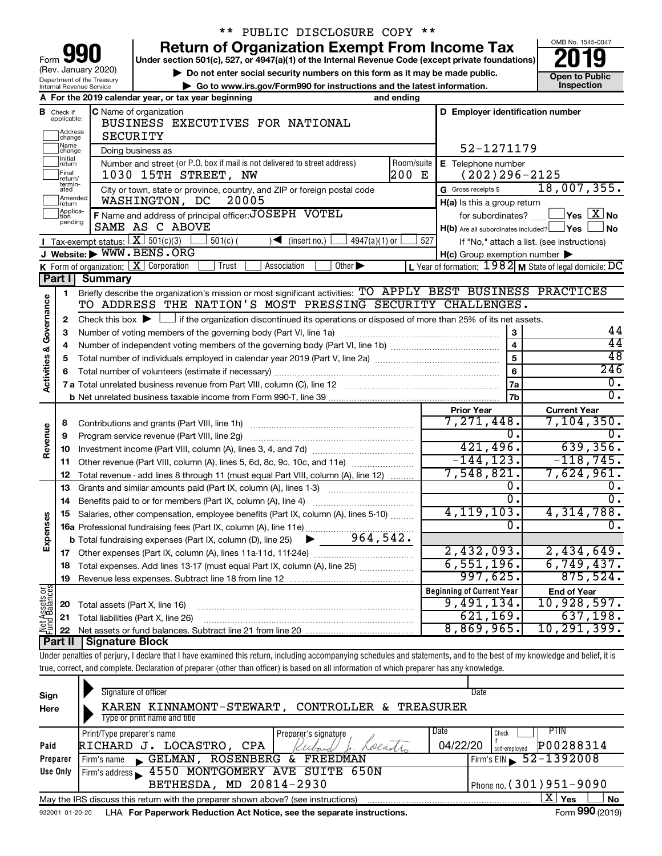| 990<br>Form                                            |
|--------------------------------------------------------|
| (Rev. January 2020)                                    |
| Department of the Treasury<br>Internal Revenue Service |

# \*\* PUBLIC DISCLOSURE COPY \*\*

**your Section 501(c), 527, or 4947(a)(1) of the Internal Revenue Code (except private foundations) 2019** 

▶ Do not enter social security numbers on this form as it may be made public. <br>
inspection and the latest information. **Dependent in the latest information** and the latest information. **| Go to www.irs.gov/Form990 for instructions and the latest information. Inspection**



| <b>C</b> Name of organization<br>D Employer identification number<br>Check if<br>applicable:<br>в<br>BUSINESS EXECUTIVES FOR NATIONAL<br>Address<br>]change<br><b>SECURITY</b><br> Name<br> change<br>52-1271179<br>Doing business as<br>Initial<br>Number and street (or P.O. box if mail is not delivered to street address)<br>Room/suite<br>E Telephone number<br>return<br> Final<br>200 E<br>1030 15TH STREET, NW<br>$(202)296 - 2125$<br>return/<br>termin-<br>G Gross receipts \$<br>City or town, state or province, country, and ZIP or foreign postal code<br>ated<br>Amended<br>WASHINGTON, DC<br>20005<br>$H(a)$ is this a group return<br>Ireturn<br>Applica-<br>F Name and address of principal officer: JOSEPH VOTEL<br>for subordinates?<br>pending |                                      |
|----------------------------------------------------------------------------------------------------------------------------------------------------------------------------------------------------------------------------------------------------------------------------------------------------------------------------------------------------------------------------------------------------------------------------------------------------------------------------------------------------------------------------------------------------------------------------------------------------------------------------------------------------------------------------------------------------------------------------------------------------------------------|--------------------------------------|
|                                                                                                                                                                                                                                                                                                                                                                                                                                                                                                                                                                                                                                                                                                                                                                      |                                      |
|                                                                                                                                                                                                                                                                                                                                                                                                                                                                                                                                                                                                                                                                                                                                                                      |                                      |
|                                                                                                                                                                                                                                                                                                                                                                                                                                                                                                                                                                                                                                                                                                                                                                      |                                      |
|                                                                                                                                                                                                                                                                                                                                                                                                                                                                                                                                                                                                                                                                                                                                                                      |                                      |
|                                                                                                                                                                                                                                                                                                                                                                                                                                                                                                                                                                                                                                                                                                                                                                      |                                      |
|                                                                                                                                                                                                                                                                                                                                                                                                                                                                                                                                                                                                                                                                                                                                                                      |                                      |
|                                                                                                                                                                                                                                                                                                                                                                                                                                                                                                                                                                                                                                                                                                                                                                      | 18,007,355.                          |
|                                                                                                                                                                                                                                                                                                                                                                                                                                                                                                                                                                                                                                                                                                                                                                      |                                      |
|                                                                                                                                                                                                                                                                                                                                                                                                                                                                                                                                                                                                                                                                                                                                                                      | $\Box$ Yes $\Box X$ No               |
| SAME AS C ABOVE<br>H(b) Are all subordinates included? Ves                                                                                                                                                                                                                                                                                                                                                                                                                                                                                                                                                                                                                                                                                                           | ⊿No                                  |
| Tax-exempt status: $X \ 501(c)(3)$<br>$\sqrt{\frac{1}{1}}$ (insert no.)<br>$4947(a)(1)$ or<br>$501(c)$ (<br>527<br>If "No," attach a list. (see instructions)                                                                                                                                                                                                                                                                                                                                                                                                                                                                                                                                                                                                        |                                      |
| J Website: WWW.BENS.ORG<br>$H(c)$ Group exemption number $\blacktriangleright$                                                                                                                                                                                                                                                                                                                                                                                                                                                                                                                                                                                                                                                                                       |                                      |
| <b>K</b> Form of organization: $\boxed{\mathbf{X}}$ Corporation<br>Other $\blacktriangleright$<br>L Year of formation: $1982$ M State of legal domicile: DC<br>Trust<br>Association                                                                                                                                                                                                                                                                                                                                                                                                                                                                                                                                                                                  |                                      |
| Part I<br>Summary                                                                                                                                                                                                                                                                                                                                                                                                                                                                                                                                                                                                                                                                                                                                                    |                                      |
| Briefly describe the organization's mission or most significant activities: TO APPLY BEST BUSINESS PRACTICES<br>1                                                                                                                                                                                                                                                                                                                                                                                                                                                                                                                                                                                                                                                    |                                      |
| Activities & Governance<br>TO ADDRESS THE NATION'S MOST PRESSING SECURITY CHALLENGES.                                                                                                                                                                                                                                                                                                                                                                                                                                                                                                                                                                                                                                                                                |                                      |
| if the organization discontinued its operations or disposed of more than 25% of its net assets.<br>Check this box $\blacktriangleright$ $\perp$<br>$\mathbf{2}$                                                                                                                                                                                                                                                                                                                                                                                                                                                                                                                                                                                                      |                                      |
| 3<br>Number of voting members of the governing body (Part VI, line 1a)<br>3                                                                                                                                                                                                                                                                                                                                                                                                                                                                                                                                                                                                                                                                                          | 44                                   |
| $\overline{\mathbf{A}}$                                                                                                                                                                                                                                                                                                                                                                                                                                                                                                                                                                                                                                                                                                                                              | 44                                   |
| 5<br>5                                                                                                                                                                                                                                                                                                                                                                                                                                                                                                                                                                                                                                                                                                                                                               | 48                                   |
| 6<br>6                                                                                                                                                                                                                                                                                                                                                                                                                                                                                                                                                                                                                                                                                                                                                               | 246                                  |
| 7a                                                                                                                                                                                                                                                                                                                                                                                                                                                                                                                                                                                                                                                                                                                                                                   | 0.                                   |
| 7 <sub>b</sub>                                                                                                                                                                                                                                                                                                                                                                                                                                                                                                                                                                                                                                                                                                                                                       | $\overline{0}$ .                     |
| <b>Current Year</b><br><b>Prior Year</b><br>7,271,448.                                                                                                                                                                                                                                                                                                                                                                                                                                                                                                                                                                                                                                                                                                               | $7,104,350$ .                        |
| Contributions and grants (Part VIII, line 1h)<br>8<br>Ō.                                                                                                                                                                                                                                                                                                                                                                                                                                                                                                                                                                                                                                                                                                             | $\overline{0}$ .                     |
| Revenue<br>Program service revenue (Part VIII, line 2g)<br>9<br>421,496.                                                                                                                                                                                                                                                                                                                                                                                                                                                                                                                                                                                                                                                                                             | 639,356.                             |
| 10<br>$-144, 123.$                                                                                                                                                                                                                                                                                                                                                                                                                                                                                                                                                                                                                                                                                                                                                   | $-118, 745.$                         |
| Other revenue (Part VIII, column (A), lines 5, 6d, 8c, 9c, 10c, and 11e)<br>11<br>7,548,821.                                                                                                                                                                                                                                                                                                                                                                                                                                                                                                                                                                                                                                                                         | 7,624,961.                           |
| Total revenue - add lines 8 through 11 (must equal Part VIII, column (A), line 12)<br>12 <sup>2</sup><br>0.                                                                                                                                                                                                                                                                                                                                                                                                                                                                                                                                                                                                                                                          |                                      |
| 13 Grants and similar amounts paid (Part IX, column (A), lines 1-3) <i>manoronominimining</i><br>$\overline{0}$ .                                                                                                                                                                                                                                                                                                                                                                                                                                                                                                                                                                                                                                                    | $\overline{0}$ .<br>$\overline{0}$ . |
| 14<br>4, 119, 103.                                                                                                                                                                                                                                                                                                                                                                                                                                                                                                                                                                                                                                                                                                                                                   | 4,314,788.                           |
| Salaries, other compensation, employee benefits (Part IX, column (A), lines 5-10)<br>15<br>Expenses<br>Ω.                                                                                                                                                                                                                                                                                                                                                                                                                                                                                                                                                                                                                                                            |                                      |
| 16a Professional fundraising fees (Part IX, column (A), line 11e)<br>964,542.                                                                                                                                                                                                                                                                                                                                                                                                                                                                                                                                                                                                                                                                                        |                                      |
| <b>b</b> Total fundraising expenses (Part IX, column (D), line 25)<br>▶<br>2,432,093.                                                                                                                                                                                                                                                                                                                                                                                                                                                                                                                                                                                                                                                                                | 2,434,649.                           |
| 6,551,196.                                                                                                                                                                                                                                                                                                                                                                                                                                                                                                                                                                                                                                                                                                                                                           | 6,749,437.                           |
| Total expenses. Add lines 13-17 (must equal Part IX, column (A), line 25) <i></i><br>18<br>997,625.                                                                                                                                                                                                                                                                                                                                                                                                                                                                                                                                                                                                                                                                  | 875,524.                             |
| 19<br><b>Beginning of Current Year</b>                                                                                                                                                                                                                                                                                                                                                                                                                                                                                                                                                                                                                                                                                                                               |                                      |
| Assets or<br>9,491,134.                                                                                                                                                                                                                                                                                                                                                                                                                                                                                                                                                                                                                                                                                                                                              | <b>End of Year</b><br>10,928,597.    |
| 20 Total assets (Part X, line 16)<br>621, 169.                                                                                                                                                                                                                                                                                                                                                                                                                                                                                                                                                                                                                                                                                                                       | 637,198.                             |
| 21 Total liabilities (Part X, line 26)<br><b>Net</b><br>8,869,965.                                                                                                                                                                                                                                                                                                                                                                                                                                                                                                                                                                                                                                                                                                   | 10,291,399.                          |
| <b>Part II   Signature Block</b>                                                                                                                                                                                                                                                                                                                                                                                                                                                                                                                                                                                                                                                                                                                                     |                                      |

Under penalties of perjury, I declare that I have examined this return, including accompanying schedules and statements, and to the best of my knowledge and belief, it is true, correct, and complete. Declaration of preparer (other than officer) is based on all information of which preparer has any knowledge.

| Sign<br>Here | Signature of officer<br>KAREN KINNAMONT-STEWART, CONTROLLER & TREASURER                                      | Date                                   |  |  |  |  |
|--------------|--------------------------------------------------------------------------------------------------------------|----------------------------------------|--|--|--|--|
|              | Type or print name and title                                                                                 |                                        |  |  |  |  |
|              | Date<br>Print/Type preparer's name<br>Preparer's signature                                                   | PIIN<br>Check                          |  |  |  |  |
| Paid         | Locatri<br>LOCASTRO,<br>CPA<br>RICHARD J.<br>Keebard                                                         | P00288314<br>04/22/20<br>self-emploved |  |  |  |  |
| Preparer     | <b>FREEDMAN</b><br>ROSENBERG<br>GELMAN,<br>&.<br>Firm's name<br>$\mathbf{L}$                                 | Firm's EIN $\, 52 - 1392008$           |  |  |  |  |
| Use Only     | Firm's address 1550 MONTGOMERY AVE SUITE 650N                                                                |                                        |  |  |  |  |
|              | BETHESDA, MD 20814-2930                                                                                      | Phone no. $(301)951 - 9090$            |  |  |  |  |
|              | ΧI<br><b>No</b><br>Yes<br>May the IRS discuss this return with the preparer shown above? (see instructions)  |                                        |  |  |  |  |
|              | Form 990 (2019)<br>LHA For Paperwork Reduction Act Notice, see the separate instructions.<br>932001 01-20-20 |                                        |  |  |  |  |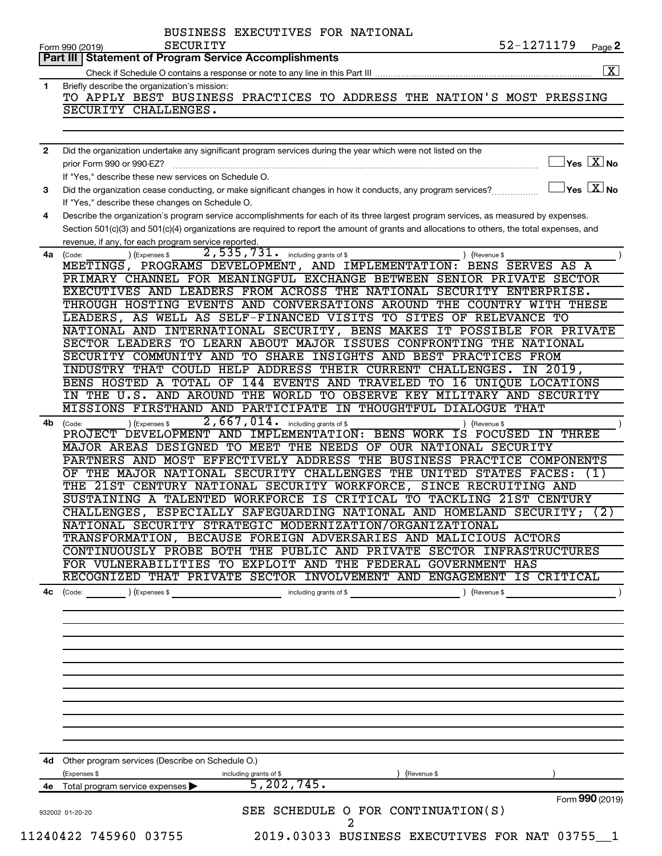|              | 52-1271179<br><b>SECURITY</b><br>Page 2<br>Form 990 (2019)                                                                                                                                                                                                                           |
|--------------|--------------------------------------------------------------------------------------------------------------------------------------------------------------------------------------------------------------------------------------------------------------------------------------|
|              | <b>Part III   Statement of Program Service Accomplishments</b><br>$\overline{\mathbf{x}}$                                                                                                                                                                                            |
|              |                                                                                                                                                                                                                                                                                      |
| 1            | Briefly describe the organization's mission:                                                                                                                                                                                                                                         |
|              | TO APPLY BEST BUSINESS PRACTICES TO ADDRESS THE NATION'S MOST PRESSING                                                                                                                                                                                                               |
|              | SECURITY CHALLENGES.                                                                                                                                                                                                                                                                 |
| $\mathbf{2}$ | Did the organization undertake any significant program services during the year which were not listed on the                                                                                                                                                                         |
|              | $ {\mathsf Y}{\mathsf e}{\mathsf s} \ \overline{{\mathsf X}}$ No<br>prior Form 990 or 990-EZ?<br>If "Yes," describe these new services on Schedule O.                                                                                                                                |
| 3            | $\sqrt{}$ Yes $\sqrt{ \ \ }$ No<br>Did the organization cease conducting, or make significant changes in how it conducts, any program services?<br>If "Yes," describe these changes on Schedule O.                                                                                   |
| 4            | Describe the organization's program service accomplishments for each of its three largest program services, as measured by expenses.<br>Section 501(c)(3) and 501(c)(4) organizations are required to report the amount of grants and allocations to others, the total expenses, and |
|              | revenue, if any, for each program service reported.<br>2,535,731.<br>including grants of \$<br>4a (Code:<br>(Expenses \$<br>) (Revenue \$                                                                                                                                            |
|              | MEETINGS, PROGRAMS DEVELOPMENT, AND IMPLEMENTATION: BENS SERVES AS A<br>PRIMARY CHANNEL FOR MEANINGFUL EXCHANGE BETWEEN SENIOR PRIVATE SECTOR                                                                                                                                        |
|              | EXECUTIVES AND LEADERS FROM ACROSS THE NATIONAL SECURITY ENTERPRISE.                                                                                                                                                                                                                 |
|              | THROUGH HOSTING EVENTS AND CONVERSATIONS AROUND THE COUNTRY WITH THESE                                                                                                                                                                                                               |
|              | LEADERS, AS WELL AS SELF-FINANCED VISITS TO SITES OF RELEVANCE TO                                                                                                                                                                                                                    |
|              | NATIONAL AND INTERNATIONAL SECURITY, BENS MAKES IT POSSIBLE FOR PRIVATE                                                                                                                                                                                                              |
|              | SECTOR LEADERS TO LEARN ABOUT MAJOR ISSUES CONFRONTING THE NATIONAL                                                                                                                                                                                                                  |
|              | SECURITY COMMUNITY AND TO SHARE INSIGHTS AND BEST PRACTICES FROM                                                                                                                                                                                                                     |
|              | INDUSTRY THAT COULD HELP ADDRESS THEIR CURRENT CHALLENGES. IN 2019,                                                                                                                                                                                                                  |
|              | BENS HOSTED A TOTAL OF 144 EVENTS AND TRAVELED TO 16 UNIQUE LOCATIONS                                                                                                                                                                                                                |
|              | IN THE U.S. AND AROUND THE WORLD TO OBSERVE KEY MILITARY AND SECURITY                                                                                                                                                                                                                |
|              | MISSIONS FIRSTHAND AND PARTICIPATE IN THOUGHTFUL DIALOGUE THAT                                                                                                                                                                                                                       |
|              | 2,667,014.                                                                                                                                                                                                                                                                           |
| 4b.          | including grants of \$<br>(Expenses \$<br>(Code:<br>Revenue \$<br>PROJECT DEVELOPMENT AND IMPLEMENTATION: BENS WORK IS<br><b>THREE</b><br>FOCUSED IN                                                                                                                                 |
|              | MAJOR AREAS DESIGNED TO MEET THE NEEDS OF OUR NATIONAL SECURITY                                                                                                                                                                                                                      |
|              | PARTNERS AND MOST EFFECTIVELY ADDRESS THE BUSINESS PRACTICE<br><b>COMPONENTS</b>                                                                                                                                                                                                     |
|              | THE MAJOR NATIONAL SECURITY CHALLENGES<br>THE UNITED STATES<br><b>FACES:</b><br>OF<br>(1)                                                                                                                                                                                            |
|              | THE 21ST CENTURY NATIONAL SECURITY WORKFORCE, SINCE RECRUITING AND                                                                                                                                                                                                                   |
|              | SUSTAINING A TALENTED WORKFORCE IS CRITICAL TO TACKLING 21ST CENTURY                                                                                                                                                                                                                 |
|              | CHALLENGES, ESPECIALLY SAFEGUARDING NATIONAL AND HOMELAND SECURITY; (2)                                                                                                                                                                                                              |
|              | NATIONAL SECURITY STRATEGIC MODERNIZATION/ORGANIZATIONAL                                                                                                                                                                                                                             |
|              | TRANSFORMATION, BECAUSE FOREIGN ADVERSARIES AND MALICIOUS ACTORS                                                                                                                                                                                                                     |
|              | CONTINUOUSLY PROBE BOTH THE PUBLIC AND PRIVATE SECTOR INFRASTRUCTURES                                                                                                                                                                                                                |
|              | FOR VULNERABILITIES TO EXPLOIT AND THE FEDERAL GOVERNMENT HAS                                                                                                                                                                                                                        |
|              | RECOGNIZED THAT PRIVATE SECTOR INVOLVEMENT AND ENGAGEMENT IS CRITICAL                                                                                                                                                                                                                |
| 4с           | ) (Revenue \$<br>(Code:<br>(Expenses \$<br>including grants of \$                                                                                                                                                                                                                    |
|              |                                                                                                                                                                                                                                                                                      |
|              |                                                                                                                                                                                                                                                                                      |
|              |                                                                                                                                                                                                                                                                                      |
|              |                                                                                                                                                                                                                                                                                      |
|              |                                                                                                                                                                                                                                                                                      |
|              |                                                                                                                                                                                                                                                                                      |
|              | 4d Other program services (Describe on Schedule O.)                                                                                                                                                                                                                                  |
|              | (Expenses \$<br>(Revenue \$<br>including grants of \$                                                                                                                                                                                                                                |
| 4е           | 5, 202, 745.<br>Total program service expenses                                                                                                                                                                                                                                       |
|              | Form 990 (2019)<br>SEE SCHEDULE O FOR CONTINUATION(S)<br>932002 01-20-20                                                                                                                                                                                                             |
|              | 2                                                                                                                                                                                                                                                                                    |
|              | 11240422 745960 03755<br>2019.03033 BUSINESS EXECUTIVES FOR NAT 03755 1                                                                                                                                                                                                              |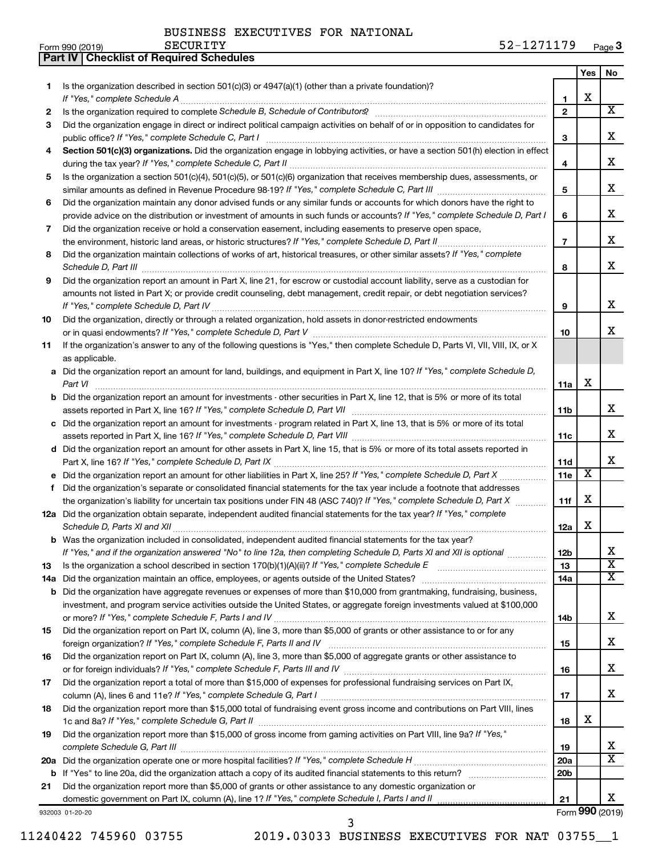**Part IV Checklist of Required Schedules**

|    |                                                                                                                                                                                                                                                                |                   | Yes | No.                     |
|----|----------------------------------------------------------------------------------------------------------------------------------------------------------------------------------------------------------------------------------------------------------------|-------------------|-----|-------------------------|
| 1. | Is the organization described in section $501(c)(3)$ or $4947(a)(1)$ (other than a private foundation)?                                                                                                                                                        |                   |     |                         |
|    | If "Yes," complete Schedule A                                                                                                                                                                                                                                  | 1                 | х   |                         |
| 2  |                                                                                                                                                                                                                                                                | $\mathbf{2}$      |     | $\overline{\mathbf{X}}$ |
| 3  | Did the organization engage in direct or indirect political campaign activities on behalf of or in opposition to candidates for                                                                                                                                |                   |     | x                       |
|    | public office? If "Yes," complete Schedule C, Part I                                                                                                                                                                                                           | 3                 |     |                         |
| 4  | Section 501(c)(3) organizations. Did the organization engage in lobbying activities, or have a section 501(h) election in effect                                                                                                                               | 4                 |     | х                       |
| 5  | Is the organization a section 501(c)(4), 501(c)(5), or 501(c)(6) organization that receives membership dues, assessments, or                                                                                                                                   |                   |     |                         |
|    |                                                                                                                                                                                                                                                                | 5                 |     | х                       |
| 6  | Did the organization maintain any donor advised funds or any similar funds or accounts for which donors have the right to                                                                                                                                      |                   |     |                         |
|    | provide advice on the distribution or investment of amounts in such funds or accounts? If "Yes," complete Schedule D, Part I                                                                                                                                   | 6                 |     | х                       |
| 7  | Did the organization receive or hold a conservation easement, including easements to preserve open space,                                                                                                                                                      |                   |     |                         |
|    | the environment, historic land areas, or historic structures? If "Yes," complete Schedule D, Part II                                                                                                                                                           | $\overline{7}$    |     | х                       |
| 8  | Did the organization maintain collections of works of art, historical treasures, or other similar assets? If "Yes," complete                                                                                                                                   |                   |     |                         |
|    | Schedule D, Part III                                                                                                                                                                                                                                           | 8                 |     | x                       |
| 9  | Did the organization report an amount in Part X, line 21, for escrow or custodial account liability, serve as a custodian for                                                                                                                                  |                   |     |                         |
|    | amounts not listed in Part X; or provide credit counseling, debt management, credit repair, or debt negotiation services?                                                                                                                                      |                   |     | х                       |
|    |                                                                                                                                                                                                                                                                | 9                 |     |                         |
| 10 | Did the organization, directly or through a related organization, hold assets in donor-restricted endowments                                                                                                                                                   | 10                |     | x                       |
| 11 | If the organization's answer to any of the following questions is "Yes," then complete Schedule D, Parts VI, VII, VIII, IX, or X                                                                                                                               |                   |     |                         |
|    | as applicable.                                                                                                                                                                                                                                                 |                   |     |                         |
|    | a Did the organization report an amount for land, buildings, and equipment in Part X, line 10? If "Yes," complete Schedule D,                                                                                                                                  |                   |     |                         |
|    | Part VI                                                                                                                                                                                                                                                        | 11a               | х   |                         |
|    | <b>b</b> Did the organization report an amount for investments - other securities in Part X, line 12, that is 5% or more of its total                                                                                                                          |                   |     |                         |
|    |                                                                                                                                                                                                                                                                | 11b               |     | х                       |
|    | c Did the organization report an amount for investments - program related in Part X, line 13, that is 5% or more of its total                                                                                                                                  |                   |     |                         |
|    |                                                                                                                                                                                                                                                                | 11c               |     | х                       |
|    | d Did the organization report an amount for other assets in Part X, line 15, that is 5% or more of its total assets reported in                                                                                                                                |                   |     | x                       |
|    | e Did the organization report an amount for other liabilities in Part X, line 25? If "Yes," complete Schedule D, Part X                                                                                                                                        | 11d<br><b>11e</b> | X   |                         |
| f  | Did the organization's separate or consolidated financial statements for the tax year include a footnote that addresses                                                                                                                                        |                   |     |                         |
|    | the organization's liability for uncertain tax positions under FIN 48 (ASC 740)? If "Yes," complete Schedule D, Part X                                                                                                                                         | 11f               | х   |                         |
|    | 12a Did the organization obtain separate, independent audited financial statements for the tax year? If "Yes," complete                                                                                                                                        |                   |     |                         |
|    | Schedule D, Parts XI and XII                                                                                                                                                                                                                                   | 12a               | х   |                         |
|    | b Was the organization included in consolidated, independent audited financial statements for the tax year?                                                                                                                                                    |                   |     |                         |
|    | If "Yes," and if the organization answered "No" to line 12a, then completing Schedule D, Parts XI and XII is optional                                                                                                                                          | 12 <sub>b</sub>   |     |                         |
| 13 |                                                                                                                                                                                                                                                                | 13                |     | $\overline{\textbf{x}}$ |
|    | 14a Did the organization maintain an office, employees, or agents outside of the United States?                                                                                                                                                                | 14a               |     | X                       |
|    | <b>b</b> Did the organization have aggregate revenues or expenses of more than \$10,000 from grantmaking, fundraising, business,<br>investment, and program service activities outside the United States, or aggregate foreign investments valued at \$100,000 |                   |     |                         |
|    |                                                                                                                                                                                                                                                                | 14b               |     | X.                      |
| 15 | Did the organization report on Part IX, column (A), line 3, more than \$5,000 of grants or other assistance to or for any                                                                                                                                      |                   |     |                         |
|    |                                                                                                                                                                                                                                                                | 15                |     | х                       |
| 16 | Did the organization report on Part IX, column (A), line 3, more than \$5,000 of aggregate grants or other assistance to                                                                                                                                       |                   |     |                         |
|    |                                                                                                                                                                                                                                                                | 16                |     | x                       |
| 17 | Did the organization report a total of more than \$15,000 of expenses for professional fundraising services on Part IX,                                                                                                                                        |                   |     |                         |
|    |                                                                                                                                                                                                                                                                | 17                |     | X.                      |
| 18 | Did the organization report more than \$15,000 total of fundraising event gross income and contributions on Part VIII, lines                                                                                                                                   |                   | х   |                         |
| 19 | Did the organization report more than \$15,000 of gross income from gaming activities on Part VIII, line 9a? If "Yes,"                                                                                                                                         | 18                |     |                         |
|    |                                                                                                                                                                                                                                                                | 19                |     | X                       |
|    |                                                                                                                                                                                                                                                                | 20a               |     | $\overline{\mathbf{X}}$ |
|    |                                                                                                                                                                                                                                                                | 20b               |     |                         |
| 21 | Did the organization report more than \$5,000 of grants or other assistance to any domestic organization or                                                                                                                                                    |                   |     |                         |
|    |                                                                                                                                                                                                                                                                | 21                |     | X                       |
|    | 932003 01-20-20                                                                                                                                                                                                                                                |                   |     | Form 990 (2019)         |

932003 01-20-20

11240422 745960 03755 2019.03033 BUSINESS EXECUTIVES FOR NAT 03755\_\_1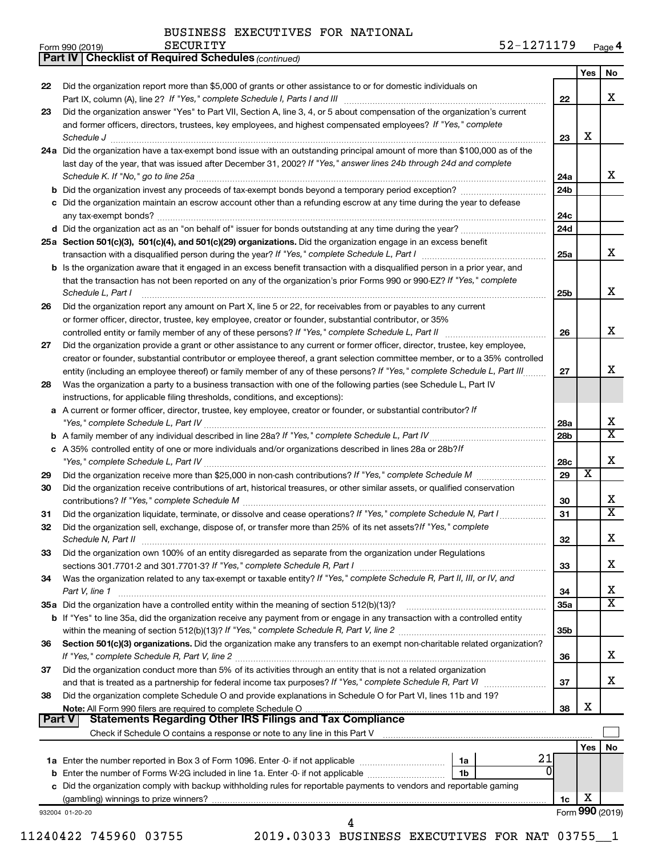*(continued)* **Part IV Checklist of Required Schedules**

|               |                                                                                                                              |                 | Yes                     | No              |
|---------------|------------------------------------------------------------------------------------------------------------------------------|-----------------|-------------------------|-----------------|
| 22            | Did the organization report more than \$5,000 of grants or other assistance to or for domestic individuals on                |                 |                         |                 |
|               | Part IX, column (A), line 2? If "Yes," complete Schedule I, Parts I and III                                                  | 22              |                         | х               |
| 23            | Did the organization answer "Yes" to Part VII, Section A, line 3, 4, or 5 about compensation of the organization's current   |                 |                         |                 |
|               | and former officers, directors, trustees, key employees, and highest compensated employees? If "Yes," complete               |                 |                         |                 |
|               | Schedule J <b>Execute Schedule J Execute Schedule J</b>                                                                      | 23              | х                       |                 |
|               | 24a Did the organization have a tax-exempt bond issue with an outstanding principal amount of more than \$100,000 as of the  |                 |                         |                 |
|               | last day of the year, that was issued after December 31, 2002? If "Yes," answer lines 24b through 24d and complete           |                 |                         |                 |
|               | Schedule K. If "No," go to line 25a                                                                                          | 24a             |                         | x               |
|               |                                                                                                                              | 24 <sub>b</sub> |                         |                 |
|               | Did the organization maintain an escrow account other than a refunding escrow at any time during the year to defease         |                 |                         |                 |
|               | any tax-exempt bonds?                                                                                                        | 24c             |                         |                 |
|               |                                                                                                                              | 24d             |                         |                 |
|               | 25a Section 501(c)(3), 501(c)(4), and 501(c)(29) organizations. Did the organization engage in an excess benefit             |                 |                         |                 |
|               |                                                                                                                              | 25a             |                         | x               |
|               | b Is the organization aware that it engaged in an excess benefit transaction with a disqualified person in a prior year, and |                 |                         |                 |
|               | that the transaction has not been reported on any of the organization's prior Forms 990 or 990-EZ? If "Yes," complete        |                 |                         |                 |
|               | Schedule L, Part I                                                                                                           | 25b             |                         | x               |
| 26            | Did the organization report any amount on Part X, line 5 or 22, for receivables from or payables to any current              |                 |                         |                 |
|               | or former officer, director, trustee, key employee, creator or founder, substantial contributor, or 35%                      |                 |                         |                 |
|               | controlled entity or family member of any of these persons? If "Yes," complete Schedule L, Part II                           | 26              |                         | x               |
| 27            | Did the organization provide a grant or other assistance to any current or former officer, director, trustee, key employee,  |                 |                         |                 |
|               | creator or founder, substantial contributor or employee thereof, a grant selection committee member, or to a 35% controlled  |                 |                         |                 |
|               | entity (including an employee thereof) or family member of any of these persons? If "Yes," complete Schedule L, Part III     | 27              |                         | x               |
| 28            | Was the organization a party to a business transaction with one of the following parties (see Schedule L, Part IV            |                 |                         |                 |
|               | instructions, for applicable filing thresholds, conditions, and exceptions):                                                 |                 |                         |                 |
| а             | A current or former officer, director, trustee, key employee, creator or founder, or substantial contributor? If             |                 |                         |                 |
|               |                                                                                                                              | 28a             |                         | х<br>X          |
|               |                                                                                                                              | 28 <sub>b</sub> |                         |                 |
|               | c A 35% controlled entity of one or more individuals and/or organizations described in lines 28a or 28b?If                   |                 |                         | x               |
|               |                                                                                                                              | 28c<br>29       | $\overline{\textbf{x}}$ |                 |
| 29            |                                                                                                                              |                 |                         |                 |
| 30            | Did the organization receive contributions of art, historical treasures, or other similar assets, or qualified conservation  |                 |                         | х               |
| 31            | Did the organization liquidate, terminate, or dissolve and cease operations? If "Yes," complete Schedule N, Part I           | 30<br>31        |                         | X               |
| 32            | Did the organization sell, exchange, dispose of, or transfer more than 25% of its net assets? If "Yes," complete             |                 |                         |                 |
|               | Schedule N, Part II                                                                                                          | 32              |                         | х               |
| 33            | Did the organization own 100% of an entity disregarded as separate from the organization under Regulations                   |                 |                         |                 |
|               | sections 301.7701-2 and 301.7701-3? If "Yes," complete Schedule R, Part I                                                    | 33              |                         | х               |
| 34            | Was the organization related to any tax-exempt or taxable entity? If "Yes," complete Schedule R, Part II, III, or IV, and    |                 |                         |                 |
|               | Part V, line 1                                                                                                               | 34              |                         | х               |
|               | 35a Did the organization have a controlled entity within the meaning of section 512(b)(13)?                                  | 35a             |                         | x               |
|               | b If "Yes" to line 35a, did the organization receive any payment from or engage in any transaction with a controlled entity  |                 |                         |                 |
|               |                                                                                                                              | 35 <sub>b</sub> |                         |                 |
| 36            | Section 501(c)(3) organizations. Did the organization make any transfers to an exempt non-charitable related organization?   |                 |                         |                 |
|               |                                                                                                                              | 36              |                         | х               |
| 37            | Did the organization conduct more than 5% of its activities through an entity that is not a related organization             |                 |                         |                 |
|               |                                                                                                                              | 37              |                         | x.              |
| 38            | Did the organization complete Schedule O and provide explanations in Schedule O for Part VI, lines 11b and 19?               |                 |                         |                 |
|               |                                                                                                                              | 38              | х                       |                 |
| <b>Part V</b> | <b>Statements Regarding Other IRS Filings and Tax Compliance</b>                                                             |                 |                         |                 |
|               |                                                                                                                              |                 |                         |                 |
|               |                                                                                                                              |                 | <b>Yes</b>              | No              |
|               | 21<br>1a Enter the number reported in Box 3 of Form 1096. Enter -0- if not applicable<br>1a                                  |                 |                         |                 |
|               | 1b                                                                                                                           |                 |                         |                 |
|               | c Did the organization comply with backup withholding rules for reportable payments to vendors and reportable gaming         |                 |                         |                 |
|               |                                                                                                                              | 1c              | х                       |                 |
|               | 932004 01-20-20                                                                                                              |                 |                         | Form 990 (2019) |
|               | 4                                                                                                                            |                 |                         |                 |

11240422 745960 03755 2019.03033 BUSINESS EXECUTIVES FOR NAT 03755\_\_1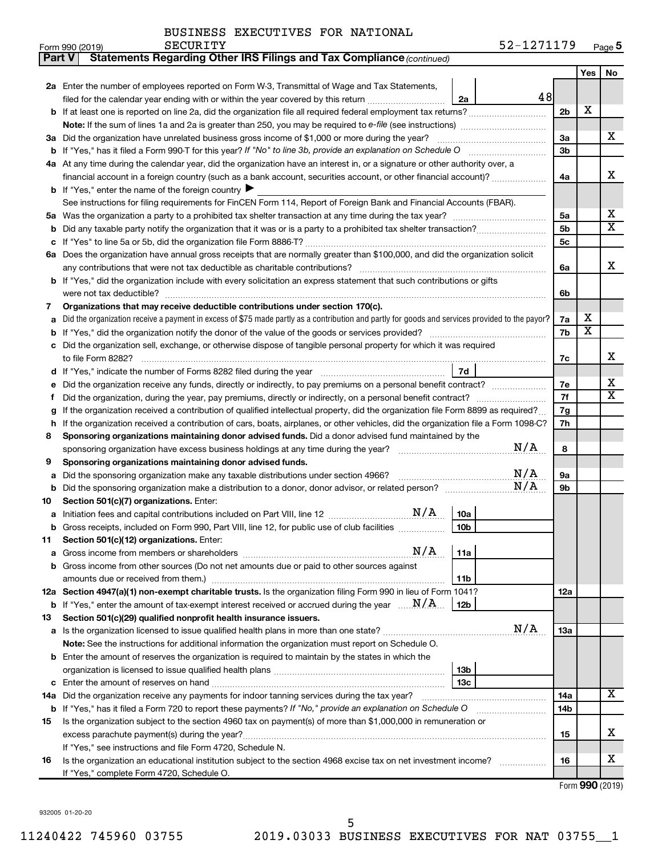|  | BUSINESS EXECUTIVES FOR NATIONAL |  |  |
|--|----------------------------------|--|--|
|--|----------------------------------|--|--|

| Part V | <b>Statements Regarding Other IRS Filings and Tax Compliance (continued)</b>                                                                    |                |                              |                         |
|--------|-------------------------------------------------------------------------------------------------------------------------------------------------|----------------|------------------------------|-------------------------|
|        |                                                                                                                                                 |                | Yes                          | No                      |
|        | 2a Enter the number of employees reported on Form W-3, Transmittal of Wage and Tax Statements,                                                  |                |                              |                         |
|        | 48<br>filed for the calendar year ending with or within the year covered by this return <i>[[[[[[[[[[[[[[]]]</i> ]]<br>2a                       |                |                              |                         |
|        | b If at least one is reported on line 2a, did the organization file all required federal employment tax returns?                                | 2 <sub>b</sub> | х                            |                         |
|        |                                                                                                                                                 |                |                              |                         |
|        | 3a Did the organization have unrelated business gross income of \$1,000 or more during the year?                                                | 3a             |                              | х                       |
|        |                                                                                                                                                 | 3b             |                              |                         |
|        | 4a At any time during the calendar year, did the organization have an interest in, or a signature or other authority over, a                    |                |                              |                         |
|        | financial account in a foreign country (such as a bank account, securities account, or other financial account)?                                | 4a             |                              | x                       |
|        | <b>b</b> If "Yes," enter the name of the foreign country $\blacktriangleright$                                                                  |                |                              |                         |
|        | See instructions for filing requirements for FinCEN Form 114, Report of Foreign Bank and Financial Accounts (FBAR).                             |                |                              |                         |
| 5а     |                                                                                                                                                 | 5a             |                              | х                       |
| b      |                                                                                                                                                 | 5b             |                              | $\overline{\mathbf{X}}$ |
|        |                                                                                                                                                 | 5c             |                              |                         |
|        | 6a Does the organization have annual gross receipts that are normally greater than \$100,000, and did the organization solicit                  |                |                              |                         |
|        |                                                                                                                                                 | 6a             |                              | х                       |
|        | <b>b</b> If "Yes," did the organization include with every solicitation an express statement that such contributions or gifts                   |                |                              |                         |
|        | were not tax deductible?                                                                                                                        | 6b             |                              |                         |
| 7      | Organizations that may receive deductible contributions under section 170(c).                                                                   |                |                              |                         |
| a      | Did the organization receive a payment in excess of \$75 made partly as a contribution and partly for goods and services provided to the payor? | 7a             | х<br>$\overline{\textbf{x}}$ |                         |
| b      |                                                                                                                                                 | 7b             |                              |                         |
|        | Did the organization sell, exchange, or otherwise dispose of tangible personal property for which it was required                               |                |                              | х                       |
|        | to file Form 8282?<br>7d                                                                                                                        | 7c             |                              |                         |
|        | Did the organization receive any funds, directly or indirectly, to pay premiums on a personal benefit contract?                                 | 7е             |                              | х                       |
| f      |                                                                                                                                                 | 7f             |                              | X                       |
| g      | If the organization received a contribution of qualified intellectual property, did the organization file Form 8899 as required?                | 7g             |                              |                         |
| h      | If the organization received a contribution of cars, boats, airplanes, or other vehicles, did the organization file a Form 1098-C?              | 7h             |                              |                         |
| 8      | Sponsoring organizations maintaining donor advised funds. Did a donor advised fund maintained by the                                            |                |                              |                         |
|        | N/A                                                                                                                                             | 8              |                              |                         |
| 9      | Sponsoring organizations maintaining donor advised funds.                                                                                       |                |                              |                         |
| а      | N/A<br>Did the sponsoring organization make any taxable distributions under section 4966?                                                       | 9а             |                              |                         |
| b      | N/A                                                                                                                                             | 9b             |                              |                         |
| 10     | Section 501(c)(7) organizations. Enter:                                                                                                         |                |                              |                         |
|        | <b>10a</b>                                                                                                                                      |                |                              |                         |
|        | 10 <sub>b</sub><br>b Gross receipts, included on Form 990, Part VIII, line 12, for public use of club facilities                                |                |                              |                         |
| 11     | Section 501(c)(12) organizations. Enter:                                                                                                        |                |                              |                         |
|        | N/A<br>11a                                                                                                                                      |                |                              |                         |
|        | b Gross income from other sources (Do not net amounts due or paid to other sources against                                                      |                |                              |                         |
|        | 11b<br>amounts due or received from them.)                                                                                                      |                |                              |                         |
|        | 12a Section 4947(a)(1) non-exempt charitable trusts. Is the organization filing Form 990 in lieu of Form 1041?                                  | 12a            |                              |                         |
|        | <b>b</b> If "Yes," enter the amount of tax-exempt interest received or accrued during the year $\ldots$ $N/A$ .<br>12b                          |                |                              |                         |
| 13     | Section 501(c)(29) qualified nonprofit health insurance issuers.                                                                                |                |                              |                         |
|        | N/A<br>a Is the organization licensed to issue qualified health plans in more than one state?                                                   | 13a            |                              |                         |
|        | Note: See the instructions for additional information the organization must report on Schedule O.                                               |                |                              |                         |
|        | <b>b</b> Enter the amount of reserves the organization is required to maintain by the states in which the                                       |                |                              |                         |
|        | 13b                                                                                                                                             |                |                              |                         |
|        | 13c<br>14a Did the organization receive any payments for indoor tanning services during the tax year?                                           | 14a            |                              | x                       |
|        | <b>b</b> If "Yes," has it filed a Form 720 to report these payments? If "No," provide an explanation on Schedule O                              | 14b            |                              |                         |
| 15     | Is the organization subject to the section 4960 tax on payment(s) of more than \$1,000,000 in remuneration or                                   |                |                              |                         |
|        |                                                                                                                                                 | 15             |                              | х                       |
|        | If "Yes," see instructions and file Form 4720, Schedule N.                                                                                      |                |                              |                         |
| 16     | Is the organization an educational institution subject to the section 4968 excise tax on net investment income?                                 | 16             |                              | x                       |
|        | If "Yes," complete Form 4720, Schedule O.                                                                                                       |                |                              |                         |

Form (2019) **990**

932005 01-20-20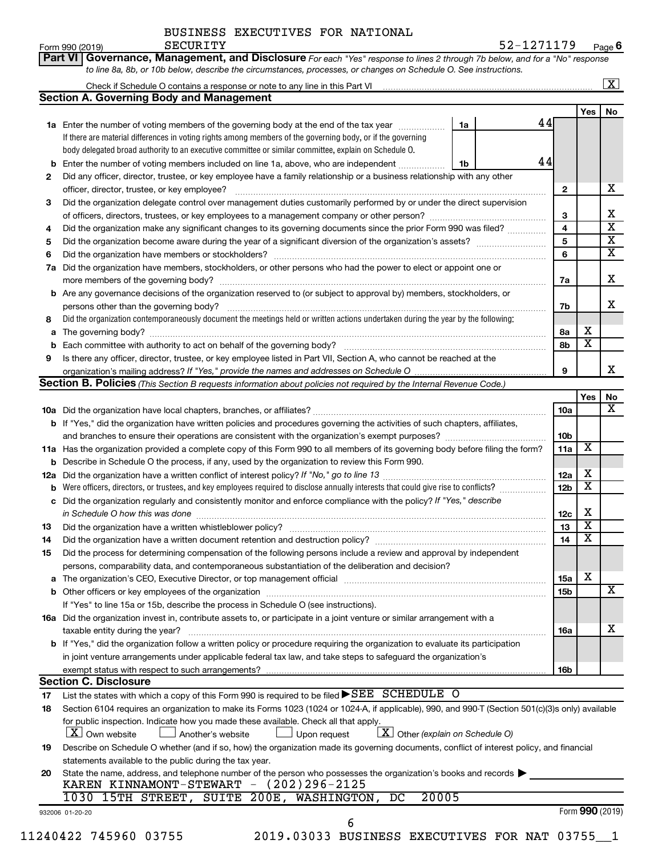| Form 990 (2019) | SECURITY | 52-1271179                                                                                                                         | Pag |
|-----------------|----------|------------------------------------------------------------------------------------------------------------------------------------|-----|
|                 |          | <b>Part VI Governance, Management, and Disclosure</b> For each "Yes" response to lines 2 through 7b below, and for a "No" response |     |
|                 |          | to line 8a, 8b, or 10b below, describe the circumstances, processes, or changes on Schedule O. See instructions.                   |     |

|     |                                                                                                                                                                                                                               |    |    |                 |                         | $\boxed{\textbf{X}}$         |
|-----|-------------------------------------------------------------------------------------------------------------------------------------------------------------------------------------------------------------------------------|----|----|-----------------|-------------------------|------------------------------|
|     | <b>Section A. Governing Body and Management</b>                                                                                                                                                                               |    |    |                 |                         |                              |
|     |                                                                                                                                                                                                                               |    |    |                 | Yes l                   | No                           |
|     | 1a Enter the number of voting members of the governing body at the end of the tax year                                                                                                                                        | 1a | 44 |                 |                         |                              |
|     | If there are material differences in voting rights among members of the governing body, or if the governing                                                                                                                   |    |    |                 |                         |                              |
|     | body delegated broad authority to an executive committee or similar committee, explain on Schedule O.                                                                                                                         |    |    |                 |                         |                              |
| b   | Enter the number of voting members included on line 1a, above, who are independent                                                                                                                                            | 1b | 44 |                 |                         |                              |
| 2   | Did any officer, director, trustee, or key employee have a family relationship or a business relationship with any other                                                                                                      |    |    |                 |                         |                              |
|     | officer, director, trustee, or key employee?                                                                                                                                                                                  |    |    | 2               |                         | x                            |
| 3   | Did the organization delegate control over management duties customarily performed by or under the direct supervision                                                                                                         |    |    |                 |                         |                              |
|     |                                                                                                                                                                                                                               |    |    | 3               |                         | x<br>$\overline{\mathbf{x}}$ |
| 4   | Did the organization make any significant changes to its governing documents since the prior Form 990 was filed?                                                                                                              |    |    | 4               |                         | $\overline{\textbf{x}}$      |
| 5   |                                                                                                                                                                                                                               |    |    | 5               |                         | $\overline{\mathbf{x}}$      |
| 6   | Did the organization have members or stockholders?                                                                                                                                                                            |    |    | 6               |                         |                              |
| 7a  | Did the organization have members, stockholders, or other persons who had the power to elect or appoint one or                                                                                                                |    |    |                 |                         | x                            |
|     | more members of the governing body?                                                                                                                                                                                           |    |    | 7a              |                         |                              |
| b   | Are any governance decisions of the organization reserved to (or subject to approval by) members, stockholders, or                                                                                                            |    |    |                 |                         | x                            |
|     | persons other than the governing body?<br>Did the organization contemporaneously document the meetings held or written actions undertaken during the year by the following:                                                   |    |    | 7b              |                         |                              |
| 8   |                                                                                                                                                                                                                               |    |    |                 | x                       |                              |
| a   | Each committee with authority to act on behalf of the governing body?                                                                                                                                                         |    |    | 8а              | $\overline{\mathbf{X}}$ |                              |
| b   |                                                                                                                                                                                                                               |    |    | 8b              |                         |                              |
| 9   | Is there any officer, director, trustee, or key employee listed in Part VII, Section A, who cannot be reached at the                                                                                                          |    |    | 9               |                         | x                            |
|     | Section B. Policies (This Section B requests information about policies not required by the Internal Revenue Code.)                                                                                                           |    |    |                 |                         |                              |
|     |                                                                                                                                                                                                                               |    |    |                 | Yes                     | No                           |
|     |                                                                                                                                                                                                                               |    |    | <b>10a</b>      |                         | $\overline{\mathbf{x}}$      |
|     | b If "Yes," did the organization have written policies and procedures governing the activities of such chapters, affiliates,                                                                                                  |    |    |                 |                         |                              |
|     |                                                                                                                                                                                                                               |    |    | 10 <sub>b</sub> |                         |                              |
|     | 11a Has the organization provided a complete copy of this Form 990 to all members of its governing body before filing the form?                                                                                               |    |    | 11a             | X                       |                              |
| b   | Describe in Schedule O the process, if any, used by the organization to review this Form 990.                                                                                                                                 |    |    |                 |                         |                              |
| 12a |                                                                                                                                                                                                                               |    |    | 12a             | x                       |                              |
| b   | Were officers, directors, or trustees, and key employees required to disclose annually interests that could give rise to conflicts?                                                                                           |    |    | 12 <sub>b</sub> | х                       |                              |
| с   | Did the organization regularly and consistently monitor and enforce compliance with the policy? If "Yes," describe                                                                                                            |    |    |                 |                         |                              |
|     | in Schedule O how this was done                                                                                                                                                                                               |    |    | 12c             | х                       |                              |
| 13  | Did the organization have a written whistleblower policy?                                                                                                                                                                     |    |    | 13              | X                       |                              |
| 14  |                                                                                                                                                                                                                               |    |    | 14              | X                       |                              |
| 15  | Did the process for determining compensation of the following persons include a review and approval by independent                                                                                                            |    |    |                 |                         |                              |
|     | persons, comparability data, and contemporaneous substantiation of the deliberation and decision?                                                                                                                             |    |    |                 |                         |                              |
|     | The organization's CEO, Executive Director, or top management official manufactured content of the organization's CEO, Executive Director, or top management official manufactured and the state of the state of the state of |    |    | 15a             | х                       |                              |
| b   |                                                                                                                                                                                                                               |    |    | 15 <sub>b</sub> |                         | X                            |
|     | If "Yes" to line 15a or 15b, describe the process in Schedule O (see instructions).                                                                                                                                           |    |    |                 |                         |                              |
|     | 16a Did the organization invest in, contribute assets to, or participate in a joint venture or similar arrangement with a                                                                                                     |    |    |                 |                         |                              |
|     | taxable entity during the year?                                                                                                                                                                                               |    |    | 16a             |                         | х                            |
|     | b If "Yes," did the organization follow a written policy or procedure requiring the organization to evaluate its participation                                                                                                |    |    |                 |                         |                              |
|     | in joint venture arrangements under applicable federal tax law, and take steps to safeguard the organization's                                                                                                                |    |    |                 |                         |                              |
|     | exempt status with respect to such arrangements?                                                                                                                                                                              |    |    | 16b             |                         |                              |
|     | <b>Section C. Disclosure</b>                                                                                                                                                                                                  |    |    |                 |                         |                              |
| 17  | List the states with which a copy of this Form 990 is required to be filed $\blacktriangleright$ SEE SCHEDULE O                                                                                                               |    |    |                 |                         |                              |
| 18  | Section 6104 requires an organization to make its Forms 1023 (1024 or 1024-A, if applicable), 990, and 990-T (Section 501(c)(3)s only) available                                                                              |    |    |                 |                         |                              |
|     | for public inspection. Indicate how you made these available. Check all that apply.                                                                                                                                           |    |    |                 |                         |                              |
|     | $\boxed{\textbf{X}}$ Other (explain on Schedule O)<br>$X$ Own website<br>Another's website<br>Upon request                                                                                                                    |    |    |                 |                         |                              |
| 19  | Describe on Schedule O whether (and if so, how) the organization made its governing documents, conflict of interest policy, and financial                                                                                     |    |    |                 |                         |                              |
|     | statements available to the public during the tax year.                                                                                                                                                                       |    |    |                 |                         |                              |
| 20  | State the name, address, and telephone number of the person who possesses the organization's books and records                                                                                                                |    |    |                 |                         |                              |
|     | KAREN KINNAMONT-STEWART - (202)296-2125<br>1030 15TH STREET, SUITE 200E, WASHINGTON, DC<br>20005                                                                                                                              |    |    |                 |                         |                              |
|     |                                                                                                                                                                                                                               |    |    |                 |                         | Form 990 (2019)              |
|     | 932006 01-20-20<br>6                                                                                                                                                                                                          |    |    |                 |                         |                              |
|     |                                                                                                                                                                                                                               |    |    |                 |                         |                              |

11240422 745960 03755 2019.03033 BUSINESS EXECUTIVES FOR NAT 03755\_\_1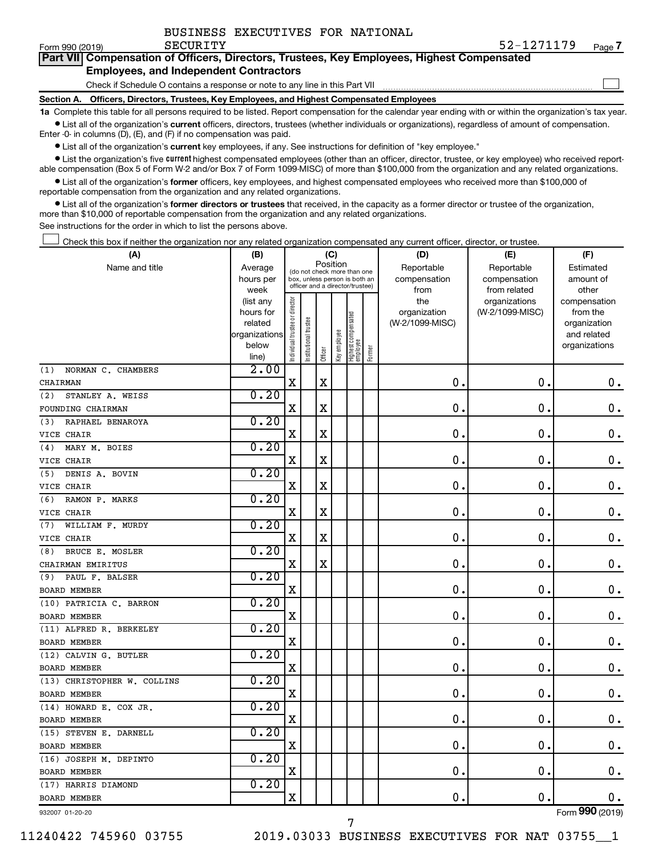| BUSINESS EXECUTIVES FOR NATIONAL |  |  |  |  |
|----------------------------------|--|--|--|--|
|----------------------------------|--|--|--|--|

 $\Box$ 

| Form 990 (2019) | SECURITY                                                                                   | 52-1271179 | Page |
|-----------------|--------------------------------------------------------------------------------------------|------------|------|
|                 | Part VII Compensation of Officers, Directors, Trustees, Key Employees, Highest Compensated |            |      |

#### **Employees, and Independent Contractors**

Check if Schedule O contains a response or note to any line in this Part VII

**Section A. Officers, Directors, Trustees, Key Employees, and Highest Compensated Employees**

**1a**  Complete this table for all persons required to be listed. Report compensation for the calendar year ending with or within the organization's tax year.  $\bullet$  List all of the organization's current officers, directors, trustees (whether individuals or organizations), regardless of amount of compensation.

Enter -0- in columns (D), (E), and (F) if no compensation was paid.

**•** List all of the organization's current key employees, if any. See instructions for definition of "key employee."

• List the organization's five *current* highest compensated employees (other than an officer, director, trustee, or key employee) who received reportable compensation (Box 5 of Form W-2 and/or Box 7 of Form 1099-MISC) of more than \$100,000 from the organization and any related organizations.

 $\bullet$  List all of the organization's former officers, key employees, and highest compensated employees who received more than \$100,000 of reportable compensation from the organization and any related organizations.

**•** List all of the organization's former directors or trustees that received, in the capacity as a former director or trustee of the organization, more than \$10,000 of reportable compensation from the organization and any related organizations.

See instructions for the order in which to list the persons above.

Check this box if neither the organization nor any related organization compensated any current officer, director, or trustee.  $\Box$ 

| (A)                         | (B)                    |                               |                                                                  | (C)         |              |                                   |        | (D)                 | (E)                              | (F)                      |
|-----------------------------|------------------------|-------------------------------|------------------------------------------------------------------|-------------|--------------|-----------------------------------|--------|---------------------|----------------------------------|--------------------------|
| Name and title              | Average                |                               | (do not check more than one                                      |             | Position     |                                   |        | Reportable          | Reportable                       | Estimated                |
|                             | hours per              |                               | box, unless person is both an<br>officer and a director/trustee) |             |              |                                   |        | compensation        | compensation                     | amount of                |
|                             | week                   |                               |                                                                  |             |              |                                   |        | from                | from related                     | other                    |
|                             | (list any<br>hours for | ndividual trustee or director |                                                                  |             |              |                                   |        | the<br>organization | organizations<br>(W-2/1099-MISC) | compensation<br>from the |
|                             | related                |                               |                                                                  |             |              |                                   |        | (W-2/1099-MISC)     |                                  | organization             |
|                             | organizations          |                               | nstitutional trustee                                             |             |              |                                   |        |                     |                                  | and related              |
|                             | below                  |                               |                                                                  |             | Key employee |                                   |        |                     |                                  | organizations            |
|                             | line)                  |                               |                                                                  | Officer     |              | Highest compensated<br>  employee | Former |                     |                                  |                          |
| NORMAN C. CHAMBERS<br>(1)   | 2.00                   |                               |                                                                  |             |              |                                   |        |                     |                                  |                          |
| CHAIRMAN                    |                        | $\mathbf X$                   |                                                                  | $\rm X$     |              |                                   |        | 0.                  | $\mathbf 0$ .                    | 0.                       |
| STANLEY A. WEISS<br>(2)     | 0.20                   |                               |                                                                  |             |              |                                   |        |                     |                                  |                          |
| FOUNDING CHAIRMAN           |                        | $\mathbf X$                   |                                                                  | $\mathbf X$ |              |                                   |        | $\mathbf 0$ .       | $\mathbf 0$ .                    | $\boldsymbol{0}$ .       |
| RAPHAEL BENAROYA<br>(3)     | 0.20                   |                               |                                                                  |             |              |                                   |        |                     |                                  |                          |
| VICE CHAIR                  |                        | $\mathbf X$                   |                                                                  | X           |              |                                   |        | 0                   | $\mathbf 0$                      | 0.                       |
| MARY M. BOIES<br>(4)        | 0.20                   |                               |                                                                  |             |              |                                   |        |                     |                                  |                          |
| VICE CHAIR                  |                        | $\mathbf X$                   |                                                                  | $\mathbf X$ |              |                                   |        | 0                   | $\mathbf 0$ .                    | $\mathbf 0$ .            |
| (5)<br>DENIS A. BOVIN       | 0.20                   |                               |                                                                  |             |              |                                   |        |                     |                                  |                          |
| VICE CHAIR                  |                        | X                             |                                                                  | X           |              |                                   |        | 0                   | 0.                               | $\mathbf 0$ .            |
| RAMON P. MARKS<br>(6)       | 0.20                   |                               |                                                                  |             |              |                                   |        |                     |                                  |                          |
| VICE CHAIR                  |                        | X                             |                                                                  | $\mathbf X$ |              |                                   |        | 0                   | 0.                               | $\boldsymbol{0}$ .       |
| WILLIAM F. MURDY<br>(7)     | 0.20                   |                               |                                                                  |             |              |                                   |        |                     |                                  |                          |
| VICE CHAIR                  |                        | X                             |                                                                  | X           |              |                                   |        | $\mathbf 0$         | 0                                | $\mathbf 0$ .            |
| BRUCE E. MOSLER<br>(8)      | 0.20                   |                               |                                                                  |             |              |                                   |        |                     |                                  |                          |
| CHAIRMAN EMIRITUS           |                        | X                             |                                                                  | X           |              |                                   |        | 0                   | $\mathbf 0$ .                    | $\boldsymbol{0}$ .       |
| PAUL F. BALSER<br>(9)       | 0.20                   |                               |                                                                  |             |              |                                   |        |                     |                                  |                          |
| <b>BOARD MEMBER</b>         |                        | $\mathbf X$                   |                                                                  |             |              |                                   |        | 0                   | $\mathbf 0$ .                    | $\mathbf 0$ .            |
| (10) PATRICIA C. BARRON     | 0.20                   |                               |                                                                  |             |              |                                   |        |                     |                                  |                          |
| <b>BOARD MEMBER</b>         |                        | X                             |                                                                  |             |              |                                   |        | 0                   | $\mathbf 0$ .                    | 0.                       |
| (11) ALFRED R. BERKELEY     | 0.20                   |                               |                                                                  |             |              |                                   |        |                     |                                  |                          |
| <b>BOARD MEMBER</b>         |                        | $\mathbf X$                   |                                                                  |             |              |                                   |        | 0                   | $\mathbf 0$                      | 0.                       |
| (12) CALVIN G. BUTLER       | 0.20                   |                               |                                                                  |             |              |                                   |        |                     |                                  |                          |
| <b>BOARD MEMBER</b>         |                        | $\mathbf X$                   |                                                                  |             |              |                                   |        | 0                   | $\mathbf 0$ .                    | 0.                       |
| (13) CHRISTOPHER W. COLLINS | 0.20                   |                               |                                                                  |             |              |                                   |        |                     |                                  |                          |
| <b>BOARD MEMBER</b>         |                        | X                             |                                                                  |             |              |                                   |        | $\mathbf 0$         | $\mathbf 0$ .                    | $\boldsymbol{0}$ .       |
| (14) HOWARD E. COX JR.      | 0.20                   |                               |                                                                  |             |              |                                   |        |                     |                                  |                          |
| <b>BOARD MEMBER</b>         |                        | $\mathbf X$                   |                                                                  |             |              |                                   |        | $\mathbf 0$ .       | $\mathbf 0$ .                    | 0.                       |
| (15) STEVEN E. DARNELL      | 0.20                   |                               |                                                                  |             |              |                                   |        |                     |                                  |                          |
| <b>BOARD MEMBER</b>         |                        | X                             |                                                                  |             |              |                                   |        | 0                   | $\mathbf 0$                      | $\mathbf 0$ .            |
| (16) JOSEPH M. DEPINTO      | 0.20                   |                               |                                                                  |             |              |                                   |        |                     |                                  |                          |
| <b>BOARD MEMBER</b>         |                        | $\mathbf X$                   |                                                                  |             |              |                                   |        | 0                   | $\mathbf 0$ .                    | 0.                       |
| (17) HARRIS DIAMOND         | 0.20                   |                               |                                                                  |             |              |                                   |        |                     |                                  |                          |
| <b>BOARD MEMBER</b>         |                        | X                             |                                                                  |             |              |                                   |        | $\mathbf 0$         | $\mathbf 0$ .                    | $0$ .                    |
| 932007 01-20-20             |                        |                               |                                                                  |             |              |                                   |        |                     |                                  | Form 990 (2019)          |

932007 01-20-20

11240422 745960 03755 2019.03033 BUSINESS EXECUTIVES FOR NAT 03755\_\_1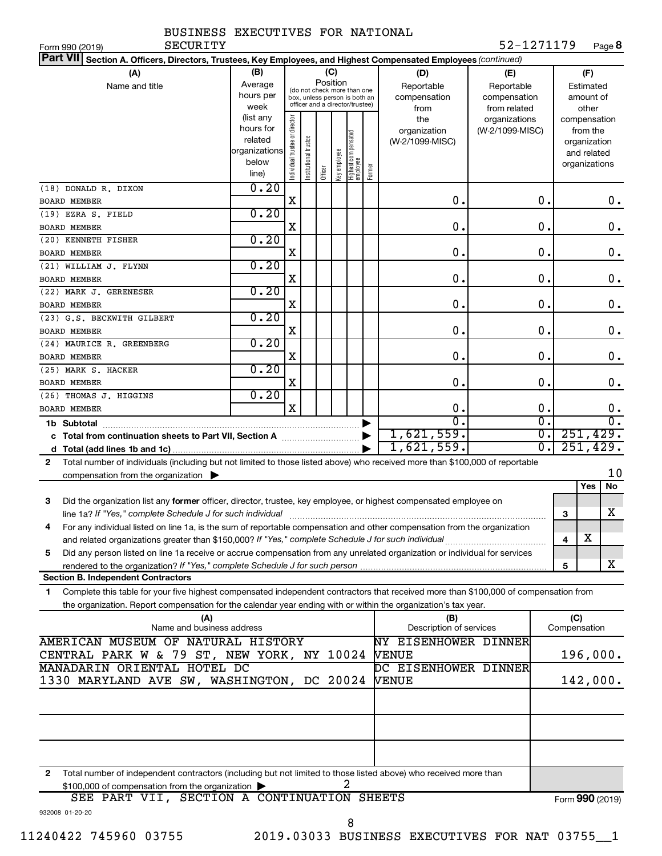| BUSINESS EXECUTIVES FOR NATIONAL |  |
|----------------------------------|--|
|                                  |  |

Form 990 (2019) Page **8** SECURITY 52-1271179

| Part VII Section A. Officers, Directors, Trustees, Key Employees, and Highest Compensated Employees (continued)                           |                                            |                                |                                                              |         |              |                                   |        |                                             |                 |                             |     |                         |                    |
|-------------------------------------------------------------------------------------------------------------------------------------------|--------------------------------------------|--------------------------------|--------------------------------------------------------------|---------|--------------|-----------------------------------|--------|---------------------------------------------|-----------------|-----------------------------|-----|-------------------------|--------------------|
| (A)                                                                                                                                       | (B)                                        |                                |                                                              |         | (C)          |                                   |        | (D)                                         | (E)             |                             |     | (F)                     |                    |
| Name and title                                                                                                                            | Average                                    |                                |                                                              |         | Position     |                                   |        | Reportable                                  | Reportable      |                             |     | Estimated               |                    |
|                                                                                                                                           | hours per                                  |                                | (do not check more than one<br>box, unless person is both an |         |              |                                   |        | compensation                                | compensation    |                             |     | amount of               |                    |
|                                                                                                                                           | week                                       |                                | officer and a director/trustee)                              |         |              |                                   |        | from                                        | from related    |                             |     | other                   |                    |
|                                                                                                                                           | (list any                                  |                                |                                                              |         |              |                                   |        | the                                         | organizations   |                             |     | compensation            |                    |
|                                                                                                                                           | hours for                                  |                                |                                                              |         |              |                                   |        | organization                                | (W-2/1099-MISC) |                             |     | from the                |                    |
|                                                                                                                                           | related<br>organizations                   |                                |                                                              |         |              |                                   |        | (W-2/1099-MISC)                             |                 |                             |     | organization            |                    |
|                                                                                                                                           | below                                      |                                |                                                              |         |              |                                   |        |                                             |                 |                             |     | and related             |                    |
|                                                                                                                                           | line)                                      | Individual trustee or director | Institutional trustee                                        | Officer | Key employee | Highest compensated<br>  employee | Former |                                             |                 |                             |     | organizations           |                    |
| (18) DONALD R. DIXON                                                                                                                      | 0.20                                       |                                |                                                              |         |              |                                   |        |                                             |                 |                             |     |                         |                    |
| <b>BOARD MEMBER</b>                                                                                                                       |                                            | X                              |                                                              |         |              |                                   |        | 0.                                          |                 | 0.                          |     |                         | 0.                 |
| (19) EZRA S. FIELD                                                                                                                        | 0.20                                       |                                |                                                              |         |              |                                   |        |                                             |                 |                             |     |                         |                    |
| BOARD MEMBER                                                                                                                              |                                            | X                              |                                                              |         |              |                                   |        | 0.                                          |                 | 0.                          |     |                         | $\mathbf 0$ .      |
| (20) KENNETH FISHER                                                                                                                       | 0.20                                       |                                |                                                              |         |              |                                   |        |                                             |                 |                             |     |                         |                    |
| <b>BOARD MEMBER</b>                                                                                                                       |                                            | X                              |                                                              |         |              |                                   |        | 0.                                          |                 | 0.                          |     |                         | 0.                 |
| (21) WILLIAM J. FLYNN                                                                                                                     | 0.20                                       |                                |                                                              |         |              |                                   |        |                                             |                 |                             |     |                         |                    |
| <b>BOARD MEMBER</b>                                                                                                                       |                                            | X                              |                                                              |         |              |                                   |        | 0.                                          |                 | 0.                          |     |                         | 0.                 |
| (22) MARK J. GERENESER                                                                                                                    | 0.20                                       |                                |                                                              |         |              |                                   |        |                                             |                 |                             |     |                         |                    |
| <b>BOARD MEMBER</b>                                                                                                                       |                                            | X                              |                                                              |         |              |                                   |        | 0.                                          |                 | 0.                          |     |                         | $\boldsymbol{0}$ . |
| (23) G.S. BECKWITH GILBERT                                                                                                                | 0.20                                       |                                |                                                              |         |              |                                   |        |                                             |                 |                             |     |                         |                    |
| <b>BOARD MEMBER</b>                                                                                                                       |                                            | X                              |                                                              |         |              |                                   |        | 0.                                          |                 | 0.                          |     |                         | 0.                 |
| (24) MAURICE R. GREENBERG                                                                                                                 | 0.20                                       |                                |                                                              |         |              |                                   |        |                                             |                 |                             |     |                         |                    |
| <b>BOARD MEMBER</b>                                                                                                                       |                                            | X                              |                                                              |         |              |                                   |        | 0.                                          |                 | 0.                          |     |                         | 0.                 |
| (25) MARK S. HACKER                                                                                                                       | 0.20                                       |                                |                                                              |         |              |                                   |        |                                             |                 |                             |     |                         |                    |
| <b>BOARD MEMBER</b>                                                                                                                       | 0.20                                       | X                              |                                                              |         |              |                                   |        | 0.                                          |                 | 0.                          |     |                         | 0.                 |
| (26) THOMAS J. HIGGINS                                                                                                                    |                                            | $\overline{\mathbf{X}}$        |                                                              |         |              |                                   |        | 0.                                          |                 | 0.                          |     |                         | 0.                 |
| <b>BOARD MEMBER</b>                                                                                                                       |                                            |                                |                                                              |         |              |                                   |        | $\overline{0}$ .                            |                 | $\overline{\mathfrak{o}}$ . |     |                         | $\overline{0}$ .   |
| 1b Subtotal                                                                                                                               |                                            |                                |                                                              |         |              |                                   |        | 1,621,559.                                  |                 | $\overline{\mathfrak{o}}$ . |     | 251,429.                |                    |
|                                                                                                                                           |                                            |                                |                                                              |         |              |                                   |        | 1,621,559.                                  |                 | $\overline{0}$ .            |     | 251,429.                |                    |
| Total number of individuals (including but not limited to those listed above) who received more than \$100,000 of reportable<br>2         |                                            |                                |                                                              |         |              |                                   |        |                                             |                 |                             |     |                         |                    |
| compensation from the organization $\blacktriangleright$                                                                                  |                                            |                                |                                                              |         |              |                                   |        |                                             |                 |                             |     |                         | 10                 |
|                                                                                                                                           |                                            |                                |                                                              |         |              |                                   |        |                                             |                 |                             |     | Yes                     | No                 |
| Did the organization list any former officer, director, trustee, key employee, or highest compensated employee on<br>3                    |                                            |                                |                                                              |         |              |                                   |        |                                             |                 |                             |     |                         |                    |
| line 1a? If "Yes," complete Schedule J for such individual                                                                                |                                            |                                |                                                              |         |              |                                   |        |                                             |                 |                             | 3   |                         | x                  |
| For any individual listed on line 1a, is the sum of reportable compensation and other compensation from the organization<br>4             |                                            |                                |                                                              |         |              |                                   |        |                                             |                 |                             |     |                         |                    |
|                                                                                                                                           |                                            |                                |                                                              |         |              |                                   |        |                                             |                 |                             | 4   | $\overline{\textbf{X}}$ |                    |
| Did any person listed on line 1a receive or accrue compensation from any unrelated organization or individual for services<br>5           |                                            |                                |                                                              |         |              |                                   |        |                                             |                 |                             |     |                         |                    |
| rendered to the organization? If "Yes," complete Schedule J for such person                                                               |                                            |                                |                                                              |         |              |                                   |        |                                             |                 |                             | 5   |                         | X                  |
| <b>Section B. Independent Contractors</b>                                                                                                 |                                            |                                |                                                              |         |              |                                   |        |                                             |                 |                             |     |                         |                    |
| Complete this table for your five highest compensated independent contractors that received more than \$100,000 of compensation from<br>1 |                                            |                                |                                                              |         |              |                                   |        |                                             |                 |                             |     |                         |                    |
| the organization. Report compensation for the calendar year ending with or within the organization's tax year.                            |                                            |                                |                                                              |         |              |                                   |        |                                             |                 |                             |     |                         |                    |
| (A)<br>Name and business address                                                                                                          |                                            |                                |                                                              |         |              |                                   |        | (B)                                         |                 |                             | (C) |                         |                    |
| AMERICAN MUSEUM OF NATURAL HISTORY                                                                                                        |                                            |                                |                                                              |         |              |                                   |        | Description of services                     |                 |                             |     | Compensation            |                    |
|                                                                                                                                           |                                            |                                |                                                              |         |              |                                   |        | <b>NY EISENHOWER DINNER</b><br><b>VENUE</b> |                 |                             |     | 196,000.                |                    |
| MANADARIN ORIENTAL HOTEL DC                                                                                                               | CENTRAL PARK W & 79 ST, NEW YORK, NY 10024 |                                |                                                              |         |              |                                   |        | DC EISENHOWER DINNER                        |                 |                             |     |                         |                    |
| 1330 MARYLAND AVE SW, WASHINGTON, DC 20024                                                                                                |                                            |                                |                                                              |         |              |                                   |        | <b>VENUE</b>                                |                 |                             |     | 142,000.                |                    |
|                                                                                                                                           |                                            |                                |                                                              |         |              |                                   |        |                                             |                 |                             |     |                         |                    |
|                                                                                                                                           |                                            |                                |                                                              |         |              |                                   |        |                                             |                 |                             |     |                         |                    |
|                                                                                                                                           |                                            |                                |                                                              |         |              |                                   |        |                                             |                 |                             |     |                         |                    |
|                                                                                                                                           |                                            |                                |                                                              |         |              |                                   |        |                                             |                 |                             |     |                         |                    |
|                                                                                                                                           |                                            |                                |                                                              |         |              |                                   |        |                                             |                 |                             |     |                         |                    |
| $\mathbf{2}$<br>Total number of independent contractors (including but not limited to those listed above) who received more than          |                                            |                                |                                                              |         |              |                                   |        |                                             |                 |                             |     |                         |                    |
| \$100,000 of compensation from the organization                                                                                           |                                            |                                |                                                              |         |              |                                   |        |                                             |                 |                             |     |                         |                    |
| CROBION & CONFINING TON CURREC                                                                                                            |                                            |                                |                                                              |         |              |                                   |        |                                             |                 |                             |     |                         |                    |

| SEE PART VII, SECTION A CONTINUATION SHEETS |  | Form 990 (2019) |
|---------------------------------------------|--|-----------------|
| 932008 01-20-20                             |  |                 |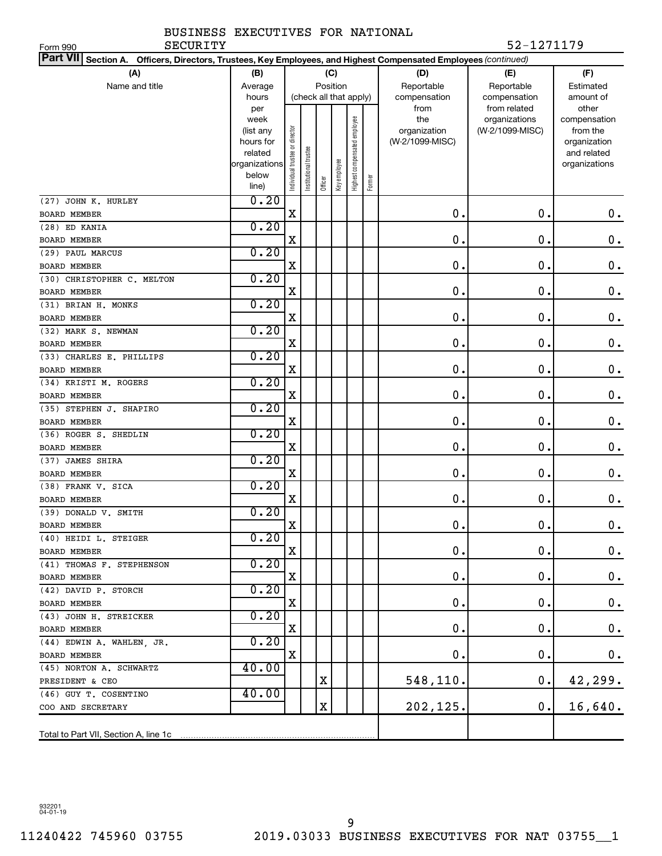Form 990

| Part VII Section A. Officers, Directors, Trustees, Key Employees, and Highest Compensated Employees (continued) |                        |                                |                        |          |              |                              |        |                                 |                 |                             |
|-----------------------------------------------------------------------------------------------------------------|------------------------|--------------------------------|------------------------|----------|--------------|------------------------------|--------|---------------------------------|-----------------|-----------------------------|
| (A)                                                                                                             | (B)                    |                                |                        |          | (C)          |                              |        | (D)                             | (E)             | (F)                         |
| Name and title                                                                                                  | Average                |                                |                        | Position |              |                              |        | Reportable                      | Reportable      | Estimated                   |
|                                                                                                                 | hours                  |                                | (check all that apply) |          |              |                              |        | compensation                    | compensation    | amount of                   |
|                                                                                                                 | per                    |                                |                        |          |              |                              |        | from                            | from related    | other                       |
|                                                                                                                 | week                   |                                |                        |          |              | Highest compensated employee |        | the                             | organizations   | compensation                |
|                                                                                                                 | (list any<br>hours for |                                |                        |          |              |                              |        | organization<br>(W-2/1099-MISC) | (W-2/1099-MISC) | from the                    |
|                                                                                                                 | related                |                                |                        |          |              |                              |        |                                 |                 | organization<br>and related |
|                                                                                                                 | organizations          |                                |                        |          |              |                              |        |                                 |                 | organizations               |
|                                                                                                                 | below                  | Individual trustee or director | nstitutional trustee   |          | Key employee |                              |        |                                 |                 |                             |
|                                                                                                                 | line)                  |                                |                        | Officer  |              |                              | Former |                                 |                 |                             |
| (27) JOHN K. HURLEY                                                                                             | 0.20                   |                                |                        |          |              |                              |        |                                 |                 |                             |
| <b>BOARD MEMBER</b>                                                                                             |                        | X                              |                        |          |              |                              |        | 0.                              | 0.              | 0.                          |
| (28) ED KANIA                                                                                                   | 0.20                   |                                |                        |          |              |                              |        |                                 |                 |                             |
| <b>BOARD MEMBER</b>                                                                                             |                        | X                              |                        |          |              |                              |        | 0.                              | 0.              | $\boldsymbol{0}$ .          |
| (29) PAUL MARCUS                                                                                                | 0.20                   |                                |                        |          |              |                              |        |                                 |                 |                             |
| <b>BOARD MEMBER</b>                                                                                             |                        | X                              |                        |          |              |                              |        | 0.                              | $\mathbf 0$ .   | $\boldsymbol{0}$ .          |
| (30) CHRISTOPHER C. MELTON                                                                                      | 0.20                   |                                |                        |          |              |                              |        |                                 |                 |                             |
| <b>BOARD MEMBER</b>                                                                                             |                        | X                              |                        |          |              |                              |        | 0.                              | $\mathbf 0$ .   | $\boldsymbol{0}$ .          |
| (31) BRIAN H. MONKS                                                                                             | 0.20                   |                                |                        |          |              |                              |        |                                 |                 |                             |
| <b>BOARD MEMBER</b>                                                                                             |                        | X                              |                        |          |              |                              |        | 0.                              | 0.              | $\boldsymbol{0}$ .          |
| (32) MARK S. NEWMAN                                                                                             | 0.20                   |                                |                        |          |              |                              |        |                                 |                 |                             |
| <b>BOARD MEMBER</b>                                                                                             |                        | X                              |                        |          |              |                              |        | 0.                              | 0.              | $\boldsymbol{0}$ .          |
| (33) CHARLES E. PHILLIPS                                                                                        | 0.20                   | X                              |                        |          |              |                              |        | 0.                              | 0.              |                             |
| <b>BOARD MEMBER</b>                                                                                             | 0.20                   |                                |                        |          |              |                              |        |                                 |                 | $\boldsymbol{0}$ .          |
| (34) KRISTI M. ROGERS<br><b>BOARD MEMBER</b>                                                                    |                        | X                              |                        |          |              |                              |        | 0.                              | 0.              | $\boldsymbol{0}$ .          |
| (35) STEPHEN J. SHAPIRO                                                                                         | 0.20                   |                                |                        |          |              |                              |        |                                 |                 |                             |
| <b>BOARD MEMBER</b>                                                                                             |                        | X                              |                        |          |              |                              |        | 0.                              | 0.              | $\boldsymbol{0}$ .          |
| (36) ROGER S. SHEDLIN                                                                                           | 0.20                   |                                |                        |          |              |                              |        |                                 |                 |                             |
| <b>BOARD MEMBER</b>                                                                                             |                        | X                              |                        |          |              |                              |        | 0.                              | 0.              | $\boldsymbol{0}$ .          |
| (37) JAMES SHIRA                                                                                                | 0.20                   |                                |                        |          |              |                              |        |                                 |                 |                             |
| <b>BOARD MEMBER</b>                                                                                             |                        | X                              |                        |          |              |                              |        | 0.                              | 0.              | $\mathbf 0$ .               |
| (38) FRANK V. SICA                                                                                              | 0.20                   |                                |                        |          |              |                              |        |                                 |                 |                             |
| <b>BOARD MEMBER</b>                                                                                             |                        | X                              |                        |          |              |                              |        | 0.                              | 0.              | $\mathbf 0$ .               |
| (39) DONALD V. SMITH                                                                                            | 0.20                   |                                |                        |          |              |                              |        |                                 |                 |                             |
| <b>BOARD MEMBER</b>                                                                                             |                        | X                              |                        |          |              |                              |        | $\mathbf 0$ .                   | $\mathbf 0$ .   | 0.                          |
| (40) HEIDI L. STEIGER                                                                                           | 0.20                   |                                |                        |          |              |                              |        |                                 |                 |                             |
| BOARD MEMBER                                                                                                    |                        | х                              |                        |          |              |                              |        | 0.                              | 0.              | $0 \cdot$                   |
| (41) THOMAS F. STEPHENSON                                                                                       | 0.20                   |                                |                        |          |              |                              |        |                                 |                 |                             |
| <b>BOARD MEMBER</b>                                                                                             |                        | X                              |                        |          |              |                              |        | 0.                              | 0.              | $\mathbf 0$ .               |
| (42) DAVID P. STORCH                                                                                            | 0.20                   |                                |                        |          |              |                              |        |                                 |                 |                             |
| <b>BOARD MEMBER</b>                                                                                             |                        | х                              |                        |          |              |                              |        | 0.                              | 0.              | $\mathbf 0$ .               |
| (43) JOHN H. STREICKER                                                                                          | 0.20                   |                                |                        |          |              |                              |        |                                 |                 |                             |
| BOARD MEMBER                                                                                                    |                        | х                              |                        |          |              |                              |        | 0.                              | 0.              | $\mathbf 0$ .               |
| (44) EDWIN A. WAHLEN, JR.                                                                                       | 0.20                   |                                |                        |          |              |                              |        |                                 |                 |                             |
| BOARD MEMBER                                                                                                    |                        | X                              |                        |          |              |                              |        | 0.                              | 0.              | $\mathbf 0$ .               |
| (45) NORTON A. SCHWARTZ                                                                                         | 40.00                  |                                |                        |          |              |                              |        |                                 |                 |                             |
| PRESIDENT & CEO                                                                                                 |                        |                                |                        | х        |              |                              |        | 548,110.                        | 0.              | 42,299.                     |
| (46) GUY T. COSENTINO                                                                                           | 40.00                  |                                |                        | X        |              |                              |        | 202,125.                        | $\mathbf 0$ .   |                             |
| COO AND SECRETARY                                                                                               |                        |                                |                        |          |              |                              |        |                                 |                 | 16,640.                     |
|                                                                                                                 |                        |                                |                        |          |              |                              |        |                                 |                 |                             |

932201 04-01-19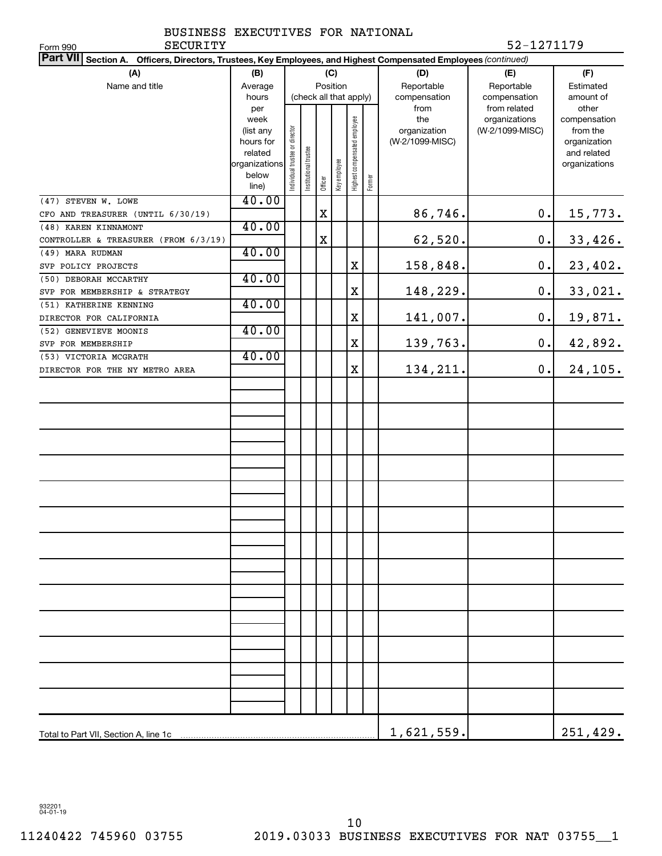|          | BUSINESS EXECUTIVES FOR NATIONAL |  |            |
|----------|----------------------------------|--|------------|
| SECURITY |                                  |  | 52-1271179 |

| SECURITY<br>Form 990                                                                                            |               |                                |                       |             |              |                              |        |                 | 52-1271179      |               |
|-----------------------------------------------------------------------------------------------------------------|---------------|--------------------------------|-----------------------|-------------|--------------|------------------------------|--------|-----------------|-----------------|---------------|
| Part VII Section A. Officers, Directors, Trustees, Key Employees, and Highest Compensated Employees (continued) |               |                                |                       |             |              |                              |        |                 |                 |               |
| (A)                                                                                                             | (B)           |                                |                       |             | (C)          |                              |        | (D)             | (E)             | (F)           |
| Name and title                                                                                                  | Average       |                                |                       |             | Position     |                              |        | Reportable      | Reportable      | Estimated     |
|                                                                                                                 | hours         |                                |                       |             |              | (check all that apply)       |        | compensation    | compensation    | amount of     |
|                                                                                                                 | per           |                                |                       |             |              |                              |        | from            | from related    | other         |
|                                                                                                                 | week          |                                |                       |             |              |                              |        | the             | organizations   | compensation  |
|                                                                                                                 | (list any     |                                |                       |             |              |                              |        | organization    | (W-2/1099-MISC) | from the      |
|                                                                                                                 | hours for     |                                |                       |             |              |                              |        | (W-2/1099-MISC) |                 | organization  |
|                                                                                                                 | related       |                                |                       |             |              |                              |        |                 |                 | and related   |
|                                                                                                                 | organizations | Individual trustee or director | Institutional trustee |             | Key employee | Highest compensated employee |        |                 |                 | organizations |
|                                                                                                                 | below         |                                |                       | Officer     |              |                              | Former |                 |                 |               |
|                                                                                                                 | line)         |                                |                       |             |              |                              |        |                 |                 |               |
| (47) STEVEN W. LOWE                                                                                             | 40.00         |                                |                       |             |              |                              |        |                 |                 |               |
| CFO AND TREASURER (UNTIL 6/30/19)                                                                               |               |                                |                       | $\mathbf X$ |              |                              |        | 86,746.         | 0.              | 15,773.       |
| (48) KAREN KINNAMONT                                                                                            | 40.00         |                                |                       |             |              |                              |        |                 |                 |               |
| CONTROLLER & TREASURER (FROM 6/3/19)                                                                            |               |                                |                       | $\mathbf X$ |              |                              |        | 62,520.         | 0.              | 33,426.       |
| (49) MARA RUDMAN                                                                                                | 40.00         |                                |                       |             |              |                              |        |                 |                 |               |
| SVP POLICY PROJECTS                                                                                             |               |                                |                       |             |              | Χ                            |        | 158,848.        | 0.              | 23,402.       |
| (50) DEBORAH MCCARTHY                                                                                           | 40.00         |                                |                       |             |              |                              |        |                 |                 |               |
| SVP FOR MEMBERSHIP & STRATEGY                                                                                   |               |                                |                       |             |              | X                            |        | 148,229.        | 0.              | 33,021.       |
| (51) KATHERINE KENNING                                                                                          | 40.00         |                                |                       |             |              |                              |        |                 |                 |               |
| DIRECTOR FOR CALIFORNIA                                                                                         |               |                                |                       |             |              | X                            |        | 141,007.        | 0.              | 19,871.       |
| (52) GENEVIEVE MOONIS                                                                                           | 40.00         |                                |                       |             |              |                              |        |                 |                 |               |
| SVP FOR MEMBERSHIP                                                                                              |               |                                |                       |             |              | X                            |        | 139,763.        | 0.              | 42,892.       |
| (53) VICTORIA MCGRATH                                                                                           | 40.00         |                                |                       |             |              |                              |        |                 |                 |               |
| DIRECTOR FOR THE NY METRO AREA                                                                                  |               |                                |                       |             |              | X                            |        | 134,211.        | $\mathbf 0$ .   | 24,105.       |
|                                                                                                                 |               |                                |                       |             |              |                              |        |                 |                 |               |
|                                                                                                                 |               |                                |                       |             |              |                              |        |                 |                 |               |
|                                                                                                                 |               |                                |                       |             |              |                              |        |                 |                 |               |
|                                                                                                                 |               |                                |                       |             |              |                              |        |                 |                 |               |
|                                                                                                                 |               |                                |                       |             |              |                              |        |                 |                 |               |
|                                                                                                                 |               |                                |                       |             |              |                              |        |                 |                 |               |
|                                                                                                                 |               |                                |                       |             |              |                              |        |                 |                 |               |
|                                                                                                                 |               |                                |                       |             |              |                              |        |                 |                 |               |
|                                                                                                                 |               |                                |                       |             |              |                              |        |                 |                 |               |
|                                                                                                                 |               |                                |                       |             |              |                              |        |                 |                 |               |
|                                                                                                                 |               |                                |                       |             |              |                              |        |                 |                 |               |
|                                                                                                                 |               |                                |                       |             |              |                              |        |                 |                 |               |
|                                                                                                                 |               |                                |                       |             |              |                              |        |                 |                 |               |
|                                                                                                                 |               |                                |                       |             |              |                              |        |                 |                 |               |
|                                                                                                                 |               |                                |                       |             |              |                              |        |                 |                 |               |
|                                                                                                                 |               |                                |                       |             |              |                              |        |                 |                 |               |
|                                                                                                                 |               |                                |                       |             |              |                              |        |                 |                 |               |
|                                                                                                                 |               |                                |                       |             |              |                              |        |                 |                 |               |
|                                                                                                                 |               |                                |                       |             |              |                              |        |                 |                 |               |
|                                                                                                                 |               |                                |                       |             |              |                              |        |                 |                 |               |
|                                                                                                                 |               |                                |                       |             |              |                              |        |                 |                 |               |
|                                                                                                                 |               |                                |                       |             |              |                              |        |                 |                 |               |
|                                                                                                                 |               |                                |                       |             |              |                              |        |                 |                 |               |
|                                                                                                                 |               |                                |                       |             |              |                              |        |                 |                 |               |
|                                                                                                                 |               |                                |                       |             |              |                              |        |                 |                 |               |
|                                                                                                                 |               |                                |                       |             |              |                              |        |                 |                 |               |
|                                                                                                                 |               |                                |                       |             |              |                              |        |                 |                 |               |
|                                                                                                                 |               |                                |                       |             |              |                              |        |                 |                 |               |
|                                                                                                                 |               |                                |                       |             |              |                              |        | 1,621,559.      |                 | 251,429.      |

932201 04-01-19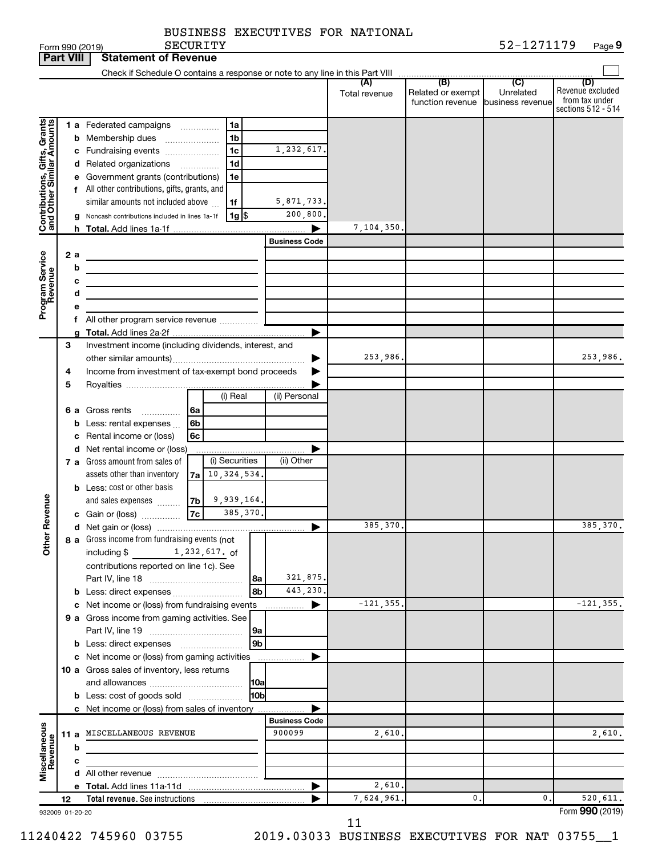| BUSINESS EXECUTIVES FOR NATIONAL |  |  |  |  |
|----------------------------------|--|--|--|--|
|----------------------------------|--|--|--|--|

|                              | <b>Part VIII</b> | <b>Statement of Revenue</b>                                                                                                                                                                                                                                                                                                                                                                                                                                        |                             |                                       |                               |                                                                 |
|------------------------------|------------------|--------------------------------------------------------------------------------------------------------------------------------------------------------------------------------------------------------------------------------------------------------------------------------------------------------------------------------------------------------------------------------------------------------------------------------------------------------------------|-----------------------------|---------------------------------------|-------------------------------|-----------------------------------------------------------------|
|                              |                  |                                                                                                                                                                                                                                                                                                                                                                                                                                                                    |                             |                                       |                               |                                                                 |
|                              |                  |                                                                                                                                                                                                                                                                                                                                                                                                                                                                    | Total revenue               | Related or exempt<br>function revenue | Unrelated<br>business revenue | (D)<br>Revenue excluded<br>from tax under<br>sections 512 - 514 |
| Contributions, Gifts, Grants |                  | <b>1 a</b> Federated campaigns<br>1a<br>.<br>1 <sub>b</sub><br><b>b</b> Membership dues<br>$\ldots \ldots \ldots \ldots \ldots$<br>1 <sub>c</sub><br>1,232,617.<br>c Fundraising events<br>1 <sub>d</sub><br>d Related organizations<br>.<br>e Government grants (contributions)<br>1e<br>f All other contributions, gifts, grants, and<br>similar amounts not included above<br>5,871,733.<br>1f<br>$1g$ \$<br>Noncash contributions included in lines 1a-1f<br>a | 200,800.<br>7,104,350.<br>ь |                                       |                               |                                                                 |
|                              |                  | <b>Business Code</b>                                                                                                                                                                                                                                                                                                                                                                                                                                               |                             |                                       |                               |                                                                 |
| Program Service<br>Revenue   | 2 a              | b<br>the control of the control of the control of the control of<br>с<br>the control of the control of the control of the control of the control of<br>d<br>the control of the control of the control of the control of<br>f All other program service revenue                                                                                                                                                                                                     |                             |                                       |                               |                                                                 |
|                              |                  |                                                                                                                                                                                                                                                                                                                                                                                                                                                                    | ▶                           |                                       |                               |                                                                 |
|                              | 3<br>4<br>5      | Investment income (including dividends, interest, and<br>Income from investment of tax-exempt bond proceeds                                                                                                                                                                                                                                                                                                                                                        | 253,986.                    |                                       |                               | 253,986.                                                        |
|                              |                  | (i) Real<br>(ii) Personal                                                                                                                                                                                                                                                                                                                                                                                                                                          |                             |                                       |                               |                                                                 |
|                              |                  | <b>6 a</b> Gross rents<br>6a<br>.<br><b>b</b> Less: rental expenses $\ldots$<br>6b<br>c Rental income or (loss)<br>6c                                                                                                                                                                                                                                                                                                                                              |                             |                                       |                               |                                                                 |
|                              |                  | d Net rental income or (loss)<br>(i) Securities<br>(ii) Other<br>7 a Gross amount from sales of<br>10,324,534.<br>assets other than inventory<br>7a<br><b>b</b> Less: cost or other basis<br>9,939,164.                                                                                                                                                                                                                                                            | Þ                           |                                       |                               |                                                                 |
|                              |                  | and sales expenses<br>7b<br>7c<br>385,370.<br>c Gain or (loss)                                                                                                                                                                                                                                                                                                                                                                                                     |                             |                                       |                               |                                                                 |
|                              |                  |                                                                                                                                                                                                                                                                                                                                                                                                                                                                    | 385,370.<br>▶               |                                       |                               | 385,370.                                                        |
| Revenue<br>Ĕ                 |                  | 8 a Gross income from fundraising events (not<br>1,232,617. of<br>including $$$<br>contributions reported on line 1c). See<br>8a                                                                                                                                                                                                                                                                                                                                   | 321,875.                    |                                       |                               |                                                                 |
|                              |                  | 8 <sub>b</sub><br><b>b</b> Less: direct expenses                                                                                                                                                                                                                                                                                                                                                                                                                   | 443,230.                    |                                       |                               |                                                                 |
|                              |                  | c Net income or (loss) from fundraising events<br>9 a Gross income from gaming activities. See<br> 9a                                                                                                                                                                                                                                                                                                                                                              | $-121, 355.$<br>▶           |                                       |                               | $-121, 355.$                                                    |
|                              |                  | 9 <sub>b</sub><br>c Net income or (loss) from gaming activities<br>.<br>10 a Gross sales of inventory, less returns<br><b>10a</b><br>10bl<br><b>b</b> Less: cost of goods sold                                                                                                                                                                                                                                                                                     | ▶                           |                                       |                               |                                                                 |
|                              |                  | c Net income or (loss) from sales of inventory                                                                                                                                                                                                                                                                                                                                                                                                                     |                             |                                       |                               |                                                                 |
| Miscellaneous<br>Revenue     |                  | <b>Business Code</b><br>900099<br>11 a MISCELLANEOUS REVENUE<br>b                                                                                                                                                                                                                                                                                                                                                                                                  | 2,610.                      |                                       |                               | 2,610.                                                          |
|                              |                  | с                                                                                                                                                                                                                                                                                                                                                                                                                                                                  |                             |                                       |                               |                                                                 |
|                              |                  |                                                                                                                                                                                                                                                                                                                                                                                                                                                                    |                             |                                       |                               |                                                                 |
|                              |                  |                                                                                                                                                                                                                                                                                                                                                                                                                                                                    | 2,610.<br>▶                 |                                       |                               |                                                                 |
|                              | 12               |                                                                                                                                                                                                                                                                                                                                                                                                                                                                    | 7,624,961.                  | 0.                                    | 0.                            | 520,611.                                                        |
| 932009 01-20-20              |                  |                                                                                                                                                                                                                                                                                                                                                                                                                                                                    |                             |                                       |                               | Form 990 (2019)                                                 |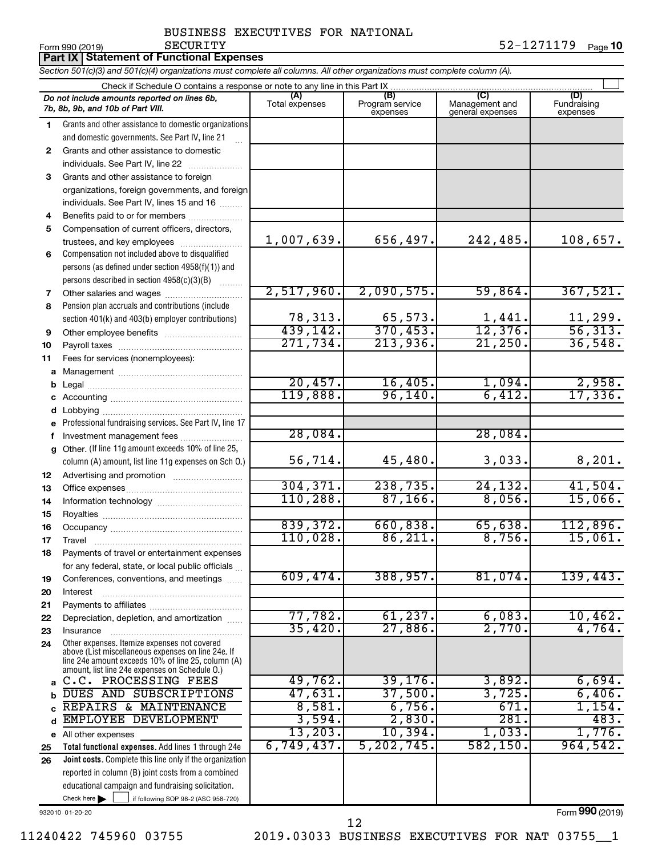**Part IX Statement of Functional Expenses**

Form 990 (2019) Page 52-1271179 Page 10

# SECURITY 52-1271179

|         | Section 501(c)(3) and 501(c)(4) organizations must complete all columns. All other organizations must complete column (A).                                 |                           |                                    |                                           |                                |  |  |  |
|---------|------------------------------------------------------------------------------------------------------------------------------------------------------------|---------------------------|------------------------------------|-------------------------------------------|--------------------------------|--|--|--|
|         | Check if Schedule O contains a response or note to any line in this Part IX.                                                                               |                           |                                    |                                           |                                |  |  |  |
|         | Do not include amounts reported on lines 6b,<br>7b, 8b, 9b, and 10b of Part VIII.                                                                          | (A)<br>Total expenses     | (B)<br>Program service<br>expenses | (C)<br>Management and<br>general expenses | (D)<br>Fundraising<br>expenses |  |  |  |
| 1.      | Grants and other assistance to domestic organizations                                                                                                      |                           |                                    |                                           |                                |  |  |  |
|         | and domestic governments. See Part IV, line 21                                                                                                             |                           |                                    |                                           |                                |  |  |  |
| 2       | Grants and other assistance to domestic                                                                                                                    |                           |                                    |                                           |                                |  |  |  |
|         | individuals. See Part IV, line 22                                                                                                                          |                           |                                    |                                           |                                |  |  |  |
| 3       | Grants and other assistance to foreign                                                                                                                     |                           |                                    |                                           |                                |  |  |  |
|         | organizations, foreign governments, and foreign                                                                                                            |                           |                                    |                                           |                                |  |  |  |
|         | individuals. See Part IV, lines 15 and 16                                                                                                                  |                           |                                    |                                           |                                |  |  |  |
| 4       | Benefits paid to or for members                                                                                                                            |                           |                                    |                                           |                                |  |  |  |
| 5       | Compensation of current officers, directors,                                                                                                               |                           |                                    |                                           |                                |  |  |  |
|         | trustees, and key employees                                                                                                                                | 1,007,639.                | 656,497.                           | 242,485.                                  | 108,657.                       |  |  |  |
| 6       | Compensation not included above to disqualified                                                                                                            |                           |                                    |                                           |                                |  |  |  |
|         | persons (as defined under section 4958(f)(1)) and                                                                                                          |                           |                                    |                                           |                                |  |  |  |
|         | persons described in section 4958(c)(3)(B)                                                                                                                 | 2,517,960.                |                                    |                                           |                                |  |  |  |
| 7       |                                                                                                                                                            |                           | 2,090,575.                         | 59,864.                                   | 367,521.                       |  |  |  |
| 8       | Pension plan accruals and contributions (include                                                                                                           | 78,313.                   |                                    |                                           |                                |  |  |  |
|         | section 401(k) and 403(b) employer contributions)                                                                                                          |                           | $\frac{65,573}{370,453}$           | $\frac{1,441}{12,376}$                    | $\frac{11,299}{56,313}$ .      |  |  |  |
| 9<br>10 | Other employee benefits                                                                                                                                    | $\frac{439,142}{271,734}$ | 213,936.                           | 21,250.                                   | 36,548.                        |  |  |  |
| 11      | Fees for services (nonemployees):                                                                                                                          |                           |                                    |                                           |                                |  |  |  |
|         |                                                                                                                                                            |                           |                                    |                                           |                                |  |  |  |
|         |                                                                                                                                                            | 20,457.                   | 16,405.                            | 1,094.                                    |                                |  |  |  |
|         |                                                                                                                                                            | 119,888.                  | 96, 140.                           | 6,412.                                    | $\frac{2,958}{17,336}$         |  |  |  |
|         |                                                                                                                                                            |                           |                                    |                                           |                                |  |  |  |
|         | e Professional fundraising services. See Part IV, line 17                                                                                                  |                           |                                    |                                           |                                |  |  |  |
|         | Investment management fees                                                                                                                                 | 28,084.                   |                                    | 28,084.                                   |                                |  |  |  |
| g       | Other. (If line 11g amount exceeds 10% of line 25,                                                                                                         |                           |                                    |                                           |                                |  |  |  |
|         | column (A) amount, list line 11g expenses on Sch O.)                                                                                                       | 56,714.                   | 45,480.                            | 3,033.                                    | 8,201.                         |  |  |  |
| 12      |                                                                                                                                                            |                           |                                    |                                           |                                |  |  |  |
| 13      |                                                                                                                                                            | 304, 371.                 | 238,735.                           | 24, 132.                                  | 41,504.                        |  |  |  |
| 14      |                                                                                                                                                            | 110,288.                  | 87, 166.                           | 8,056.                                    | 15,066.                        |  |  |  |
| 15      |                                                                                                                                                            |                           |                                    |                                           |                                |  |  |  |
| 16      |                                                                                                                                                            | 839,372.                  | 660,838.                           | 65,638.                                   | 112,896.                       |  |  |  |
| 17      |                                                                                                                                                            | 110,028.                  | 86,211.                            | 8,756.                                    | 15,061.                        |  |  |  |
| 18      | Payments of travel or entertainment expenses                                                                                                               |                           |                                    |                                           |                                |  |  |  |
|         | for any federal, state, or local public officials                                                                                                          |                           |                                    |                                           |                                |  |  |  |
| 19      | Conferences, conventions, and meetings                                                                                                                     | 609,474.                  | 388,957.                           | 81,074.                                   | 139,443.                       |  |  |  |
| 20      | Interest                                                                                                                                                   |                           |                                    |                                           |                                |  |  |  |
| 21      |                                                                                                                                                            | 77,782.                   | 61, 237.                           | 6,083.                                    | 10,462.                        |  |  |  |
| 22      | Depreciation, depletion, and amortization                                                                                                                  | 35,420.                   | 27,886.                            | 2,770.                                    | 4,764.                         |  |  |  |
| 23      | Insurance<br>Other expenses. Itemize expenses not covered                                                                                                  |                           |                                    |                                           |                                |  |  |  |
| 24      | above (List miscellaneous expenses on line 24e. If<br>line 24e amount exceeds 10% of line 25, column (A)<br>amount, list line 24e expenses on Schedule O.) |                           |                                    |                                           |                                |  |  |  |
| a       | C.C. PROCESSING FEES                                                                                                                                       | 49,762.                   | 39, 176.                           | 3,892.                                    | 6,694.                         |  |  |  |
| b       | DUES AND SUBSCRIPTIONS                                                                                                                                     | 47,631.                   | 37,500.                            | 3,725.                                    | 6,406.                         |  |  |  |
|         | REPAIRS & MAINTENANCE                                                                                                                                      | 8,581.                    | 6,756.                             | 671.                                      | 1,154.                         |  |  |  |
| d       | EMPLOYEE DEVELOPMENT                                                                                                                                       | 3,594.                    | 2,830.                             | 281.                                      | 483.                           |  |  |  |
|         | e All other expenses                                                                                                                                       | 13,203.                   | 10,394.                            | 1,033.                                    | 1,776.                         |  |  |  |
| 25      | Total functional expenses. Add lines 1 through 24e                                                                                                         | 6,749,437.                | 5, 202, 745                        | 582, 150.                                 | 964,542.                       |  |  |  |
| 26      | Joint costs. Complete this line only if the organization                                                                                                   |                           |                                    |                                           |                                |  |  |  |
|         | reported in column (B) joint costs from a combined                                                                                                         |                           |                                    |                                           |                                |  |  |  |
|         | educational campaign and fundraising solicitation.                                                                                                         |                           |                                    |                                           |                                |  |  |  |
|         | Check here $\blacktriangleright$<br>if following SOP 98-2 (ASC 958-720)                                                                                    |                           |                                    |                                           | <b>000</b>                     |  |  |  |

932010 01-20-20

Form (2019) **990**

11240422 745960 03755 2019.03033 BUSINESS EXECUTIVES FOR NAT 03755\_\_1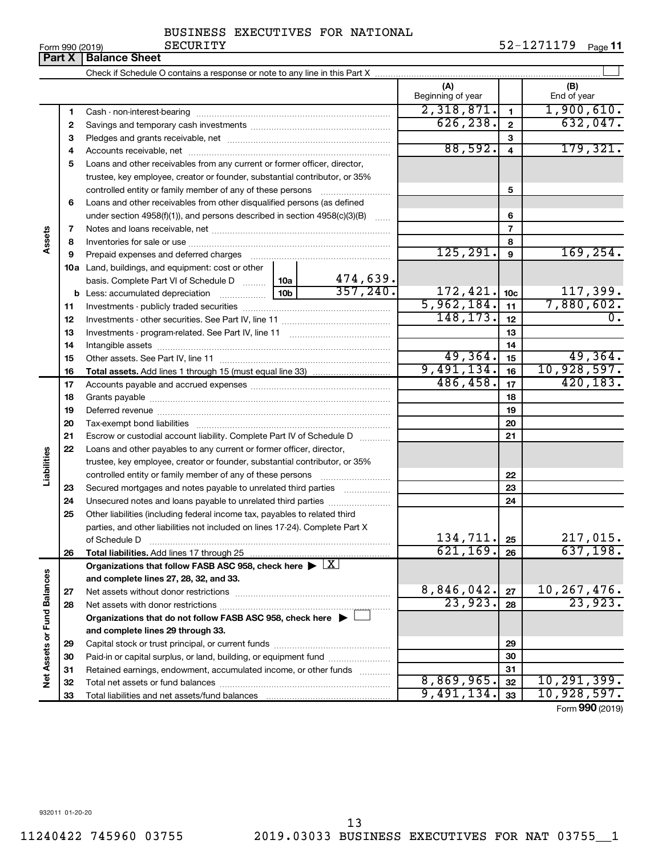| Form 990 (2019) |  |  |
|-----------------|--|--|

|                                                                                                                               | Part X                                                         | LOLLU AAN (SO IA)<br>unuurit<br><b>Balance Sheet</b>                                                                                                                                                                           |                          |                 | וו Page <i>כו</i> בבו בב בכ   |
|-------------------------------------------------------------------------------------------------------------------------------|----------------------------------------------------------------|--------------------------------------------------------------------------------------------------------------------------------------------------------------------------------------------------------------------------------|--------------------------|-----------------|-------------------------------|
|                                                                                                                               |                                                                |                                                                                                                                                                                                                                |                          |                 |                               |
|                                                                                                                               |                                                                |                                                                                                                                                                                                                                | (A)<br>Beginning of year |                 | (B)<br>End of year            |
|                                                                                                                               |                                                                |                                                                                                                                                                                                                                | 2,318,871.               | $\mathbf{1}$    | 1,900,610.                    |
|                                                                                                                               |                                                                |                                                                                                                                                                                                                                | 626, 238.                | $\mathbf{2}$    | 632,047.                      |
|                                                                                                                               |                                                                |                                                                                                                                                                                                                                |                          | 3               |                               |
|                                                                                                                               |                                                                |                                                                                                                                                                                                                                | 88,592.                  | 4               | 179,321.                      |
|                                                                                                                               |                                                                | Loans and other receivables from any current or former officer, director,                                                                                                                                                      |                          |                 |                               |
|                                                                                                                               |                                                                | trustee, key employee, creator or founder, substantial contributor, or 35%                                                                                                                                                     |                          |                 |                               |
|                                                                                                                               |                                                                | controlled entity or family member of any of these persons                                                                                                                                                                     |                          | 5               |                               |
|                                                                                                                               |                                                                | Loans and other receivables from other disqualified persons (as defined                                                                                                                                                        |                          |                 |                               |
|                                                                                                                               |                                                                | under section $4958(f)(1)$ , and persons described in section $4958(c)(3)(B)$                                                                                                                                                  |                          | 6               |                               |
|                                                                                                                               |                                                                |                                                                                                                                                                                                                                |                          | $\overline{7}$  |                               |
|                                                                                                                               |                                                                |                                                                                                                                                                                                                                |                          | 8               |                               |
|                                                                                                                               |                                                                | Prepaid expenses and deferred charges                                                                                                                                                                                          | 125, 291.                | 9               | 169, 254.                     |
|                                                                                                                               |                                                                | 10a Land, buildings, and equipment: cost or other                                                                                                                                                                              |                          |                 |                               |
|                                                                                                                               |                                                                | 474,639.<br>basis. Complete Part VI of Schedule D  10a                                                                                                                                                                         |                          |                 |                               |
|                                                                                                                               |                                                                | 357, 240.                                                                                                                                                                                                                      | 172, 421.                | 10 <sub>c</sub> | 117,399.                      |
|                                                                                                                               | 11                                                             |                                                                                                                                                                                                                                | 5,962,184.               | 11              | 7,880,602.                    |
|                                                                                                                               | 12                                                             |                                                                                                                                                                                                                                | 148, 173.                | 12              | 0.                            |
|                                                                                                                               | 13                                                             |                                                                                                                                                                                                                                |                          | 13              |                               |
|                                                                                                                               | 14                                                             |                                                                                                                                                                                                                                |                          | 14              |                               |
|                                                                                                                               | 15                                                             |                                                                                                                                                                                                                                | 49,364.                  | 15              | 49,364.                       |
|                                                                                                                               | 16                                                             |                                                                                                                                                                                                                                | 9,491,134.               | 16              | 10,928,597.                   |
|                                                                                                                               | 17                                                             |                                                                                                                                                                                                                                | 486,458.                 | 17              | 420, 183.                     |
|                                                                                                                               | 18                                                             |                                                                                                                                                                                                                                |                          | 18              |                               |
|                                                                                                                               | 19                                                             | Deferred revenue manual contracts and contracts are all the contracts and contracts are contracted and contracts are contracted and contract are contracted and contract are contracted and contract are contracted and contra |                          | 19              |                               |
|                                                                                                                               | 20                                                             |                                                                                                                                                                                                                                |                          | 20              |                               |
|                                                                                                                               | 7<br>8<br>9<br>21<br>22<br>23<br>24<br>25<br>26                | Escrow or custodial account liability. Complete Part IV of Schedule D                                                                                                                                                          |                          | 21              |                               |
|                                                                                                                               |                                                                | Loans and other payables to any current or former officer, director,                                                                                                                                                           |                          |                 |                               |
|                                                                                                                               |                                                                | trustee, key employee, creator or founder, substantial contributor, or 35%                                                                                                                                                     |                          |                 |                               |
| 1.<br>2<br>з<br>4<br>5<br>6<br>Assets<br>Liabilities<br>Net Assets or Fund Balances<br>27<br>28<br>29<br>30<br>31<br>32<br>33 | controlled entity or family member of any of these persons     |                                                                                                                                                                                                                                | 22                       |                 |                               |
|                                                                                                                               | Secured mortgages and notes payable to unrelated third parties |                                                                                                                                                                                                                                | 23                       |                 |                               |
|                                                                                                                               | Unsecured notes and loans payable to unrelated third parties   |                                                                                                                                                                                                                                | 24                       |                 |                               |
|                                                                                                                               |                                                                | Other liabilities (including federal income tax, payables to related third                                                                                                                                                     |                          |                 |                               |
|                                                                                                                               |                                                                | parties, and other liabilities not included on lines 17-24). Complete Part X                                                                                                                                                   | 134,711.                 |                 | 217,015.                      |
|                                                                                                                               |                                                                | of Schedule D                                                                                                                                                                                                                  | 621, 169.                | 25              | 637,198.                      |
|                                                                                                                               |                                                                |                                                                                                                                                                                                                                |                          | 26              |                               |
|                                                                                                                               |                                                                | Organizations that follow FASB ASC 958, check here $\blacktriangleright \lfloor \underline{X} \rfloor$                                                                                                                         |                          |                 |                               |
|                                                                                                                               |                                                                | and complete lines 27, 28, 32, and 33.<br>Net assets without donor restrictions                                                                                                                                                | 8,846,042.               | 27              |                               |
|                                                                                                                               |                                                                |                                                                                                                                                                                                                                | 23,923.                  | 28              | $\frac{10,267,476.}{23,923.}$ |
|                                                                                                                               |                                                                | Organizations that do not follow FASB ASC 958, check here $\blacktriangleright$                                                                                                                                                |                          |                 |                               |
|                                                                                                                               |                                                                | and complete lines 29 through 33.                                                                                                                                                                                              |                          |                 |                               |
|                                                                                                                               |                                                                |                                                                                                                                                                                                                                |                          | 29              |                               |
|                                                                                                                               |                                                                | Paid-in or capital surplus, or land, building, or equipment fund                                                                                                                                                               |                          | 30              |                               |
|                                                                                                                               |                                                                | Retained earnings, endowment, accumulated income, or other funds                                                                                                                                                               |                          | 31              |                               |
|                                                                                                                               |                                                                |                                                                                                                                                                                                                                | 8,869,965.               | 32              | 10, 291, 399.                 |
|                                                                                                                               |                                                                |                                                                                                                                                                                                                                | 9,491,134.               | 33              | 10,928,597.                   |
|                                                                                                                               |                                                                |                                                                                                                                                                                                                                |                          |                 |                               |

Form (2019) **990**

932011 01-20-20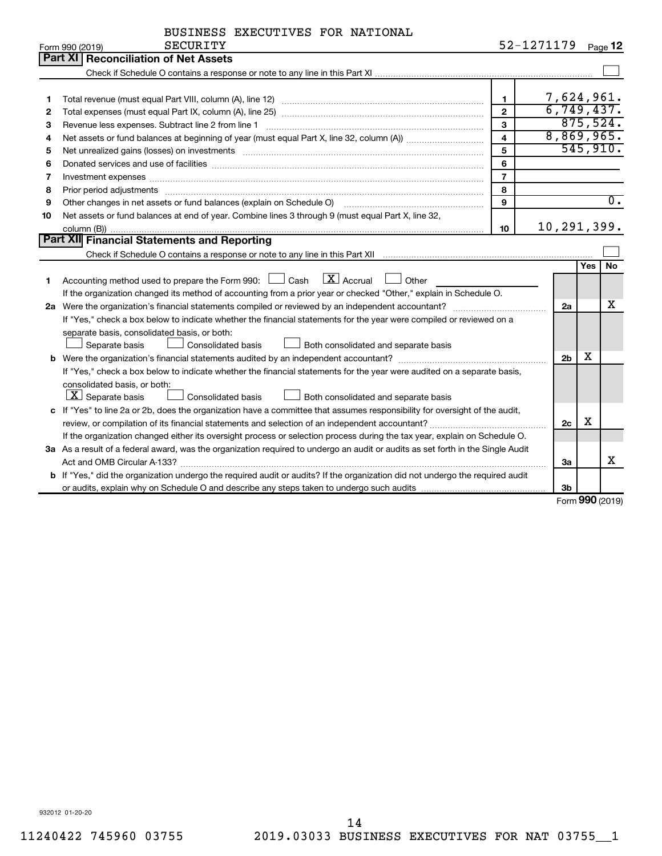|    | <b>SECURITY</b><br>Form 990 (2019)                                                                                                                          | 52-1271179              |                |     | Page 12          |
|----|-------------------------------------------------------------------------------------------------------------------------------------------------------------|-------------------------|----------------|-----|------------------|
|    | Part XI Reconciliation of Net Assets                                                                                                                        |                         |                |     |                  |
|    |                                                                                                                                                             |                         |                |     |                  |
|    |                                                                                                                                                             |                         |                |     |                  |
| 1  |                                                                                                                                                             | $\mathbf{1}$            | 7,624,961.     |     |                  |
| 2  |                                                                                                                                                             | $\overline{2}$          | 6,749,437.     |     |                  |
| З  | Revenue less expenses. Subtract line 2 from line 1                                                                                                          | 3                       |                |     | 875,524.         |
| 4  |                                                                                                                                                             | $\overline{\mathbf{4}}$ | 8,869,965.     |     |                  |
| 5  |                                                                                                                                                             | 5                       |                |     | 545,910.         |
| 6  |                                                                                                                                                             | 6                       |                |     |                  |
| 7  | Investment expenses www.communication.com/www.communication.com/www.communication.com/www.com                                                               | $\overline{7}$          |                |     |                  |
| 8  |                                                                                                                                                             | 8                       |                |     |                  |
| 9  | Other changes in net assets or fund balances (explain on Schedule O) manufactured controller changes in net assets or fund balances (explain on Schedule O) | 9                       |                |     | $\overline{0}$ . |
| 10 | Net assets or fund balances at end of year. Combine lines 3 through 9 (must equal Part X, line 32,                                                          |                         |                |     |                  |
|    |                                                                                                                                                             | 10 <sup>10</sup>        | 10,291,399.    |     |                  |
|    | Part XII Financial Statements and Reporting                                                                                                                 |                         |                |     |                  |
|    |                                                                                                                                                             |                         |                |     |                  |
|    |                                                                                                                                                             |                         |                | Yes | No               |
| 1  | Accounting method used to prepare the Form 990: $\Box$ Cash $\Box X$ Accrual<br>$\Box$ Other                                                                |                         |                |     |                  |
|    | If the organization changed its method of accounting from a prior year or checked "Other," explain in Schedule O.                                           |                         |                |     |                  |
|    | 2a Were the organization's financial statements compiled or reviewed by an independent accountant?                                                          |                         | 2a             |     | х                |
|    | If "Yes," check a box below to indicate whether the financial statements for the year were compiled or reviewed on a                                        |                         |                |     |                  |
|    | separate basis, consolidated basis, or both:                                                                                                                |                         |                |     |                  |
|    | Separate basis<br><b>Consolidated basis</b><br>Both consolidated and separate basis                                                                         |                         |                |     |                  |
|    |                                                                                                                                                             |                         | 2 <sub>b</sub> | х   |                  |
|    | If "Yes," check a box below to indicate whether the financial statements for the year were audited on a separate basis,                                     |                         |                |     |                  |
|    | consolidated basis, or both:                                                                                                                                |                         |                |     |                  |
|    | $\lfloor x \rfloor$ Separate basis<br>Consolidated basis<br>Both consolidated and separate basis                                                            |                         |                |     |                  |
|    | c If "Yes" to line 2a or 2b, does the organization have a committee that assumes responsibility for oversight of the audit,                                 |                         |                |     |                  |
|    | review, or compilation of its financial statements and selection of an independent accountant?                                                              |                         | 2c             | х   |                  |
|    | If the organization changed either its oversight process or selection process during the tax year, explain on Schedule O.                                   |                         |                |     |                  |
|    | 3a As a result of a federal award, was the organization required to undergo an audit or audits as set forth in the Single Audit                             |                         |                |     |                  |
|    |                                                                                                                                                             |                         | За             |     | x                |
|    | <b>b</b> If "Yes," did the organization undergo the required audit or audits? If the organization did not undergo the required audit                        |                         |                |     |                  |
|    |                                                                                                                                                             |                         | 3 <sub>b</sub> |     |                  |

Form (2019) **990**

932012 01-20-20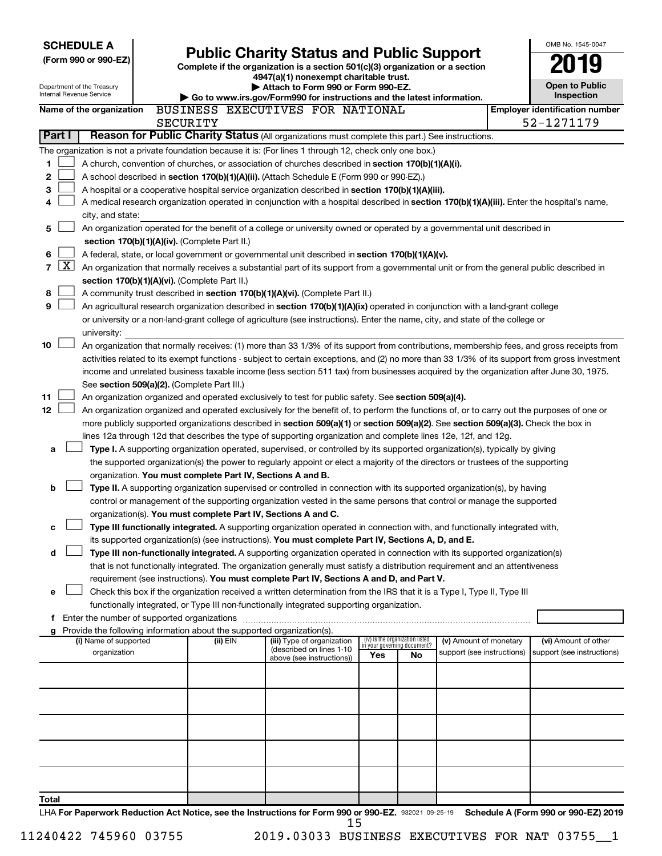|             | <b>SCHEDULE A</b><br>(Form 990 or 990-EZ)<br>Department of the Treasury | <b>Public Charity Status and Public Support</b><br>Complete if the organization is a section 501(c)(3) organization or a section<br>4947(a)(1) nonexempt charitable trust.<br>Attach to Form 990 or Form 990-EZ. |                                                                                                                                                                                                                                                           |     |                                   |                            |  | OMB No. 1545-0047<br><b>Open to Public</b>                                                                                                 |
|-------------|-------------------------------------------------------------------------|------------------------------------------------------------------------------------------------------------------------------------------------------------------------------------------------------------------|-----------------------------------------------------------------------------------------------------------------------------------------------------------------------------------------------------------------------------------------------------------|-----|-----------------------------------|----------------------------|--|--------------------------------------------------------------------------------------------------------------------------------------------|
|             | Internal Revenue Service                                                |                                                                                                                                                                                                                  | Go to www.irs.gov/Form990 for instructions and the latest information.                                                                                                                                                                                    |     |                                   |                            |  | Inspection                                                                                                                                 |
|             | Name of the organization                                                | SECURITY                                                                                                                                                                                                         | BUSINESS EXECUTIVES FOR NATIONAL                                                                                                                                                                                                                          |     |                                   |                            |  | <b>Employer identification number</b><br>52-1271179                                                                                        |
| Part I      |                                                                         |                                                                                                                                                                                                                  | Reason for Public Charity Status (All organizations must complete this part.) See instructions.                                                                                                                                                           |     |                                   |                            |  |                                                                                                                                            |
|             |                                                                         |                                                                                                                                                                                                                  | The organization is not a private foundation because it is: (For lines 1 through 12, check only one box.)                                                                                                                                                 |     |                                   |                            |  |                                                                                                                                            |
| 1           |                                                                         |                                                                                                                                                                                                                  | A church, convention of churches, or association of churches described in section 170(b)(1)(A)(i).                                                                                                                                                        |     |                                   |                            |  |                                                                                                                                            |
| $\mathbf 2$ |                                                                         |                                                                                                                                                                                                                  | A school described in section 170(b)(1)(A)(ii). (Attach Schedule E (Form 990 or 990-EZ).)                                                                                                                                                                 |     |                                   |                            |  |                                                                                                                                            |
| 3           |                                                                         |                                                                                                                                                                                                                  | A hospital or a cooperative hospital service organization described in section 170(b)(1)(A)(iii).                                                                                                                                                         |     |                                   |                            |  |                                                                                                                                            |
| 4           | city, and state:                                                        |                                                                                                                                                                                                                  | A medical research organization operated in conjunction with a hospital described in section 170(b)(1)(A)(iii). Enter the hospital's name,                                                                                                                |     |                                   |                            |  |                                                                                                                                            |
| 5           |                                                                         |                                                                                                                                                                                                                  | An organization operated for the benefit of a college or university owned or operated by a governmental unit described in                                                                                                                                 |     |                                   |                            |  |                                                                                                                                            |
|             |                                                                         | section 170(b)(1)(A)(iv). (Complete Part II.)                                                                                                                                                                    |                                                                                                                                                                                                                                                           |     |                                   |                            |  |                                                                                                                                            |
| 6           |                                                                         |                                                                                                                                                                                                                  | A federal, state, or local government or governmental unit described in section 170(b)(1)(A)(v).                                                                                                                                                          |     |                                   |                            |  |                                                                                                                                            |
| 7           | $\mathbf{X}$                                                            |                                                                                                                                                                                                                  | An organization that normally receives a substantial part of its support from a governmental unit or from the general public described in                                                                                                                 |     |                                   |                            |  |                                                                                                                                            |
|             |                                                                         | section 170(b)(1)(A)(vi). (Complete Part II.)                                                                                                                                                                    |                                                                                                                                                                                                                                                           |     |                                   |                            |  |                                                                                                                                            |
| 8<br>9      |                                                                         |                                                                                                                                                                                                                  | A community trust described in section 170(b)(1)(A)(vi). (Complete Part II.)<br>An agricultural research organization described in section 170(b)(1)(A)(ix) operated in conjunction with a land-grant college                                             |     |                                   |                            |  |                                                                                                                                            |
|             |                                                                         |                                                                                                                                                                                                                  | or university or a non-land-grant college of agriculture (see instructions). Enter the name, city, and state of the college or                                                                                                                            |     |                                   |                            |  |                                                                                                                                            |
|             | university:                                                             |                                                                                                                                                                                                                  |                                                                                                                                                                                                                                                           |     |                                   |                            |  |                                                                                                                                            |
| 10          |                                                                         |                                                                                                                                                                                                                  | An organization that normally receives: (1) more than 33 1/3% of its support from contributions, membership fees, and gross receipts from                                                                                                                 |     |                                   |                            |  |                                                                                                                                            |
|             |                                                                         |                                                                                                                                                                                                                  | activities related to its exempt functions - subject to certain exceptions, and (2) no more than 33 1/3% of its support from gross investment                                                                                                             |     |                                   |                            |  |                                                                                                                                            |
|             |                                                                         |                                                                                                                                                                                                                  | income and unrelated business taxable income (less section 511 tax) from businesses acquired by the organization after June 30, 1975.                                                                                                                     |     |                                   |                            |  |                                                                                                                                            |
| 11          |                                                                         | See section 509(a)(2). (Complete Part III.)                                                                                                                                                                      | An organization organized and operated exclusively to test for public safety. See section 509(a)(4).                                                                                                                                                      |     |                                   |                            |  |                                                                                                                                            |
| 12          |                                                                         |                                                                                                                                                                                                                  | An organization organized and operated exclusively for the benefit of, to perform the functions of, or to carry out the purposes of one or                                                                                                                |     |                                   |                            |  |                                                                                                                                            |
|             |                                                                         |                                                                                                                                                                                                                  | more publicly supported organizations described in section 509(a)(1) or section 509(a)(2). See section 509(a)(3). Check the box in                                                                                                                        |     |                                   |                            |  |                                                                                                                                            |
|             |                                                                         |                                                                                                                                                                                                                  | lines 12a through 12d that describes the type of supporting organization and complete lines 12e, 12f, and 12g.                                                                                                                                            |     |                                   |                            |  |                                                                                                                                            |
| a           |                                                                         |                                                                                                                                                                                                                  | Type I. A supporting organization operated, supervised, or controlled by its supported organization(s), typically by giving                                                                                                                               |     |                                   |                            |  |                                                                                                                                            |
|             |                                                                         | organization. You must complete Part IV, Sections A and B.                                                                                                                                                       | the supported organization(s) the power to regularly appoint or elect a majority of the directors or trustees of the supporting                                                                                                                           |     |                                   |                            |  |                                                                                                                                            |
| b           |                                                                         |                                                                                                                                                                                                                  | Type II. A supporting organization supervised or controlled in connection with its supported organization(s), by having                                                                                                                                   |     |                                   |                            |  |                                                                                                                                            |
|             |                                                                         |                                                                                                                                                                                                                  | control or management of the supporting organization vested in the same persons that control or manage the supported                                                                                                                                      |     |                                   |                            |  |                                                                                                                                            |
|             |                                                                         | organization(s). You must complete Part IV, Sections A and C.                                                                                                                                                    |                                                                                                                                                                                                                                                           |     |                                   |                            |  |                                                                                                                                            |
| с           |                                                                         |                                                                                                                                                                                                                  | Type III functionally integrated. A supporting organization operated in connection with, and functionally integrated with,                                                                                                                                |     |                                   |                            |  |                                                                                                                                            |
|             |                                                                         |                                                                                                                                                                                                                  | its supported organization(s) (see instructions). You must complete Part IV, Sections A, D, and E.                                                                                                                                                        |     |                                   |                            |  |                                                                                                                                            |
| d           |                                                                         |                                                                                                                                                                                                                  | Type III non-functionally integrated. A supporting organization operated in connection with its supported organization(s)<br>that is not functionally integrated. The organization generally must satisfy a distribution requirement and an attentiveness |     |                                   |                            |  |                                                                                                                                            |
|             |                                                                         |                                                                                                                                                                                                                  | requirement (see instructions). You must complete Part IV, Sections A and D, and Part V.                                                                                                                                                                  |     |                                   |                            |  |                                                                                                                                            |
| е           |                                                                         |                                                                                                                                                                                                                  | Check this box if the organization received a written determination from the IRS that it is a Type I, Type II, Type III                                                                                                                                   |     |                                   |                            |  |                                                                                                                                            |
|             |                                                                         |                                                                                                                                                                                                                  | functionally integrated, or Type III non-functionally integrated supporting organization.                                                                                                                                                                 |     |                                   |                            |  |                                                                                                                                            |
|             | f Enter the number of supported organizations                           |                                                                                                                                                                                                                  |                                                                                                                                                                                                                                                           |     |                                   |                            |  |                                                                                                                                            |
|             | (i) Name of supported                                                   | g Provide the following information about the supported organization(s).<br>(ii) EIN                                                                                                                             | (iii) Type of organization                                                                                                                                                                                                                                |     | (iv) Is the organization listed   | (v) Amount of monetary     |  | (vi) Amount of other                                                                                                                       |
|             | organization                                                            |                                                                                                                                                                                                                  | (described on lines 1-10<br>above (see instructions))                                                                                                                                                                                                     | Yes | in your governing document?<br>No | support (see instructions) |  | support (see instructions)                                                                                                                 |
|             |                                                                         |                                                                                                                                                                                                                  |                                                                                                                                                                                                                                                           |     |                                   |                            |  |                                                                                                                                            |
|             |                                                                         |                                                                                                                                                                                                                  |                                                                                                                                                                                                                                                           |     |                                   |                            |  |                                                                                                                                            |
|             |                                                                         |                                                                                                                                                                                                                  |                                                                                                                                                                                                                                                           |     |                                   |                            |  |                                                                                                                                            |
|             |                                                                         |                                                                                                                                                                                                                  |                                                                                                                                                                                                                                                           |     |                                   |                            |  |                                                                                                                                            |
|             |                                                                         |                                                                                                                                                                                                                  |                                                                                                                                                                                                                                                           |     |                                   |                            |  |                                                                                                                                            |
|             |                                                                         |                                                                                                                                                                                                                  |                                                                                                                                                                                                                                                           |     |                                   |                            |  |                                                                                                                                            |
|             |                                                                         |                                                                                                                                                                                                                  |                                                                                                                                                                                                                                                           |     |                                   |                            |  |                                                                                                                                            |
|             |                                                                         |                                                                                                                                                                                                                  |                                                                                                                                                                                                                                                           |     |                                   |                            |  |                                                                                                                                            |
|             |                                                                         |                                                                                                                                                                                                                  |                                                                                                                                                                                                                                                           |     |                                   |                            |  |                                                                                                                                            |
| Total       |                                                                         |                                                                                                                                                                                                                  |                                                                                                                                                                                                                                                           |     |                                   |                            |  | l HA For Paperwork Reduction Act Notice, see the Instructions for Form 990 or 990-EZ, 932021 09-25-19 Schedule A (Form 990 or 990-EZ) 2019 |

021 09-25-19 **Schedule A (F For Paperwork Reduction Act Notice, see the Instructions for Form 990 or 990-EZ. Schedule A (Form 990 or 990-EZ) 2019** For Pape 15

11240422 745960 03755 2019.03033 BUSINESS EXECUTIVES FOR NAT 03755\_\_1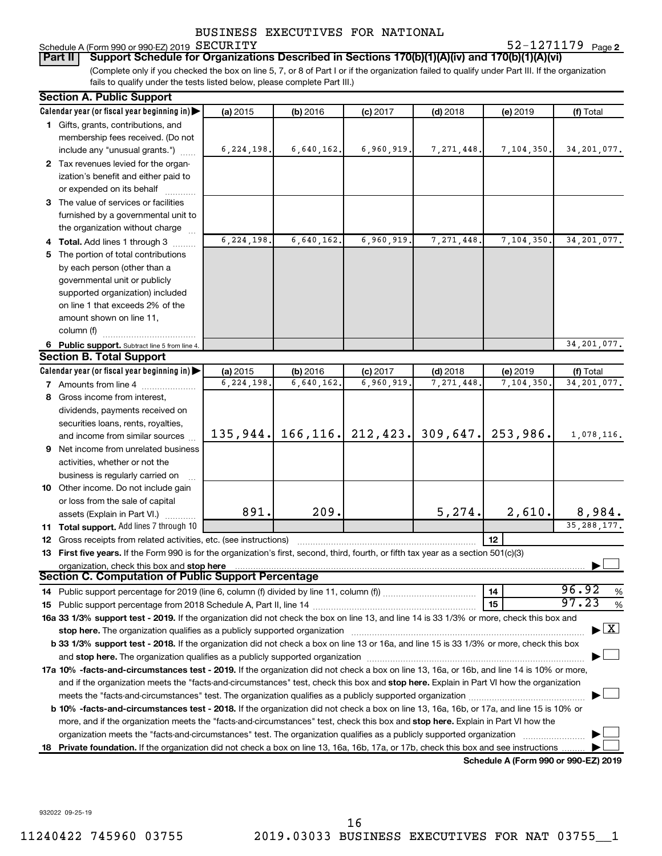## Schedule A (Form 990 or 990-EZ) 2019 SECURITY

**2** SECURITY 52-1271179

(Complete only if you checked the box on line 5, 7, or 8 of Part I or if the organization failed to qualify under Part III. If the organization fails to qualify under the tests listed below, please complete Part III.) **Part II Support Schedule for Organizations Described in Sections 170(b)(1)(A)(iv) and 170(b)(1)(A)(vi)**

| <b>Section A. Public Support</b>                                                                                                           |              |            |            |                      |                                      |                                    |
|--------------------------------------------------------------------------------------------------------------------------------------------|--------------|------------|------------|----------------------|--------------------------------------|------------------------------------|
| Calendar year (or fiscal year beginning in)                                                                                                | (a) 2015     | (b) 2016   | $(c)$ 2017 | $(d)$ 2018           | (e) 2019                             | (f) Total                          |
| 1 Gifts, grants, contributions, and                                                                                                        |              |            |            |                      |                                      |                                    |
| membership fees received. (Do not                                                                                                          |              |            |            |                      |                                      |                                    |
| include any "unusual grants.")                                                                                                             | 6, 224, 198. | 6,640,162. | 6,960,919. | 7, 271, 448.         | 7,104,350.                           | 34, 201, 077.                      |
| 2 Tax revenues levied for the organ-                                                                                                       |              |            |            |                      |                                      |                                    |
| ization's benefit and either paid to                                                                                                       |              |            |            |                      |                                      |                                    |
| or expended on its behalf                                                                                                                  |              |            |            |                      |                                      |                                    |
| 3 The value of services or facilities                                                                                                      |              |            |            |                      |                                      |                                    |
| furnished by a governmental unit to                                                                                                        |              |            |            |                      |                                      |                                    |
| the organization without charge                                                                                                            |              |            |            |                      |                                      |                                    |
| 4 Total. Add lines 1 through 3                                                                                                             | 6,224,198.   | 6,640,162. | 6,960,919. | 7, 271, 448          | 7,104,350                            | 34, 201, 077.                      |
| 5 The portion of total contributions                                                                                                       |              |            |            |                      |                                      |                                    |
| by each person (other than a                                                                                                               |              |            |            |                      |                                      |                                    |
| governmental unit or publicly                                                                                                              |              |            |            |                      |                                      |                                    |
| supported organization) included                                                                                                           |              |            |            |                      |                                      |                                    |
| on line 1 that exceeds 2% of the                                                                                                           |              |            |            |                      |                                      |                                    |
| amount shown on line 11,                                                                                                                   |              |            |            |                      |                                      |                                    |
| column (f)                                                                                                                                 |              |            |            |                      |                                      |                                    |
| 6 Public support. Subtract line 5 from line 4.                                                                                             |              |            |            |                      |                                      | 34, 201, 077.                      |
| <b>Section B. Total Support</b>                                                                                                            |              |            |            |                      |                                      |                                    |
| Calendar year (or fiscal year beginning in)                                                                                                | (a) 2015     | (b) 2016   | $(c)$ 2017 | $(d)$ 2018           | (e) 2019                             | (f) Total                          |
| <b>7</b> Amounts from line 4                                                                                                               | 6,224,198.   | 6,640,162  | 6,960,919  | 7,271,448            | 7,104,350                            | 34, 201, 077.                      |
| 8 Gross income from interest,                                                                                                              |              |            |            |                      |                                      |                                    |
| dividends, payments received on                                                                                                            |              |            |            |                      |                                      |                                    |
| securities loans, rents, royalties,                                                                                                        |              |            |            |                      |                                      |                                    |
| and income from similar sources                                                                                                            | 135,944.     | 166, 116.  |            | $212, 423.$ 309,647. | 253,986.                             | 1,078,116.                         |
| 9 Net income from unrelated business                                                                                                       |              |            |            |                      |                                      |                                    |
| activities, whether or not the                                                                                                             |              |            |            |                      |                                      |                                    |
| business is regularly carried on                                                                                                           |              |            |            |                      |                                      |                                    |
| 10 Other income. Do not include gain                                                                                                       |              |            |            |                      |                                      |                                    |
| or loss from the sale of capital                                                                                                           |              |            |            |                      |                                      |                                    |
| assets (Explain in Part VI.)                                                                                                               | 891.         | 209.       |            | 5,274.               | 2,610.                               | 8,984.                             |
| 11 Total support. Add lines 7 through 10                                                                                                   |              |            |            |                      |                                      | 35, 288, 177.                      |
| <b>12</b> Gross receipts from related activities, etc. (see instructions)                                                                  |              |            |            |                      | 12                                   |                                    |
| 13 First five years. If the Form 990 is for the organization's first, second, third, fourth, or fifth tax year as a section 501(c)(3)      |              |            |            |                      |                                      |                                    |
| organization, check this box and stop here                                                                                                 |              |            |            |                      |                                      |                                    |
| Section C. Computation of Public Support Percentage                                                                                        |              |            |            |                      |                                      |                                    |
|                                                                                                                                            |              |            |            |                      | 14                                   | 96.92<br>%                         |
|                                                                                                                                            |              |            |            |                      | 15                                   | 97.23<br>$\%$                      |
| 16a 33 1/3% support test - 2019. If the organization did not check the box on line 13, and line 14 is 33 1/3% or more, check this box and  |              |            |            |                      |                                      |                                    |
| stop here. The organization qualifies as a publicly supported organization                                                                 |              |            |            |                      |                                      | $\blacktriangleright$ $\mathbf{X}$ |
| b 33 1/3% support test - 2018. If the organization did not check a box on line 13 or 16a, and line 15 is 33 1/3% or more, check this box   |              |            |            |                      |                                      |                                    |
|                                                                                                                                            |              |            |            |                      |                                      |                                    |
| 17a 10% -facts-and-circumstances test - 2019. If the organization did not check a box on line 13, 16a, or 16b, and line 14 is 10% or more, |              |            |            |                      |                                      |                                    |
| and if the organization meets the "facts-and-circumstances" test, check this box and stop here. Explain in Part VI how the organization    |              |            |            |                      |                                      |                                    |
|                                                                                                                                            |              |            |            |                      |                                      |                                    |
| b 10% -facts-and-circumstances test - 2018. If the organization did not check a box on line 13, 16a, 16b, or 17a, and line 15 is 10% or    |              |            |            |                      |                                      |                                    |
| more, and if the organization meets the "facts-and-circumstances" test, check this box and stop here. Explain in Part VI how the           |              |            |            |                      |                                      |                                    |
| organization meets the "facts-and-circumstances" test. The organization qualifies as a publicly supported organization                     |              |            |            |                      |                                      |                                    |
| 18 Private foundation. If the organization did not check a box on line 13, 16a, 16b, 17a, or 17b, check this box and see instructions      |              |            |            |                      |                                      |                                    |
|                                                                                                                                            |              |            |            |                      | Schedule A (Form 990 or 990-F7) 2019 |                                    |

**Schedule A (Form 990 or 990-EZ) 2019**

932022 09-25-19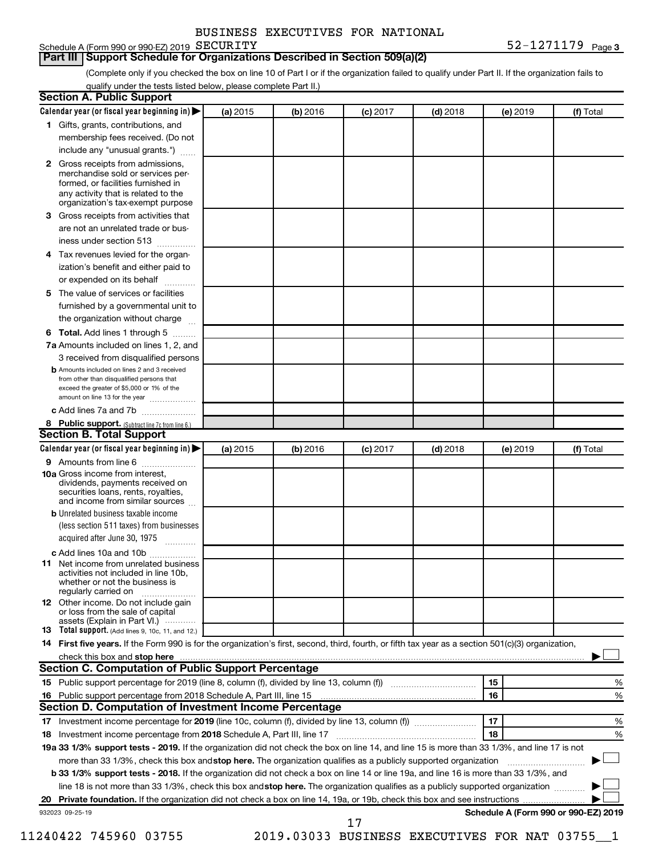| BUSINESS EXECUTIVES FOR NATIONAL |  |
|----------------------------------|--|
|                                  |  |

## Schedule A (Form 990 or 990-EZ) 2019 SECURITY

#### **Part III Support Schedule for Organizations Described in Section 509(a)(2)**

(Complete only if you checked the box on line 10 of Part I or if the organization failed to qualify under Part II. If the organization fails to qualify under the tests listed below, please complete Part II.)

|    | <b>Section A. Public Support</b>                                                                                                                                                                |          |          |            |            |          |                                      |
|----|-------------------------------------------------------------------------------------------------------------------------------------------------------------------------------------------------|----------|----------|------------|------------|----------|--------------------------------------|
|    | Calendar year (or fiscal year beginning in)                                                                                                                                                     | (a) 2015 | (b) 2016 | $(c)$ 2017 | $(d)$ 2018 | (e) 2019 | (f) Total                            |
|    | 1 Gifts, grants, contributions, and                                                                                                                                                             |          |          |            |            |          |                                      |
|    | membership fees received. (Do not                                                                                                                                                               |          |          |            |            |          |                                      |
|    | include any "unusual grants.")                                                                                                                                                                  |          |          |            |            |          |                                      |
|    | <b>2</b> Gross receipts from admissions,<br>merchandise sold or services per-<br>formed, or facilities furnished in<br>any activity that is related to the<br>organization's tax-exempt purpose |          |          |            |            |          |                                      |
|    | 3 Gross receipts from activities that                                                                                                                                                           |          |          |            |            |          |                                      |
|    | are not an unrelated trade or bus-                                                                                                                                                              |          |          |            |            |          |                                      |
|    | iness under section 513                                                                                                                                                                         |          |          |            |            |          |                                      |
|    | 4 Tax revenues levied for the organ-                                                                                                                                                            |          |          |            |            |          |                                      |
|    | ization's benefit and either paid to                                                                                                                                                            |          |          |            |            |          |                                      |
|    | or expended on its behalf                                                                                                                                                                       |          |          |            |            |          |                                      |
|    | 5 The value of services or facilities                                                                                                                                                           |          |          |            |            |          |                                      |
|    | furnished by a governmental unit to                                                                                                                                                             |          |          |            |            |          |                                      |
|    | the organization without charge                                                                                                                                                                 |          |          |            |            |          |                                      |
|    | <b>6 Total.</b> Add lines 1 through 5                                                                                                                                                           |          |          |            |            |          |                                      |
|    | 7a Amounts included on lines 1, 2, and                                                                                                                                                          |          |          |            |            |          |                                      |
|    | 3 received from disqualified persons                                                                                                                                                            |          |          |            |            |          |                                      |
|    | <b>b</b> Amounts included on lines 2 and 3 received<br>from other than disqualified persons that<br>exceed the greater of \$5,000 or 1% of the<br>amount on line 13 for the year                |          |          |            |            |          |                                      |
|    | c Add lines 7a and 7b                                                                                                                                                                           |          |          |            |            |          |                                      |
|    | 8 Public support. (Subtract line 7c from line 6.)                                                                                                                                               |          |          |            |            |          |                                      |
|    | <b>Section B. Total Support</b>                                                                                                                                                                 |          |          |            |            |          |                                      |
|    | Calendar year (or fiscal year beginning in)                                                                                                                                                     | (a) 2015 | (b) 2016 | $(c)$ 2017 | $(d)$ 2018 | (e) 2019 | (f) Total                            |
|    | 9 Amounts from line 6                                                                                                                                                                           |          |          |            |            |          |                                      |
|    | <b>10a</b> Gross income from interest,<br>dividends, payments received on<br>securities loans, rents, royalties,<br>and income from similar sources                                             |          |          |            |            |          |                                      |
|    | <b>b</b> Unrelated business taxable income                                                                                                                                                      |          |          |            |            |          |                                      |
|    | (less section 511 taxes) from businesses                                                                                                                                                        |          |          |            |            |          |                                      |
|    | acquired after June 30, 1975                                                                                                                                                                    |          |          |            |            |          |                                      |
|    | c Add lines 10a and 10b                                                                                                                                                                         |          |          |            |            |          |                                      |
|    | <b>11</b> Net income from unrelated business<br>activities not included in line 10b.<br>whether or not the business is<br>regularly carried on                                                  |          |          |            |            |          |                                      |
|    | 12 Other income. Do not include gain<br>or loss from the sale of capital                                                                                                                        |          |          |            |            |          |                                      |
|    | assets (Explain in Part VI.)<br><b>13</b> Total support. (Add lines 9, 10c, 11, and 12.)                                                                                                        |          |          |            |            |          |                                      |
|    | 14 First five years. If the Form 990 is for the organization's first, second, third, fourth, or fifth tax year as a section 501(c)(3) organization,                                             |          |          |            |            |          |                                      |
|    |                                                                                                                                                                                                 |          |          |            |            |          |                                      |
|    | Section C. Computation of Public Support Percentage                                                                                                                                             |          |          |            |            |          |                                      |
|    | 15 Public support percentage for 2019 (line 8, column (f), divided by line 13, column (f) <i></i>                                                                                               |          |          |            |            | 15       | %                                    |
|    |                                                                                                                                                                                                 |          |          |            |            | 16       | %                                    |
|    | Section D. Computation of Investment Income Percentage                                                                                                                                          |          |          |            |            |          |                                      |
|    | 17 Investment income percentage for 2019 (line 10c, column (f), divided by line 13, column (f))                                                                                                 |          |          |            |            | 17       | %                                    |
|    | 18 Investment income percentage from 2018 Schedule A, Part III, line 17                                                                                                                         |          |          |            |            | 18       | %                                    |
|    | 19a 33 1/3% support tests - 2019. If the organization did not check the box on line 14, and line 15 is more than 33 1/3%, and line 17 is not                                                    |          |          |            |            |          |                                      |
|    | more than 33 1/3%, check this box and stop here. The organization qualifies as a publicly supported organization                                                                                |          |          |            |            |          |                                      |
|    | b 33 1/3% support tests - 2018. If the organization did not check a box on line 14 or line 19a, and line 16 is more than 33 1/3%, and                                                           |          |          |            |            |          |                                      |
|    | line 18 is not more than 33 1/3%, check this box and stop here. The organization qualifies as a publicly supported organization                                                                 |          |          |            |            |          |                                      |
| 20 |                                                                                                                                                                                                 |          |          |            |            |          |                                      |
|    | 932023 09-25-19                                                                                                                                                                                 |          |          |            |            |          | Schedule A (Form 990 or 990-EZ) 2019 |
|    |                                                                                                                                                                                                 |          |          | 17         |            |          |                                      |

11240422 745960 03755 2019.03033 BUSINESS EXECUTIVES FOR NAT 03755\_\_1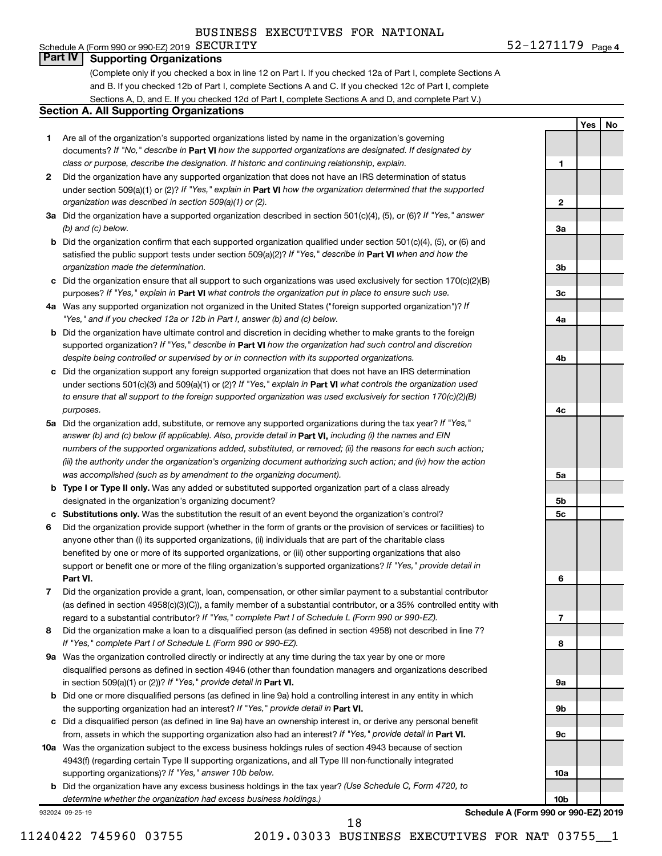#### Schedule A (Form 990 or 990-EZ) 2019  $SECURITY$ **Part IV Supporting Organizations**

(Complete only if you checked a box in line 12 on Part I. If you checked 12a of Part I, complete Sections A and B. If you checked 12b of Part I, complete Sections A and C. If you checked 12c of Part I, complete Sections A, D, and E. If you checked 12d of Part I, complete Sections A and D, and complete Part V.)

#### **Section A. All Supporting Organizations**

- **1** Are all of the organization's supported organizations listed by name in the organization's governing documents? If "No," describe in Part VI how the supported organizations are designated. If designated by *class or purpose, describe the designation. If historic and continuing relationship, explain.*
- **2** Did the organization have any supported organization that does not have an IRS determination of status under section 509(a)(1) or (2)? If "Yes," explain in Part **VI** how the organization determined that the supported *organization was described in section 509(a)(1) or (2).*
- **3a** Did the organization have a supported organization described in section 501(c)(4), (5), or (6)? If "Yes," answer *(b) and (c) below.*
- **b** Did the organization confirm that each supported organization qualified under section 501(c)(4), (5), or (6) and satisfied the public support tests under section 509(a)(2)? If "Yes," describe in Part VI when and how the *organization made the determination.*
- **c** Did the organization ensure that all support to such organizations was used exclusively for section 170(c)(2)(B) purposes? If "Yes," explain in Part VI what controls the organization put in place to ensure such use.
- **4 a** *If* Was any supported organization not organized in the United States ("foreign supported organization")? *"Yes," and if you checked 12a or 12b in Part I, answer (b) and (c) below.*
- **b** Did the organization have ultimate control and discretion in deciding whether to make grants to the foreign supported organization? If "Yes," describe in Part VI how the organization had such control and discretion *despite being controlled or supervised by or in connection with its supported organizations.*
- **c** Did the organization support any foreign supported organization that does not have an IRS determination under sections 501(c)(3) and 509(a)(1) or (2)? If "Yes," explain in Part VI what controls the organization used *to ensure that all support to the foreign supported organization was used exclusively for section 170(c)(2)(B) purposes.*
- **5a** Did the organization add, substitute, or remove any supported organizations during the tax year? If "Yes," answer (b) and (c) below (if applicable). Also, provide detail in **Part VI,** including (i) the names and EIN *numbers of the supported organizations added, substituted, or removed; (ii) the reasons for each such action; (iii) the authority under the organization's organizing document authorizing such action; and (iv) how the action was accomplished (such as by amendment to the organizing document).*
- **b Type I or Type II only.** Was any added or substituted supported organization part of a class already designated in the organization's organizing document?
- **c Substitutions only.**  Was the substitution the result of an event beyond the organization's control?
- **6** Did the organization provide support (whether in the form of grants or the provision of services or facilities) to **Part VI.** support or benefit one or more of the filing organization's supported organizations? If "Yes," provide detail in anyone other than (i) its supported organizations, (ii) individuals that are part of the charitable class benefited by one or more of its supported organizations, or (iii) other supporting organizations that also
- **7** Did the organization provide a grant, loan, compensation, or other similar payment to a substantial contributor regard to a substantial contributor? If "Yes," complete Part I of Schedule L (Form 990 or 990-EZ). (as defined in section 4958(c)(3)(C)), a family member of a substantial contributor, or a 35% controlled entity with
- **8** Did the organization make a loan to a disqualified person (as defined in section 4958) not described in line 7? *If "Yes," complete Part I of Schedule L (Form 990 or 990-EZ).*
- **9 a** Was the organization controlled directly or indirectly at any time during the tax year by one or more in section 509(a)(1) or (2))? If "Yes," provide detail in **Part VI.** disqualified persons as defined in section 4946 (other than foundation managers and organizations described
- **b** Did one or more disqualified persons (as defined in line 9a) hold a controlling interest in any entity in which the supporting organization had an interest? If "Yes," provide detail in Part VI.
- **c** Did a disqualified person (as defined in line 9a) have an ownership interest in, or derive any personal benefit from, assets in which the supporting organization also had an interest? If "Yes," provide detail in Part VI.
- **10 a** Was the organization subject to the excess business holdings rules of section 4943 because of section supporting organizations)? If "Yes," answer 10b below. 4943(f) (regarding certain Type II supporting organizations, and all Type III non-functionally integrated
	- **b** Did the organization have any excess business holdings in the tax year? (Use Schedule C, Form 4720, to *determine whether the organization had excess business holdings.)*

932024 09-25-19

**10b Schedule A (Form 990 or 990-EZ) 2019**

11240422 745960 03755 2019.03033 BUSINESS EXECUTIVES FOR NAT 03755\_\_1

**1**

**Yes No**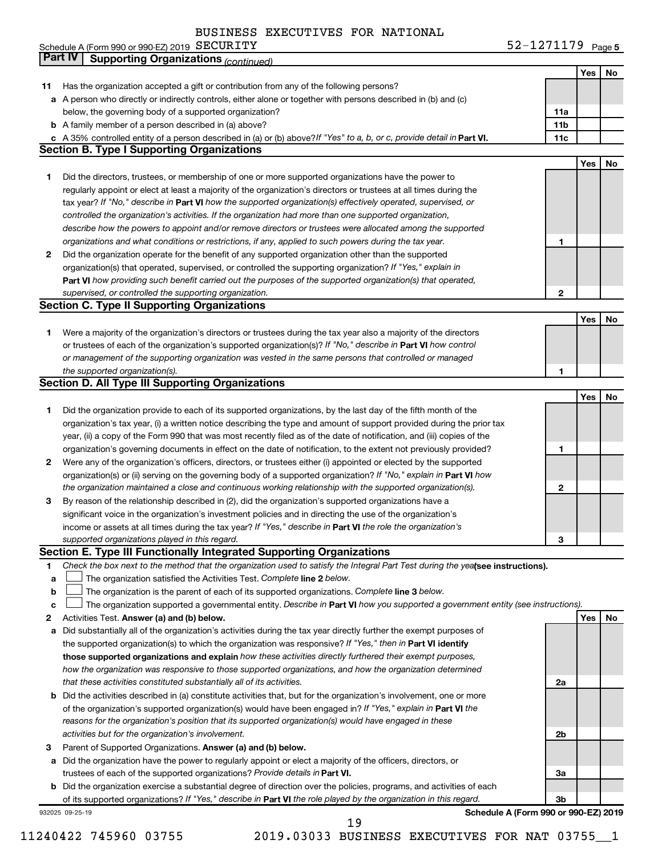|  | Schedule A (Form 990 or 990-EZ) 2019 $\rm \, SECURITY$ |  | $52 - 1271179$ Page 5 |  |
|--|--------------------------------------------------------|--|-----------------------|--|
|--|--------------------------------------------------------|--|-----------------------|--|

|             | Part IV<br><b>Supporting Organizations (continued)</b>                                                                          |                 |            |    |
|-------------|---------------------------------------------------------------------------------------------------------------------------------|-----------------|------------|----|
|             |                                                                                                                                 |                 | Yes        | No |
| 11          | Has the organization accepted a gift or contribution from any of the following persons?                                         |                 |            |    |
|             | a A person who directly or indirectly controls, either alone or together with persons described in (b) and (c)                  |                 |            |    |
|             | below, the governing body of a supported organization?                                                                          | 11a             |            |    |
|             | <b>b</b> A family member of a person described in (a) above?                                                                    | 11 <sub>b</sub> |            |    |
|             | c A 35% controlled entity of a person described in (a) or (b) above? If "Yes" to a, b, or c, provide detail in Part VI.         | 11c             |            |    |
|             | <b>Section B. Type I Supporting Organizations</b>                                                                               |                 |            |    |
|             |                                                                                                                                 |                 | Yes        | No |
|             |                                                                                                                                 |                 |            |    |
| 1           | Did the directors, trustees, or membership of one or more supported organizations have the power to                             |                 |            |    |
|             | regularly appoint or elect at least a majority of the organization's directors or trustees at all times during the              |                 |            |    |
|             | tax year? If "No," describe in Part VI how the supported organization(s) effectively operated, supervised, or                   |                 |            |    |
|             | controlled the organization's activities. If the organization had more than one supported organization,                         |                 |            |    |
|             | describe how the powers to appoint and/or remove directors or trustees were allocated among the supported                       |                 |            |    |
|             | organizations and what conditions or restrictions, if any, applied to such powers during the tax year.                          | 1               |            |    |
| 2           | Did the organization operate for the benefit of any supported organization other than the supported                             |                 |            |    |
|             | organization(s) that operated, supervised, or controlled the supporting organization? If "Yes," explain in                      |                 |            |    |
|             | Part VI how providing such benefit carried out the purposes of the supported organization(s) that operated,                     |                 |            |    |
|             | supervised, or controlled the supporting organization.                                                                          | $\mathbf{2}$    |            |    |
|             | <b>Section C. Type II Supporting Organizations</b>                                                                              |                 |            |    |
|             |                                                                                                                                 |                 | Yes        | No |
| 1           | Were a majority of the organization's directors or trustees during the tax year also a majority of the directors                |                 |            |    |
|             | or trustees of each of the organization's supported organization(s)? If "No," describe in Part VI how control                   |                 |            |    |
|             | or management of the supporting organization was vested in the same persons that controlled or managed                          |                 |            |    |
|             | the supported organization(s).                                                                                                  | 1               |            |    |
|             | <b>Section D. All Type III Supporting Organizations</b>                                                                         |                 |            |    |
|             |                                                                                                                                 |                 | Yes        | No |
| 1           | Did the organization provide to each of its supported organizations, by the last day of the fifth month of the                  |                 |            |    |
|             | organization's tax year, (i) a written notice describing the type and amount of support provided during the prior tax           |                 |            |    |
|             | year, (ii) a copy of the Form 990 that was most recently filed as of the date of notification, and (iii) copies of the          |                 |            |    |
|             | organization's governing documents in effect on the date of notification, to the extent not previously provided?                | 1               |            |    |
|             |                                                                                                                                 |                 |            |    |
| 2           | Were any of the organization's officers, directors, or trustees either (i) appointed or elected by the supported                |                 |            |    |
|             | organization(s) or (ii) serving on the governing body of a supported organization? If "No," explain in Part VI how              |                 |            |    |
|             | the organization maintained a close and continuous working relationship with the supported organization(s).                     | 2               |            |    |
| 3           | By reason of the relationship described in (2), did the organization's supported organizations have a                           |                 |            |    |
|             | significant voice in the organization's investment policies and in directing the use of the organization's                      |                 |            |    |
|             | income or assets at all times during the tax year? If "Yes," describe in Part VI the role the organization's                    |                 |            |    |
|             | supported organizations played in this regard.                                                                                  | з               |            |    |
|             | Section E. Type III Functionally Integrated Supporting Organizations                                                            |                 |            |    |
| 1           | Check the box next to the method that the organization used to satisfy the Integral Part Test during the yealsee instructions). |                 |            |    |
| a           | The organization satisfied the Activities Test. Complete line 2 below.                                                          |                 |            |    |
| $\mathbf b$ | The organization is the parent of each of its supported organizations. Complete line 3 below.                                   |                 |            |    |
| c           | The organization supported a governmental entity. Describe in Part VI how you supported a government entity (see instructions). |                 |            |    |
| 2           | Activities Test. Answer (a) and (b) below.                                                                                      |                 | <b>Yes</b> | No |
| а           | Did substantially all of the organization's activities during the tax year directly further the exempt purposes of              |                 |            |    |
|             | the supported organization(s) to which the organization was responsive? If "Yes," then in Part VI identify                      |                 |            |    |
|             | those supported organizations and explain how these activities directly furthered their exempt purposes,                        |                 |            |    |
|             | how the organization was responsive to those supported organizations, and how the organization determined                       |                 |            |    |
|             | that these activities constituted substantially all of its activities.                                                          | 2a              |            |    |
|             | <b>b</b> Did the activities described in (a) constitute activities that, but for the organization's involvement, one or more    |                 |            |    |
|             | of the organization's supported organization(s) would have been engaged in? If "Yes," explain in Part VI the                    |                 |            |    |
|             | reasons for the organization's position that its supported organization(s) would have engaged in these                          |                 |            |    |
|             | activities but for the organization's involvement.                                                                              | 2b              |            |    |
| З           | Parent of Supported Organizations. Answer (a) and (b) below.                                                                    |                 |            |    |
| а           | Did the organization have the power to regularly appoint or elect a majority of the officers, directors, or                     |                 |            |    |
|             |                                                                                                                                 | За              |            |    |
|             | trustees of each of the supported organizations? Provide details in Part VI.                                                    |                 |            |    |
|             | <b>b</b> Did the organization exercise a substantial degree of direction over the policies, programs, and activities of each    |                 |            |    |
|             | of its supported organizations? If "Yes," describe in Part VI the role played by the organization in this regard.               | 3b              |            |    |
|             | Schedule A (Form 990 or 990-EZ) 2019<br>932025 09-25-19                                                                         |                 |            |    |

11240422 745960 03755 2019.03033 BUSINESS EXECUTIVES FOR NAT 03755\_\_1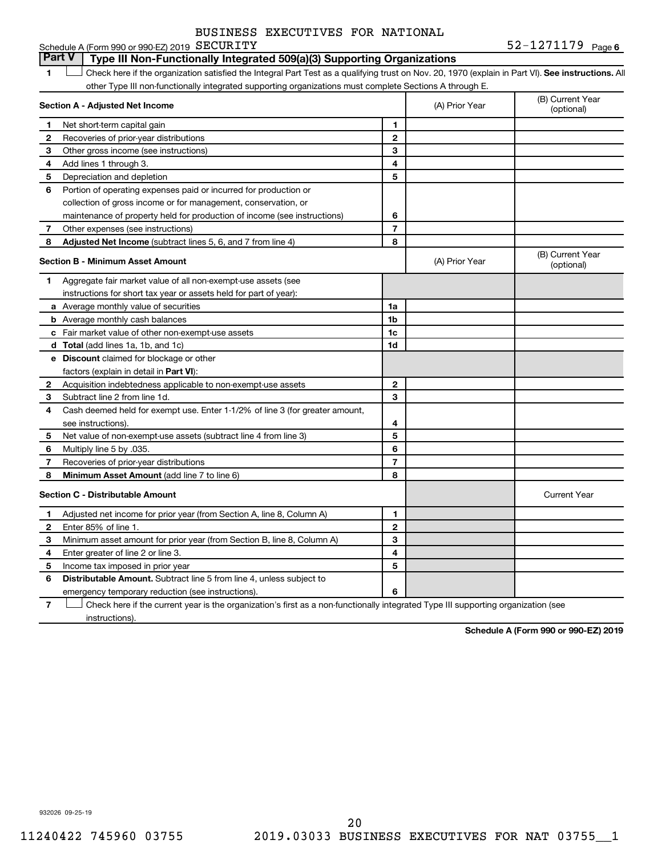#### **6** SECURITY **6**  $52-1271179$   $Page 6$

Schedule A (Form 990 or 990-EZ) 2019 SECURITY **Part V Type III Non-Functionally Integrated 509(a)(3) Supporting Organizations** 

1 **Letter See instructions.** All Check here if the organization satisfied the Integral Part Test as a qualifying trust on Nov. 20, 1970 (explain in Part VI). See instructions. All other Type III non-functionally integrated supporting organizations must complete Sections A through E.

|    | Section A - Adjusted Net Income                                              |                | (A) Prior Year | (B) Current Year<br>(optional) |
|----|------------------------------------------------------------------------------|----------------|----------------|--------------------------------|
| 1  | Net short-term capital gain                                                  | 1              |                |                                |
| 2  | Recoveries of prior-year distributions                                       | $\overline{2}$ |                |                                |
| 3  | Other gross income (see instructions)                                        | 3              |                |                                |
| 4  | Add lines 1 through 3.                                                       | 4              |                |                                |
| 5  | Depreciation and depletion                                                   | 5              |                |                                |
| 6  | Portion of operating expenses paid or incurred for production or             |                |                |                                |
|    | collection of gross income or for management, conservation, or               |                |                |                                |
|    | maintenance of property held for production of income (see instructions)     | 6              |                |                                |
| 7  | Other expenses (see instructions)                                            | $\overline{7}$ |                |                                |
| 8  | Adjusted Net Income (subtract lines 5, 6, and 7 from line 4)                 | 8              |                |                                |
|    | <b>Section B - Minimum Asset Amount</b>                                      |                | (A) Prior Year | (B) Current Year<br>(optional) |
| 1. | Aggregate fair market value of all non-exempt-use assets (see                |                |                |                                |
|    | instructions for short tax year or assets held for part of year):            |                |                |                                |
|    | a Average monthly value of securities                                        | 1a             |                |                                |
|    | <b>b</b> Average monthly cash balances                                       | 1 <sub>b</sub> |                |                                |
|    | c Fair market value of other non-exempt-use assets                           | 1c             |                |                                |
|    | d Total (add lines 1a, 1b, and 1c)                                           | 1d             |                |                                |
|    | <b>e</b> Discount claimed for blockage or other                              |                |                |                                |
|    | factors (explain in detail in Part VI):                                      |                |                |                                |
| 2  | Acquisition indebtedness applicable to non-exempt-use assets                 | $\mathbf{2}$   |                |                                |
| 3  | Subtract line 2 from line 1d.                                                | 3              |                |                                |
| 4  | Cash deemed held for exempt use. Enter 1-1/2% of line 3 (for greater amount, |                |                |                                |
|    | see instructions).                                                           | 4              |                |                                |
| 5  | Net value of non-exempt-use assets (subtract line 4 from line 3)             | 5              |                |                                |
| 6  | Multiply line 5 by .035.                                                     | 6              |                |                                |
| 7  | Recoveries of prior-year distributions                                       | $\overline{7}$ |                |                                |
| 8  | Minimum Asset Amount (add line 7 to line 6)                                  | 8              |                |                                |
|    | <b>Section C - Distributable Amount</b>                                      |                |                | <b>Current Year</b>            |
| 1. | Adjusted net income for prior year (from Section A, line 8, Column A)        | 1              |                |                                |
| 2  | Enter 85% of line 1.                                                         | $\mathbf{2}$   |                |                                |
| 3  | Minimum asset amount for prior year (from Section B, line 8, Column A)       | 3              |                |                                |
| 4  | Enter greater of line 2 or line 3.                                           | 4              |                |                                |
| 5  | Income tax imposed in prior year                                             | 5              |                |                                |
| 6  | <b>Distributable Amount.</b> Subtract line 5 from line 4, unless subject to  |                |                |                                |
|    | emergency temporary reduction (see instructions).                            | 6              |                |                                |
|    |                                                                              |                |                |                                |

**7** Check here if the current year is the organization's first as a non-functionally integrated Type III supporting organization (see † instructions).

**Schedule A (Form 990 or 990-EZ) 2019**

932026 09-25-19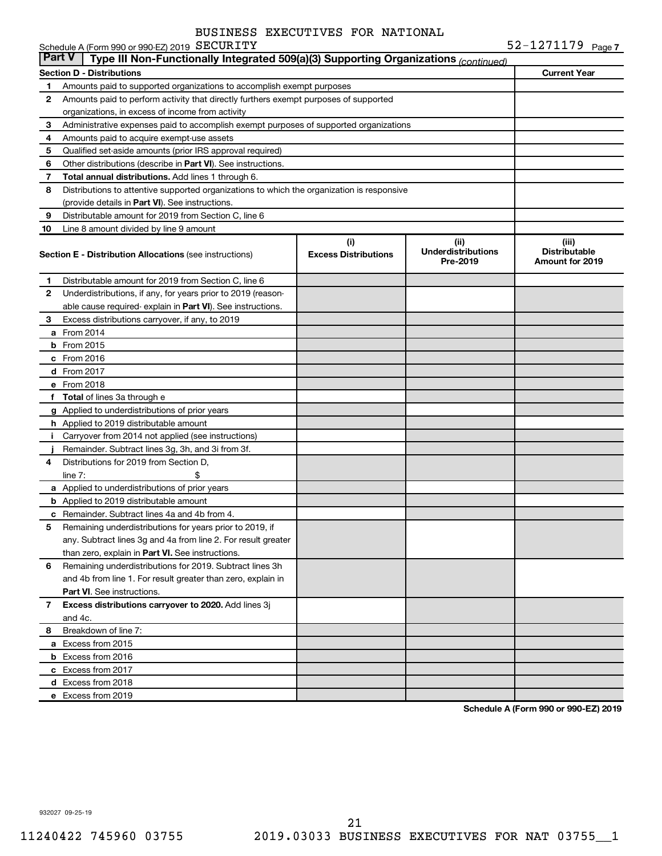|               | Schedule A (Form 990 or 990-EZ) 2019 SECURITY                                              |                                    |                                               | 52-1271179 Page 7                                       |
|---------------|--------------------------------------------------------------------------------------------|------------------------------------|-----------------------------------------------|---------------------------------------------------------|
| <b>Part V</b> | Type III Non-Functionally Integrated 509(a)(3) Supporting Organizations (continued)        |                                    |                                               |                                                         |
|               | <b>Section D - Distributions</b>                                                           |                                    |                                               | <b>Current Year</b>                                     |
| 1             | Amounts paid to supported organizations to accomplish exempt purposes                      |                                    |                                               |                                                         |
| 2             | Amounts paid to perform activity that directly furthers exempt purposes of supported       |                                    |                                               |                                                         |
|               | organizations, in excess of income from activity                                           |                                    |                                               |                                                         |
| 3             | Administrative expenses paid to accomplish exempt purposes of supported organizations      |                                    |                                               |                                                         |
| 4             | Amounts paid to acquire exempt-use assets                                                  |                                    |                                               |                                                         |
| 5             | Qualified set-aside amounts (prior IRS approval required)                                  |                                    |                                               |                                                         |
| 6             | Other distributions (describe in <b>Part VI</b> ). See instructions.                       |                                    |                                               |                                                         |
| 7             | Total annual distributions. Add lines 1 through 6.                                         |                                    |                                               |                                                         |
| 8             | Distributions to attentive supported organizations to which the organization is responsive |                                    |                                               |                                                         |
|               | (provide details in Part VI). See instructions.                                            |                                    |                                               |                                                         |
| 9             | Distributable amount for 2019 from Section C, line 6                                       |                                    |                                               |                                                         |
| 10            | Line 8 amount divided by line 9 amount                                                     |                                    |                                               |                                                         |
|               | <b>Section E - Distribution Allocations (see instructions)</b>                             | (i)<br><b>Excess Distributions</b> | (ii)<br><b>Underdistributions</b><br>Pre-2019 | (iii)<br><b>Distributable</b><br><b>Amount for 2019</b> |
| 1             | Distributable amount for 2019 from Section C, line 6                                       |                                    |                                               |                                                         |
| 2             | Underdistributions, if any, for years prior to 2019 (reason-                               |                                    |                                               |                                                         |
|               | able cause required- explain in <b>Part VI</b> ). See instructions.                        |                                    |                                               |                                                         |
| 3             | Excess distributions carryover, if any, to 2019                                            |                                    |                                               |                                                         |
|               | <b>a</b> From 2014                                                                         |                                    |                                               |                                                         |
| b             | From 2015                                                                                  |                                    |                                               |                                                         |
|               | $c$ From 2016                                                                              |                                    |                                               |                                                         |
|               | <b>d</b> From 2017                                                                         |                                    |                                               |                                                         |
|               | e From 2018                                                                                |                                    |                                               |                                                         |
|               | f Total of lines 3a through e                                                              |                                    |                                               |                                                         |
|               | g Applied to underdistributions of prior years                                             |                                    |                                               |                                                         |
|               | <b>h</b> Applied to 2019 distributable amount                                              |                                    |                                               |                                                         |
| Ť.            | Carryover from 2014 not applied (see instructions)                                         |                                    |                                               |                                                         |
|               | Remainder. Subtract lines 3g, 3h, and 3i from 3f.                                          |                                    |                                               |                                                         |
| 4             | Distributions for 2019 from Section D,                                                     |                                    |                                               |                                                         |
|               | \$<br>$line 7$ :                                                                           |                                    |                                               |                                                         |
|               | a Applied to underdistributions of prior years                                             |                                    |                                               |                                                         |
|               | <b>b</b> Applied to 2019 distributable amount                                              |                                    |                                               |                                                         |
|               | <b>c</b> Remainder. Subtract lines 4a and 4b from 4.                                       |                                    |                                               |                                                         |
|               | Remaining underdistributions for years prior to 2019, if                                   |                                    |                                               |                                                         |
|               | any. Subtract lines 3g and 4a from line 2. For result greater                              |                                    |                                               |                                                         |
|               | than zero, explain in Part VI. See instructions.                                           |                                    |                                               |                                                         |
| 6             | Remaining underdistributions for 2019. Subtract lines 3h                                   |                                    |                                               |                                                         |
|               | and 4b from line 1. For result greater than zero, explain in                               |                                    |                                               |                                                         |
|               | <b>Part VI.</b> See instructions.                                                          |                                    |                                               |                                                         |
| $\mathbf{7}$  | Excess distributions carryover to 2020. Add lines 3j                                       |                                    |                                               |                                                         |
|               | and 4c.                                                                                    |                                    |                                               |                                                         |
| 8             | Breakdown of line 7:                                                                       |                                    |                                               |                                                         |
|               | a Excess from 2015                                                                         |                                    |                                               |                                                         |
|               | <b>b</b> Excess from 2016                                                                  |                                    |                                               |                                                         |
|               | c Excess from 2017                                                                         |                                    |                                               |                                                         |
|               | d Excess from 2018                                                                         |                                    |                                               |                                                         |
|               | e Excess from 2019                                                                         |                                    |                                               |                                                         |
|               |                                                                                            |                                    |                                               |                                                         |

**Schedule A (Form 990 or 990-EZ) 2019**

932027 09-25-19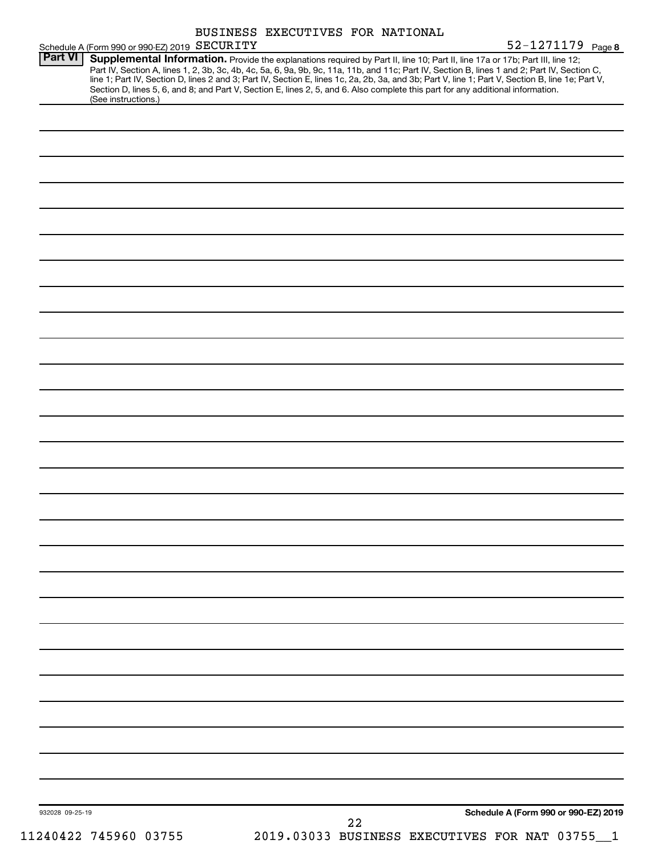|                 |                                                                                                                                                                                                                                                                                                                                | BUSINESS EXECUTIVES FOR NATIONAL |    |  |                                      |  |
|-----------------|--------------------------------------------------------------------------------------------------------------------------------------------------------------------------------------------------------------------------------------------------------------------------------------------------------------------------------|----------------------------------|----|--|--------------------------------------|--|
| <b>Part VI</b>  | Schedule A (Form 990 or 990-EZ) 2019 SECURITY<br>Supplemental Information. Provide the explanations required by Part II, line 10; Part II, line 17a or 17b; Part III, line 12;<br>Part IV, Section A, lines 1, 2, 3b, 3c, 4b, 4c, 5a, 6, 9a, 9b, 9c, 11a, 11b, and 11c; Part IV, Section B, lines 1 and 2; Part IV, Section C, |                                  |    |  | 52-1271179 Page 8                    |  |
|                 | line 1; Part IV, Section D, lines 2 and 3; Part IV, Section E, lines 1c, 2a, 2b, 3a, and 3b; Part V, line 1; Part V, Section B, line 1e; Part V,<br>Section D, lines 5, 6, and 8; and Part V, Section E, lines 2, 5, and 6. Also complete this part for any additional information.<br>(See instructions.)                     |                                  |    |  |                                      |  |
|                 |                                                                                                                                                                                                                                                                                                                                |                                  |    |  |                                      |  |
|                 |                                                                                                                                                                                                                                                                                                                                |                                  |    |  |                                      |  |
|                 |                                                                                                                                                                                                                                                                                                                                |                                  |    |  |                                      |  |
|                 |                                                                                                                                                                                                                                                                                                                                |                                  |    |  |                                      |  |
|                 |                                                                                                                                                                                                                                                                                                                                |                                  |    |  |                                      |  |
|                 |                                                                                                                                                                                                                                                                                                                                |                                  |    |  |                                      |  |
|                 |                                                                                                                                                                                                                                                                                                                                |                                  |    |  |                                      |  |
|                 |                                                                                                                                                                                                                                                                                                                                |                                  |    |  |                                      |  |
|                 |                                                                                                                                                                                                                                                                                                                                |                                  |    |  |                                      |  |
|                 |                                                                                                                                                                                                                                                                                                                                |                                  |    |  |                                      |  |
|                 |                                                                                                                                                                                                                                                                                                                                |                                  |    |  |                                      |  |
|                 |                                                                                                                                                                                                                                                                                                                                |                                  |    |  |                                      |  |
|                 |                                                                                                                                                                                                                                                                                                                                |                                  |    |  |                                      |  |
|                 |                                                                                                                                                                                                                                                                                                                                |                                  |    |  |                                      |  |
|                 |                                                                                                                                                                                                                                                                                                                                |                                  |    |  |                                      |  |
|                 |                                                                                                                                                                                                                                                                                                                                |                                  |    |  |                                      |  |
|                 |                                                                                                                                                                                                                                                                                                                                |                                  |    |  |                                      |  |
|                 |                                                                                                                                                                                                                                                                                                                                |                                  |    |  |                                      |  |
|                 |                                                                                                                                                                                                                                                                                                                                |                                  |    |  |                                      |  |
|                 |                                                                                                                                                                                                                                                                                                                                |                                  |    |  |                                      |  |
|                 |                                                                                                                                                                                                                                                                                                                                |                                  |    |  |                                      |  |
|                 |                                                                                                                                                                                                                                                                                                                                |                                  |    |  |                                      |  |
|                 |                                                                                                                                                                                                                                                                                                                                |                                  |    |  |                                      |  |
|                 |                                                                                                                                                                                                                                                                                                                                |                                  |    |  |                                      |  |
|                 |                                                                                                                                                                                                                                                                                                                                |                                  |    |  |                                      |  |
|                 |                                                                                                                                                                                                                                                                                                                                |                                  |    |  |                                      |  |
|                 |                                                                                                                                                                                                                                                                                                                                |                                  |    |  |                                      |  |
|                 |                                                                                                                                                                                                                                                                                                                                |                                  |    |  |                                      |  |
|                 |                                                                                                                                                                                                                                                                                                                                |                                  |    |  |                                      |  |
|                 |                                                                                                                                                                                                                                                                                                                                |                                  |    |  |                                      |  |
| 932028 09-25-19 |                                                                                                                                                                                                                                                                                                                                |                                  | 22 |  | Schedule A (Form 990 or 990-EZ) 2019 |  |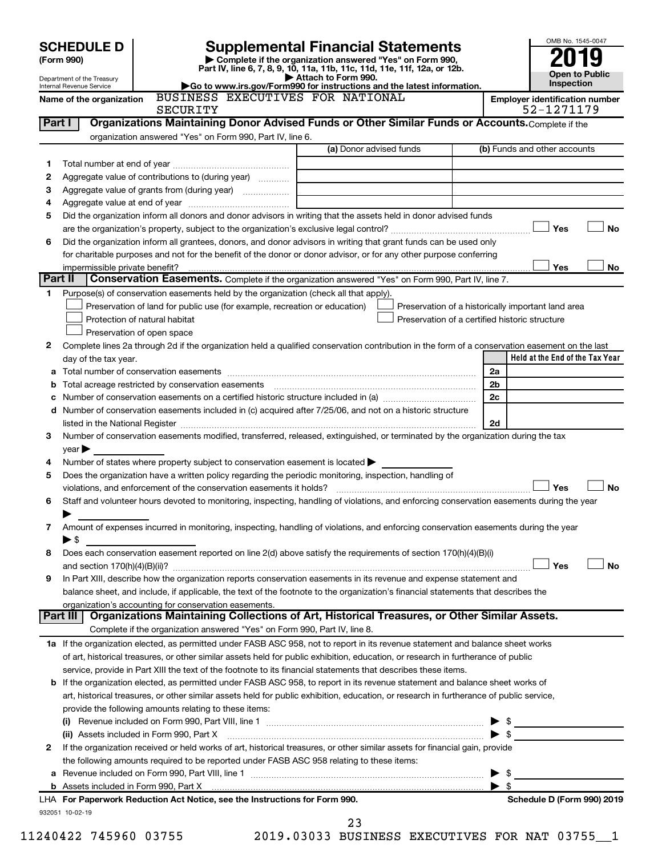|         | <b>SCHEDULE D</b>                                                                                                                                                                                                             | <b>Supplemental Financial Statements</b>                                                      |                       | OMB No. 1545-0047                                   |  |  |  |
|---------|-------------------------------------------------------------------------------------------------------------------------------------------------------------------------------------------------------------------------------|-----------------------------------------------------------------------------------------------|-----------------------|-----------------------------------------------------|--|--|--|
|         | (Form 990)                                                                                                                                                                                                                    | Complete if the organization answered "Yes" on Form 990,                                      |                       |                                                     |  |  |  |
|         |                                                                                                                                                                                                                               | Part IV, line 6, 7, 8, 9, 10, 11a, 11b, 11c, 11d, 11e, 11f, 12a, or 12b.                      | <b>Open to Public</b> |                                                     |  |  |  |
|         | Department of the Treasury<br>Internal Revenue Service                                                                                                                                                                        | Attach to Form 990.<br>Go to www.irs.gov/Form990 for instructions and the latest information. |                       | Inspection                                          |  |  |  |
|         | BUSINESS EXECUTIVES FOR NATIONAL<br>Name of the organization<br><b>SECURITY</b>                                                                                                                                               |                                                                                               |                       | <b>Employer identification number</b><br>52-1271179 |  |  |  |
| Part I  | Organizations Maintaining Donor Advised Funds or Other Similar Funds or Accounts. Complete if the                                                                                                                             |                                                                                               |                       |                                                     |  |  |  |
|         | organization answered "Yes" on Form 990, Part IV, line 6.                                                                                                                                                                     |                                                                                               |                       |                                                     |  |  |  |
|         |                                                                                                                                                                                                                               | (a) Donor advised funds                                                                       |                       | (b) Funds and other accounts                        |  |  |  |
| 1.      |                                                                                                                                                                                                                               |                                                                                               |                       |                                                     |  |  |  |
| 2       | Aggregate value of contributions to (during year)                                                                                                                                                                             |                                                                                               |                       |                                                     |  |  |  |
| 3       | Aggregate value of grants from (during year)                                                                                                                                                                                  |                                                                                               |                       |                                                     |  |  |  |
| 4       |                                                                                                                                                                                                                               |                                                                                               |                       |                                                     |  |  |  |
| 5       | Did the organization inform all donors and donor advisors in writing that the assets held in donor advised funds                                                                                                              |                                                                                               |                       |                                                     |  |  |  |
|         |                                                                                                                                                                                                                               |                                                                                               |                       | Yes<br>No                                           |  |  |  |
| 6       | Did the organization inform all grantees, donors, and donor advisors in writing that grant funds can be used only                                                                                                             |                                                                                               |                       |                                                     |  |  |  |
|         | for charitable purposes and not for the benefit of the donor or donor advisor, or for any other purpose conferring                                                                                                            |                                                                                               |                       |                                                     |  |  |  |
|         | impermissible private benefit?                                                                                                                                                                                                |                                                                                               |                       | Yes<br>No                                           |  |  |  |
| Part II | Conservation Easements. Complete if the organization answered "Yes" on Form 990, Part IV, line 7.                                                                                                                             |                                                                                               |                       |                                                     |  |  |  |
| 1.      | Purpose(s) of conservation easements held by the organization (check all that apply).                                                                                                                                         |                                                                                               |                       |                                                     |  |  |  |
|         | Preservation of land for public use (for example, recreation or education)                                                                                                                                                    | Preservation of a historically important land area                                            |                       |                                                     |  |  |  |
|         | Protection of natural habitat                                                                                                                                                                                                 | Preservation of a certified historic structure                                                |                       |                                                     |  |  |  |
|         | Preservation of open space                                                                                                                                                                                                    |                                                                                               |                       |                                                     |  |  |  |
| 2       | Complete lines 2a through 2d if the organization held a qualified conservation contribution in the form of a conservation easement on the last                                                                                |                                                                                               |                       |                                                     |  |  |  |
|         | day of the tax year.                                                                                                                                                                                                          |                                                                                               |                       | Held at the End of the Tax Year                     |  |  |  |
| а       |                                                                                                                                                                                                                               |                                                                                               | 2a                    |                                                     |  |  |  |
| b       | Total acreage restricted by conservation easements                                                                                                                                                                            |                                                                                               | 2b                    |                                                     |  |  |  |
| с       |                                                                                                                                                                                                                               |                                                                                               | 2c                    |                                                     |  |  |  |
| d       | Number of conservation easements included in (c) acquired after 7/25/06, and not on a historic structure                                                                                                                      |                                                                                               |                       |                                                     |  |  |  |
|         | listed in the National Register [111] Marshall Register [11] Marshall Register [11] Marshall Register [11] Marshall Register [11] Marshall Register [11] Marshall Register [11] Marshall Register [11] Marshall Register [11] |                                                                                               | 2d                    |                                                     |  |  |  |
| 3       | Number of conservation easements modified, transferred, released, extinguished, or terminated by the organization during the tax                                                                                              |                                                                                               |                       |                                                     |  |  |  |
|         | $\vee$ ear $\blacktriangleright$                                                                                                                                                                                              |                                                                                               |                       |                                                     |  |  |  |
| 4       | Number of states where property subject to conservation easement is located >                                                                                                                                                 |                                                                                               |                       |                                                     |  |  |  |
| 5       | Does the organization have a written policy regarding the periodic monitoring, inspection, handling of                                                                                                                        |                                                                                               |                       |                                                     |  |  |  |
|         | violations, and enforcement of the conservation easements it holds?                                                                                                                                                           |                                                                                               |                       | Yes<br>No                                           |  |  |  |
| 6       | Staff and volunteer hours devoted to monitoring, inspecting, handling of violations, and enforcing conservation easements during the year                                                                                     |                                                                                               |                       |                                                     |  |  |  |
|         |                                                                                                                                                                                                                               |                                                                                               |                       |                                                     |  |  |  |
| 7       | Amount of expenses incurred in monitoring, inspecting, handling of violations, and enforcing conservation easements during the year                                                                                           |                                                                                               |                       |                                                     |  |  |  |
|         | ▶ \$                                                                                                                                                                                                                          |                                                                                               |                       |                                                     |  |  |  |
| 8       | Does each conservation easement reported on line 2(d) above satisfy the requirements of section 170(h)(4)(B)(i)                                                                                                               |                                                                                               |                       |                                                     |  |  |  |
|         |                                                                                                                                                                                                                               |                                                                                               |                       | Yes<br><b>No</b>                                    |  |  |  |
| 9       | In Part XIII, describe how the organization reports conservation easements in its revenue and expense statement and                                                                                                           |                                                                                               |                       |                                                     |  |  |  |
|         | balance sheet, and include, if applicable, the text of the footnote to the organization's financial statements that describes the                                                                                             |                                                                                               |                       |                                                     |  |  |  |
|         | organization's accounting for conservation easements.                                                                                                                                                                         |                                                                                               |                       |                                                     |  |  |  |
|         | Organizations Maintaining Collections of Art, Historical Treasures, or Other Similar Assets.<br>Part III                                                                                                                      |                                                                                               |                       |                                                     |  |  |  |
|         | Complete if the organization answered "Yes" on Form 990, Part IV, line 8.                                                                                                                                                     |                                                                                               |                       |                                                     |  |  |  |
|         | 1a If the organization elected, as permitted under FASB ASC 958, not to report in its revenue statement and balance sheet works                                                                                               |                                                                                               |                       |                                                     |  |  |  |
|         | of art, historical treasures, or other similar assets held for public exhibition, education, or research in furtherance of public                                                                                             |                                                                                               |                       |                                                     |  |  |  |
|         | service, provide in Part XIII the text of the footnote to its financial statements that describes these items.                                                                                                                |                                                                                               |                       |                                                     |  |  |  |
|         | <b>b</b> If the organization elected, as permitted under FASB ASC 958, to report in its revenue statement and balance sheet works of                                                                                          |                                                                                               |                       |                                                     |  |  |  |
|         | art, historical treasures, or other similar assets held for public exhibition, education, or research in furtherance of public service,                                                                                       |                                                                                               |                       |                                                     |  |  |  |
|         | provide the following amounts relating to these items:                                                                                                                                                                        |                                                                                               |                       |                                                     |  |  |  |
|         |                                                                                                                                                                                                                               |                                                                                               |                       |                                                     |  |  |  |
|         | (ii) Assets included in Form 990, Part X                                                                                                                                                                                      |                                                                                               |                       |                                                     |  |  |  |
| 2       | If the organization received or held works of art, historical treasures, or other similar assets for financial gain, provide                                                                                                  |                                                                                               |                       |                                                     |  |  |  |
|         | the following amounts required to be reported under FASB ASC 958 relating to these items:                                                                                                                                     |                                                                                               |                       |                                                     |  |  |  |
| а       |                                                                                                                                                                                                                               |                                                                                               |                       |                                                     |  |  |  |
|         |                                                                                                                                                                                                                               |                                                                                               |                       | \$                                                  |  |  |  |
|         | LHA For Paperwork Reduction Act Notice, see the Instructions for Form 990.                                                                                                                                                    |                                                                                               |                       | Schedule D (Form 990) 2019                          |  |  |  |
|         | 932051 10-02-19                                                                                                                                                                                                               |                                                                                               |                       |                                                     |  |  |  |

11240422 745960 03755 2019.03033 BUSINESS EXECUTIVES FOR NAT 03755\_\_1 23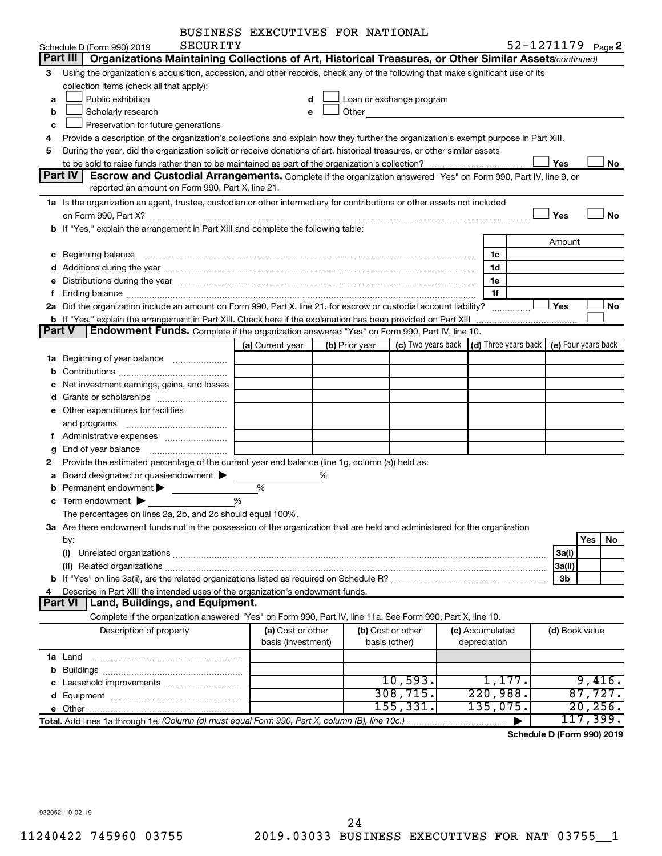| BUSINESS EXECUTIVES FOR NATIONAL |  |
|----------------------------------|--|
|                                  |  |

|        | SECURITY<br>Schedule D (Form 990) 2019                                                                                                                                                                                                |                    |   |                   |                          |                      | 52-1271179 Page 2   |
|--------|---------------------------------------------------------------------------------------------------------------------------------------------------------------------------------------------------------------------------------------|--------------------|---|-------------------|--------------------------|----------------------|---------------------|
|        | Part III<br>Organizations Maintaining Collections of Art, Historical Treasures, or Other Similar Assets (continued)                                                                                                                   |                    |   |                   |                          |                      |                     |
| 3.     | Using the organization's acquisition, accession, and other records, check any of the following that make significant use of its                                                                                                       |                    |   |                   |                          |                      |                     |
|        | collection items (check all that apply):                                                                                                                                                                                              |                    |   |                   |                          |                      |                     |
| a      | Public exhibition                                                                                                                                                                                                                     | d                  |   |                   | Loan or exchange program |                      |                     |
| b      | Scholarly research                                                                                                                                                                                                                    | е                  |   | Other             |                          |                      |                     |
| C      | Preservation for future generations                                                                                                                                                                                                   |                    |   |                   |                          |                      |                     |
| 4      | Provide a description of the organization's collections and explain how they further the organization's exempt purpose in Part XIII.                                                                                                  |                    |   |                   |                          |                      |                     |
| 5      | During the year, did the organization solicit or receive donations of art, historical treasures, or other similar assets                                                                                                              |                    |   |                   |                          |                      |                     |
|        |                                                                                                                                                                                                                                       |                    |   |                   |                          |                      | Yes<br>No           |
|        | Part IV<br>Escrow and Custodial Arrangements. Complete if the organization answered "Yes" on Form 990, Part IV, line 9, or                                                                                                            |                    |   |                   |                          |                      |                     |
|        | reported an amount on Form 990, Part X, line 21.                                                                                                                                                                                      |                    |   |                   |                          |                      |                     |
|        | 1a Is the organization an agent, trustee, custodian or other intermediary for contributions or other assets not included                                                                                                              |                    |   |                   |                          |                      |                     |
|        |                                                                                                                                                                                                                                       |                    |   |                   |                          |                      | Yes<br>No           |
|        | b If "Yes," explain the arrangement in Part XIII and complete the following table:                                                                                                                                                    |                    |   |                   |                          |                      |                     |
|        |                                                                                                                                                                                                                                       |                    |   |                   |                          |                      | Amount              |
|        |                                                                                                                                                                                                                                       |                    |   |                   |                          | 1c                   |                     |
|        |                                                                                                                                                                                                                                       |                    |   |                   |                          | 1d                   |                     |
|        | e Distributions during the year manufactured and contained and contained and the year manufactured and contained and the year manufactured and contained and contained and contained and contained and contained and contained        |                    |   |                   |                          | 1e                   |                     |
| f.     |                                                                                                                                                                                                                                       |                    |   |                   |                          | 1f                   |                     |
|        | 2a Did the organization include an amount on Form 990, Part X, line 21, for escrow or custodial account liability?                                                                                                                    |                    |   |                   |                          |                      | Yes<br>No.          |
|        | <b>b</b> If "Yes," explain the arrangement in Part XIII. Check here if the explanation has been provided on Part XIII<br>Endowment Funds. Complete if the organization answered "Yes" on Form 990, Part IV, line 10.<br><b>Part V</b> |                    |   |                   |                          |                      |                     |
|        |                                                                                                                                                                                                                                       |                    |   |                   |                          |                      |                     |
|        |                                                                                                                                                                                                                                       | (a) Current year   |   | (b) Prior year    | (c) Two years back       | (d) Three years back | (e) Four years back |
|        | 1a Beginning of year balance                                                                                                                                                                                                          |                    |   |                   |                          |                      |                     |
| b      |                                                                                                                                                                                                                                       |                    |   |                   |                          |                      |                     |
| c      | Net investment earnings, gains, and losses                                                                                                                                                                                            |                    |   |                   |                          |                      |                     |
|        |                                                                                                                                                                                                                                       |                    |   |                   |                          |                      |                     |
|        | e Other expenditures for facilities                                                                                                                                                                                                   |                    |   |                   |                          |                      |                     |
|        | and programs                                                                                                                                                                                                                          |                    |   |                   |                          |                      |                     |
|        |                                                                                                                                                                                                                                       |                    |   |                   |                          |                      |                     |
| g<br>2 | Provide the estimated percentage of the current year end balance (line 1g, column (a)) held as:                                                                                                                                       |                    |   |                   |                          |                      |                     |
| a      | Board designated or quasi-endowment                                                                                                                                                                                                   |                    | % |                   |                          |                      |                     |
| b      | Permanent endowment                                                                                                                                                                                                                   | %                  |   |                   |                          |                      |                     |
| c      | Term endowment $\blacktriangleright$                                                                                                                                                                                                  | %                  |   |                   |                          |                      |                     |
|        | The percentages on lines 2a, 2b, and 2c should equal 100%.                                                                                                                                                                            |                    |   |                   |                          |                      |                     |
|        | 3a Are there endowment funds not in the possession of the organization that are held and administered for the organization                                                                                                            |                    |   |                   |                          |                      |                     |
|        | by:                                                                                                                                                                                                                                   |                    |   |                   |                          |                      | Yes<br>No.          |
|        | (i)                                                                                                                                                                                                                                   |                    |   |                   |                          |                      | 3a(i)               |
|        | (ii) Related organizations <b>constructions</b> and construction of the construction of the construction of the construction of the construction of the construction of the construction of the construction of the construction of   |                    |   |                   |                          |                      | 3a(ii)              |
|        |                                                                                                                                                                                                                                       |                    |   |                   |                          |                      | 3b                  |
| 4      | Describe in Part XIII the intended uses of the organization's endowment funds.                                                                                                                                                        |                    |   |                   |                          |                      |                     |
|        | Part VI   Land, Buildings, and Equipment.                                                                                                                                                                                             |                    |   |                   |                          |                      |                     |
|        | Complete if the organization answered "Yes" on Form 990, Part IV, line 11a. See Form 990, Part X, line 10.                                                                                                                            |                    |   |                   |                          |                      |                     |
|        | Description of property                                                                                                                                                                                                               | (a) Cost or other  |   | (b) Cost or other |                          | (c) Accumulated      | (d) Book value      |
|        |                                                                                                                                                                                                                                       | basis (investment) |   | basis (other)     |                          | depreciation         |                     |
|        |                                                                                                                                                                                                                                       |                    |   |                   |                          |                      |                     |
|        |                                                                                                                                                                                                                                       |                    |   |                   |                          |                      |                     |
|        |                                                                                                                                                                                                                                       |                    |   |                   | 10,593.                  | 1,177.               | 9,416.              |
|        |                                                                                                                                                                                                                                       |                    |   |                   | 308, 715.                | 220,988.             | 87,727.             |
|        |                                                                                                                                                                                                                                       |                    |   |                   | 155, 331.                | $135,075$ .          | 20, 256.            |
|        | Total. Add lines 1a through 1e. (Column (d) must equal Form 990, Part X, column (B), line 10c.)                                                                                                                                       |                    |   |                   |                          |                      | 117,399.            |

**Schedule D (Form 990) 2019**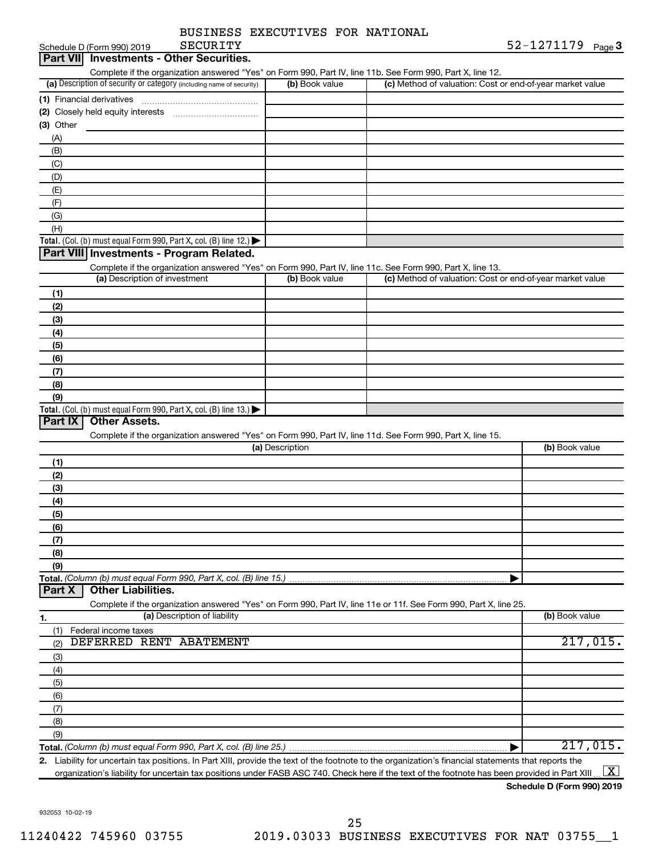| SECURITY<br>Schedule D (Form 990) 2019                                                                                                                                                                                                                                                                 |                 |                                                           | 52-1271179<br>Page $3$ |
|--------------------------------------------------------------------------------------------------------------------------------------------------------------------------------------------------------------------------------------------------------------------------------------------------------|-----------------|-----------------------------------------------------------|------------------------|
| Part VII Investments - Other Securities.                                                                                                                                                                                                                                                               |                 |                                                           |                        |
| Complete if the organization answered "Yes" on Form 990, Part IV, line 11b. See Form 990, Part X, line 12.                                                                                                                                                                                             |                 |                                                           |                        |
| (a) Description of security or category (including name of security)                                                                                                                                                                                                                                   | (b) Book value  | (c) Method of valuation: Cost or end-of-year market value |                        |
|                                                                                                                                                                                                                                                                                                        |                 |                                                           |                        |
|                                                                                                                                                                                                                                                                                                        |                 |                                                           |                        |
| $(3)$ Other                                                                                                                                                                                                                                                                                            |                 |                                                           |                        |
| (A)                                                                                                                                                                                                                                                                                                    |                 |                                                           |                        |
| (B)                                                                                                                                                                                                                                                                                                    |                 |                                                           |                        |
| (C)                                                                                                                                                                                                                                                                                                    |                 |                                                           |                        |
| (D)                                                                                                                                                                                                                                                                                                    |                 |                                                           |                        |
| (E)                                                                                                                                                                                                                                                                                                    |                 |                                                           |                        |
| (F)                                                                                                                                                                                                                                                                                                    |                 |                                                           |                        |
| (G)                                                                                                                                                                                                                                                                                                    |                 |                                                           |                        |
| (H)                                                                                                                                                                                                                                                                                                    |                 |                                                           |                        |
| Total. (Col. (b) must equal Form 990, Part X, col. (B) line 12.)                                                                                                                                                                                                                                       |                 |                                                           |                        |
| Part VIII Investments - Program Related.                                                                                                                                                                                                                                                               |                 |                                                           |                        |
|                                                                                                                                                                                                                                                                                                        |                 |                                                           |                        |
| Complete if the organization answered "Yes" on Form 990, Part IV, line 11c. See Form 990, Part X, line 13.<br>(a) Description of investment                                                                                                                                                            | (b) Book value  | (c) Method of valuation: Cost or end-of-year market value |                        |
|                                                                                                                                                                                                                                                                                                        |                 |                                                           |                        |
| (1)                                                                                                                                                                                                                                                                                                    |                 |                                                           |                        |
| (2)                                                                                                                                                                                                                                                                                                    |                 |                                                           |                        |
| (3)                                                                                                                                                                                                                                                                                                    |                 |                                                           |                        |
| (4)                                                                                                                                                                                                                                                                                                    |                 |                                                           |                        |
| (5)                                                                                                                                                                                                                                                                                                    |                 |                                                           |                        |
| (6)                                                                                                                                                                                                                                                                                                    |                 |                                                           |                        |
| (7)                                                                                                                                                                                                                                                                                                    |                 |                                                           |                        |
| (8)                                                                                                                                                                                                                                                                                                    |                 |                                                           |                        |
| (9)                                                                                                                                                                                                                                                                                                    |                 |                                                           |                        |
| Total. (Col. (b) must equal Form 990, Part X, col. (B) line $13.$ )                                                                                                                                                                                                                                    |                 |                                                           |                        |
| Part IX<br><b>Other Assets.</b>                                                                                                                                                                                                                                                                        |                 |                                                           |                        |
| Complete if the organization answered "Yes" on Form 990, Part IV, line 11d. See Form 990, Part X, line 15.                                                                                                                                                                                             |                 |                                                           |                        |
|                                                                                                                                                                                                                                                                                                        | (a) Description |                                                           | (b) Book value         |
| (1)                                                                                                                                                                                                                                                                                                    |                 |                                                           |                        |
| (2)                                                                                                                                                                                                                                                                                                    |                 |                                                           |                        |
| (3)                                                                                                                                                                                                                                                                                                    |                 |                                                           |                        |
| (4)                                                                                                                                                                                                                                                                                                    |                 |                                                           |                        |
|                                                                                                                                                                                                                                                                                                        |                 |                                                           |                        |
| (5)                                                                                                                                                                                                                                                                                                    |                 |                                                           |                        |
| (6)                                                                                                                                                                                                                                                                                                    |                 |                                                           |                        |
| (7)                                                                                                                                                                                                                                                                                                    |                 |                                                           |                        |
| (8)                                                                                                                                                                                                                                                                                                    |                 |                                                           |                        |
| (9)                                                                                                                                                                                                                                                                                                    |                 |                                                           |                        |
| Total. (Column (b) must equal Form 990, Part X, col. (B) line 15.)                                                                                                                                                                                                                                     |                 |                                                           |                        |
| <b>Other Liabilities.</b><br>Part X                                                                                                                                                                                                                                                                    |                 |                                                           |                        |
| Complete if the organization answered "Yes" on Form 990, Part IV, line 11e or 11f. See Form 990, Part X, line 25.                                                                                                                                                                                      |                 |                                                           |                        |
| (a) Description of liability<br>1.                                                                                                                                                                                                                                                                     |                 |                                                           | (b) Book value         |
| Federal income taxes<br>(1)                                                                                                                                                                                                                                                                            |                 |                                                           |                        |
| DEFERRED RENT ABATEMENT<br>(2)                                                                                                                                                                                                                                                                         |                 |                                                           | 217,015.               |
| (3)                                                                                                                                                                                                                                                                                                    |                 |                                                           |                        |
| (4)                                                                                                                                                                                                                                                                                                    |                 |                                                           |                        |
| (5)                                                                                                                                                                                                                                                                                                    |                 |                                                           |                        |
| (6)                                                                                                                                                                                                                                                                                                    |                 |                                                           |                        |
| (7)                                                                                                                                                                                                                                                                                                    |                 |                                                           |                        |
| (8)                                                                                                                                                                                                                                                                                                    |                 |                                                           |                        |
|                                                                                                                                                                                                                                                                                                        |                 |                                                           |                        |
| (9)                                                                                                                                                                                                                                                                                                    |                 |                                                           | 217,015.               |
|                                                                                                                                                                                                                                                                                                        |                 |                                                           |                        |
| 2. Liability for uncertain tax positions. In Part XIII, provide the text of the footnote to the organization's financial statements that reports the<br>organization's liability for uncertain tax positions under FASB ASC 740. Check here if the text of the footnote has been provided in Part XIII |                 |                                                           |                        |

**Schedule D (Form 990) 2019**

932053 10-02-19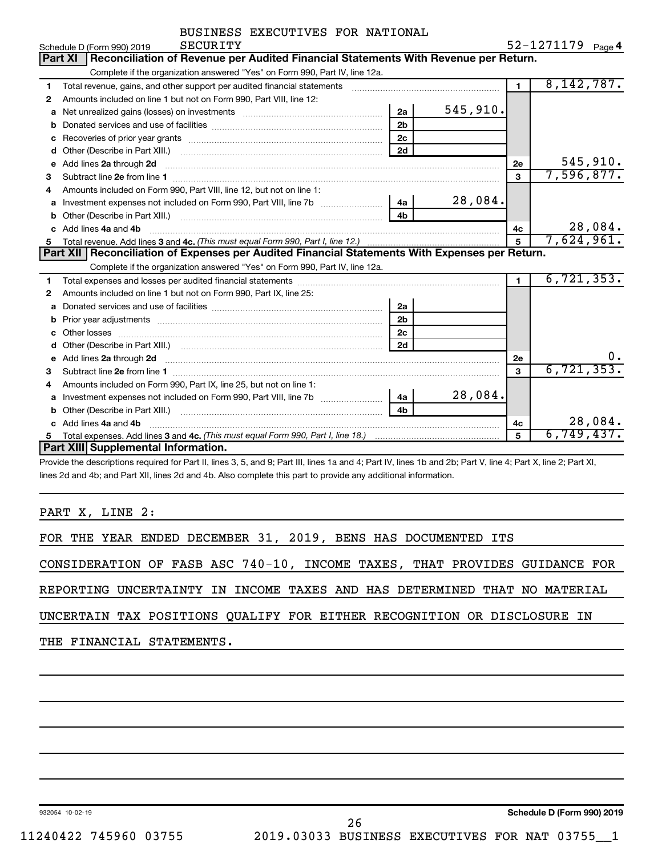| BUSINESS EXECUTIVES FOR NATIONAL |  |
|----------------------------------|--|
|                                  |  |

|    | SECURITY<br>Schedule D (Form 990) 2019                                                                                                                                                                                                                 |                |                | 52-1271179 Page 4 |
|----|--------------------------------------------------------------------------------------------------------------------------------------------------------------------------------------------------------------------------------------------------------|----------------|----------------|-------------------|
|    | Reconciliation of Revenue per Audited Financial Statements With Revenue per Return.<br><b>Part XI</b>                                                                                                                                                  |                |                |                   |
|    | Complete if the organization answered "Yes" on Form 990, Part IV, line 12a.                                                                                                                                                                            |                |                |                   |
| 1  | Total revenue, gains, and other support per audited financial statements                                                                                                                                                                               |                | $\blacksquare$ | 8, 142, 787.      |
| 2  | Amounts included on line 1 but not on Form 990, Part VIII, line 12:                                                                                                                                                                                    |                |                |                   |
| a  |                                                                                                                                                                                                                                                        | 2a             | 545, 910.      |                   |
| b  |                                                                                                                                                                                                                                                        | 2 <sub>b</sub> |                |                   |
| c  |                                                                                                                                                                                                                                                        | 2 <sub>c</sub> |                |                   |
| d  |                                                                                                                                                                                                                                                        | 2d             |                |                   |
| e  | Add lines 2a through 2d <b>[10]</b> [20] <b>All and Primes 22</b> through 2d <b>[10] All and Primes 24</b> through 2d <b>[10] Primes 24</b> through 2d <b>[10] Primes 24</b> through 2d <b>[10] Primes 24</b> through 2d <b>[10] Primes 24</b> through |                | 2e             | 545,910.          |
| 3  |                                                                                                                                                                                                                                                        |                | 3              | 7,596,877.        |
| 4  | Amounts included on Form 990, Part VIII, line 12, but not on line 1:                                                                                                                                                                                   |                |                |                   |
|    | Investment expenses not included on Form 990, Part VIII, line 7b                                                                                                                                                                                       | 4a             | 28,084.        |                   |
| b  |                                                                                                                                                                                                                                                        | 4 <sub>h</sub> |                |                   |
| c. | Add lines 4a and 4b                                                                                                                                                                                                                                    |                | 4с             | 28,084.           |
| 5  |                                                                                                                                                                                                                                                        |                | $\overline{5}$ | 7,624,961.        |
|    |                                                                                                                                                                                                                                                        |                |                |                   |
|    | Part XII Reconciliation of Expenses per Audited Financial Statements With Expenses per Return.                                                                                                                                                         |                |                |                   |
|    | Complete if the organization answered "Yes" on Form 990, Part IV, line 12a.                                                                                                                                                                            |                |                |                   |
| 1  |                                                                                                                                                                                                                                                        |                | $\mathbf{1}$   | 6, 721, 353.      |
| 2  | Amounts included on line 1 but not on Form 990, Part IX, line 25:                                                                                                                                                                                      |                |                |                   |
| a  |                                                                                                                                                                                                                                                        | 2a             |                |                   |
| b  | Prior year adjustments [ www.communications of the contract of the contract of the contract of the contract of                                                                                                                                         | 2 <sub>b</sub> |                |                   |
| c  |                                                                                                                                                                                                                                                        | 2 <sub>c</sub> |                |                   |
|    |                                                                                                                                                                                                                                                        | 2d             |                |                   |
| e  |                                                                                                                                                                                                                                                        |                | 2e             | 0.                |
| 3  | Add lines 2a through 2d <b>contained a contained a contained a contained a</b> contained a contained a contained a contained a contained a contained a contained a contained a contained a contained a contained a contained a cont                    |                | 3              | 6, 721, 353.      |
| 4  | Amounts included on Form 990, Part IX, line 25, but not on line 1:                                                                                                                                                                                     |                |                |                   |
| a  |                                                                                                                                                                                                                                                        | 4a l           | 28,084.        |                   |
|    |                                                                                                                                                                                                                                                        | 4b             |                |                   |
|    | Add lines 4a and 4b                                                                                                                                                                                                                                    |                | 4 <sub>c</sub> | 28,084.           |
| 5  | <b>Part XIII</b> Supplemental Information.                                                                                                                                                                                                             |                | 5              | 6,749,437.        |

Provide the descriptions required for Part II, lines 3, 5, and 9; Part III, lines 1a and 4; Part IV, lines 1b and 2b; Part V, line 4; Part X, line 2; Part XI, lines 2d and 4b; and Part XII, lines 2d and 4b. Also complete this part to provide any additional information.

PART X, LINE 2:

FOR THE YEAR ENDED DECEMBER 31, 2019, BENS HAS DOCUMENTED ITS

CONSIDERATION OF FASB ASC 740-10, INCOME TAXES, THAT PROVIDES GUIDANCE FOR

REPORTING UNCERTAINTY IN INCOME TAXES AND HAS DETERMINED THAT NO MATERIAL

UNCERTAIN TAX POSITIONS QUALIFY FOR EITHER RECOGNITION OR DISCLOSURE IN

THE FINANCIAL STATEMENTS.

932054 10-02-19

**Schedule D (Form 990) 2019**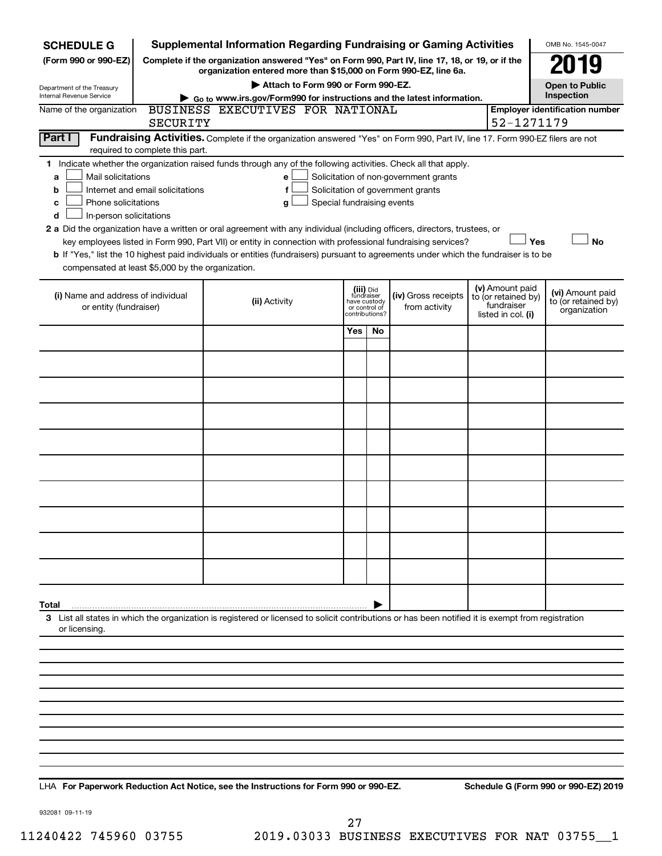| <b>SCHEDULE G</b>                                                                                                       | <b>Supplemental Information Regarding Fundraising or Gaming Activities</b>                                                                         |                               |                |                                       |                                   | OMB No. 1545-0047                     |
|-------------------------------------------------------------------------------------------------------------------------|----------------------------------------------------------------------------------------------------------------------------------------------------|-------------------------------|----------------|---------------------------------------|-----------------------------------|---------------------------------------|
| Complete if the organization answered "Yes" on Form 990, Part IV, line 17, 18, or 19, or if the<br>(Form 990 or 990-EZ) | 179                                                                                                                                                |                               |                |                                       |                                   |                                       |
| Department of the Treasury                                                                                              | organization entered more than \$15,000 on Form 990-EZ, line 6a.<br>Attach to Form 990 or Form 990-EZ.                                             |                               |                |                                       |                                   | <b>Open to Public</b>                 |
| Internal Revenue Service                                                                                                | Go to www.irs.gov/Form990 for instructions and the latest information.                                                                             |                               |                |                                       |                                   | Inspection                            |
| Name of the organization<br>SECURITY                                                                                    | BUSINESS EXECUTIVES FOR NATIONAL                                                                                                                   |                               |                |                                       | 52-1271179                        | <b>Employer identification number</b> |
| Part I                                                                                                                  | Fundraising Activities. Complete if the organization answered "Yes" on Form 990, Part IV, line 17. Form 990-EZ filers are not                      |                               |                |                                       |                                   |                                       |
| required to complete this part.                                                                                         |                                                                                                                                                    |                               |                |                                       |                                   |                                       |
| Mail solicitations<br>a                                                                                                 | 1 Indicate whether the organization raised funds through any of the following activities. Check all that apply.<br>е                               |                               |                | Solicitation of non-government grants |                                   |                                       |
| Internet and email solicitations<br>b                                                                                   | f                                                                                                                                                  |                               |                | Solicitation of government grants     |                                   |                                       |
| Phone solicitations<br>с                                                                                                | Special fundraising events<br>g                                                                                                                    |                               |                |                                       |                                   |                                       |
| In-person solicitations<br>d                                                                                            | 2 a Did the organization have a written or oral agreement with any individual (including officers, directors, trustees, or                         |                               |                |                                       |                                   |                                       |
|                                                                                                                         | key employees listed in Form 990, Part VII) or entity in connection with professional fundraising services?                                        |                               |                |                                       |                                   | Yes<br><b>No</b>                      |
|                                                                                                                         | b If "Yes," list the 10 highest paid individuals or entities (fundraisers) pursuant to agreements under which the fundraiser is to be              |                               |                |                                       |                                   |                                       |
| compensated at least \$5,000 by the organization.                                                                       |                                                                                                                                                    |                               |                |                                       |                                   |                                       |
| (i) Name and address of individual                                                                                      |                                                                                                                                                    | (iii) Did<br>fundraiser       |                | (iv) Gross receipts                   | (v) Amount paid                   | (vi) Amount paid                      |
| or entity (fundraiser)                                                                                                  | (ii) Activity                                                                                                                                      | have custody<br>or control of |                | from activity                         | to (or retained by)<br>fundraiser | to (or retained by)<br>organization   |
|                                                                                                                         |                                                                                                                                                    |                               | contributions? |                                       | listed in col. (i)                |                                       |
|                                                                                                                         |                                                                                                                                                    | Yes                           | No.            |                                       |                                   |                                       |
|                                                                                                                         |                                                                                                                                                    |                               |                |                                       |                                   |                                       |
|                                                                                                                         |                                                                                                                                                    |                               |                |                                       |                                   |                                       |
|                                                                                                                         |                                                                                                                                                    |                               |                |                                       |                                   |                                       |
|                                                                                                                         |                                                                                                                                                    |                               |                |                                       |                                   |                                       |
|                                                                                                                         |                                                                                                                                                    |                               |                |                                       |                                   |                                       |
|                                                                                                                         |                                                                                                                                                    |                               |                |                                       |                                   |                                       |
|                                                                                                                         |                                                                                                                                                    |                               |                |                                       |                                   |                                       |
|                                                                                                                         |                                                                                                                                                    |                               |                |                                       |                                   |                                       |
|                                                                                                                         |                                                                                                                                                    |                               |                |                                       |                                   |                                       |
|                                                                                                                         |                                                                                                                                                    |                               |                |                                       |                                   |                                       |
|                                                                                                                         |                                                                                                                                                    |                               |                |                                       |                                   |                                       |
| Total                                                                                                                   |                                                                                                                                                    |                               |                |                                       |                                   |                                       |
| or licensing.                                                                                                           | 3 List all states in which the organization is registered or licensed to solicit contributions or has been notified it is exempt from registration |                               |                |                                       |                                   |                                       |
|                                                                                                                         |                                                                                                                                                    |                               |                |                                       |                                   |                                       |
|                                                                                                                         |                                                                                                                                                    |                               |                |                                       |                                   |                                       |
|                                                                                                                         |                                                                                                                                                    |                               |                |                                       |                                   |                                       |
|                                                                                                                         |                                                                                                                                                    |                               |                |                                       |                                   |                                       |
|                                                                                                                         |                                                                                                                                                    |                               |                |                                       |                                   |                                       |
|                                                                                                                         |                                                                                                                                                    |                               |                |                                       |                                   |                                       |
|                                                                                                                         |                                                                                                                                                    |                               |                |                                       |                                   |                                       |

**For Paperwork Reduction Act Notice, see the Instructions for Form 990 or 990-EZ. Schedule G (Form 990 or 990-EZ) 2019** LHA

932081 09-11-19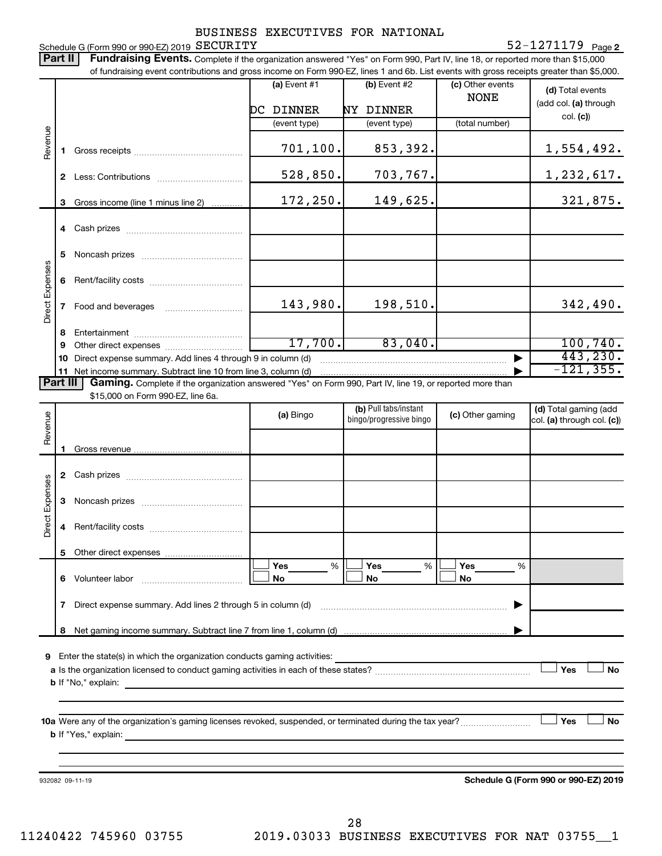#### **2** SECURITY 52-1271179

Schedule G (Form 990 or 990-EZ) 2019  $\rm \,SECURITY$ Part II | Fundraising Events. Complete if the organization answered "Yes" on Form 990, Part IV, line 18, or reported more than \$15,000 of fundraising event contributions and gross income on Form 990-EZ, lines 1 and 6b. List events with gross receipts greater than \$5,000. **(a)** Event  $#1$  **(b)** Event  $#2$ (c) Other events **(d)**  Total events NONE (add col. (a) through DC DINNER NY DINNER col. **(c)**) (event type) (event type) (total number) Revenue 701,100. 853,392. 1,554,492. **1** Gross receipts ~~~~~~~~~~~~~~ 528,850. 703,767. 1,232,617. **2** Less: Contributions ~~~~~~~~~~~ 172,250. 149,625. 321,875. **3** Gross income (line 1 minus line 2) . . . . . . . . . . . . **4** Cash prizes ~~~~~~~~~~~~~~~ **5** Noncash prizes ~~~~~~~~~~~~~ Direct Expenses Direct Expenses **6** Rent/facility costs ~~~~~~~~~~~~ 143,980. 198,510. 198,510. **7** Food and beverages **with the State Proof 8** Entertainment ~~~~~~~~~~~~~~ 17,700. 83,040. 100,740. **9** Other direct expenses  $\ldots$  **............................** 443,230. **10** Direct expense summary. Add lines 4 through 9 in column (d) ~~~~~~~~~~~~~~~~~~~~~~~~ | -121,355. **11** Net income summary. Subtract line 10 from line 3, column (d) | Part III Gaming. Complete if the organization answered "Yes" on Form 990, Part IV, line 19, or reported more than \$15,000 on Form 990-EZ, line 6a. (b) Pull tabs/instant (d) Total gaming (add Revenue **(a)** Bingo **a b**ingo/progressive bingo **(c)** Other gaming bingo/progressive bingo col. (a) through col. (c)) Gross revenue **1 2** Cash prizes ~~~~~~~~~~~~~~~ Direct Expenses Direct Expenses **3** Noncash prizes ~~~~~~~~~~~~~ **4** Rent/facility costs ~~~~~~~~~~~~ **5** Other direct expenses  $|\Box$  Yes  $\qquad \%$   $|\Box$  Yes  $\qquad \%$   $|\Box$ **Yes Yes Yes** % % %  $|\Box$  No  $|\Box$  No  $|\Box$ **6** Volunteer labor ~~~~~~~~~~~~~ **No No No 7** Direct expense summary. Add lines 2 through 5 in column (d) ~~~~~~~~~~~~~~~~~~~~~~~~ | **8** Net gaming income summary. Subtract line 7 from line 1, column (d) | **9** Enter the state(s) in which the organization conducts gaming activities:  $|$  Yes **Yes No a** Is the organization licensed to conduct gaming activities in each of these states? ~~~~~~~~~~~~~~~~~~~~ **b** If "No," explain: **10 a** Were any of the organization's gaming licenses revoked, suspended, or terminated during the tax year? ~~~~~~~~~ † † **Yes No b** If "Yes," explain: **Schedule G (Form 990 or 990-EZ) 2019** 932082 09-11-19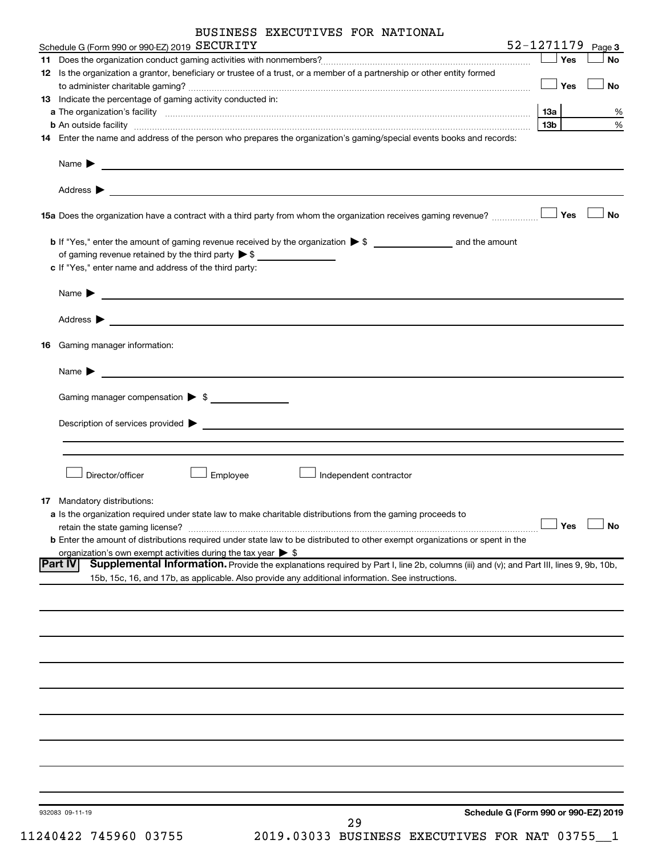|    | BUSINESS EXECUTIVES FOR NATIONAL                                                                                                                                                                                                                                                                                                       |                   |           |
|----|----------------------------------------------------------------------------------------------------------------------------------------------------------------------------------------------------------------------------------------------------------------------------------------------------------------------------------------|-------------------|-----------|
|    | Schedule G (Form 990 or 990-EZ) 2019 SECURITY                                                                                                                                                                                                                                                                                          | 52-1271179 Page 3 |           |
|    |                                                                                                                                                                                                                                                                                                                                        | $\Box$ Yes        | No        |
|    | 12 Is the organization a grantor, beneficiary or trustee of a trust, or a member of a partnership or other entity formed                                                                                                                                                                                                               |                   |           |
|    |                                                                                                                                                                                                                                                                                                                                        | $\Box$ Yes        | <b>No</b> |
|    | 13 Indicate the percentage of gaming activity conducted in:                                                                                                                                                                                                                                                                            |                   |           |
|    | <b>b</b> An outside facility <i>www.communicallycommunicallycommunicallycommunicallycommunicallycommunicallycommunicallycommunicallycommunicallycommunicallycommunicallycommunicallycommunicallycommunicallycommunicallycommunicallyc</i>                                                                                              | 1За<br>13b l      | %<br>$\%$ |
|    | 14 Enter the name and address of the person who prepares the organization's gaming/special events books and records:                                                                                                                                                                                                                   |                   |           |
|    | Name $\blacktriangleright$<br><u> 1989 - Johann Barbara, martxa alemaniar arg</u>                                                                                                                                                                                                                                                      |                   |           |
|    | Address $\blacktriangleright$                                                                                                                                                                                                                                                                                                          |                   |           |
|    | <b>15a</b> Does the organization have a contract with a third party from whom the organization receives gaming revenue? $\ldots$                                                                                                                                                                                                       |                   | <b>No</b> |
|    | of gaming revenue retained by the third party $\triangleright$ \$                                                                                                                                                                                                                                                                      |                   |           |
|    | c If "Yes," enter name and address of the third party:                                                                                                                                                                                                                                                                                 |                   |           |
|    | Name $\blacktriangleright$<br><u> 1989 - Johann John Stein, fransk politik (f. 1989)</u>                                                                                                                                                                                                                                               |                   |           |
|    | Address $\blacktriangleright$<br><u> 2002 - Jan Barristo, prima de la propia de la propia de la propia de la propia de la propia de la propia del</u>                                                                                                                                                                                  |                   |           |
| 16 | Gaming manager information:                                                                                                                                                                                                                                                                                                            |                   |           |
|    | Name $\blacktriangleright$                                                                                                                                                                                                                                                                                                             |                   |           |
|    | Gaming manager compensation > \$                                                                                                                                                                                                                                                                                                       |                   |           |
|    | Description of services provided $\blacktriangleright$                                                                                                                                                                                                                                                                                 |                   |           |
|    | Director/officer<br>Employee<br>Independent contractor<br>17 Mandatory distributions:<br>a Is the organization required under state law to make charitable distributions from the gaming proceeds to                                                                                                                                   |                   |           |
|    | retain the state gaming license?                                                                                                                                                                                                                                                                                                       | Yes               | <b>No</b> |
|    | <b>b</b> Enter the amount of distributions required under state law to be distributed to other exempt organizations or spent in the                                                                                                                                                                                                    |                   |           |
|    | organization's own exempt activities during the tax year $\triangleright$ \$<br> Part IV<br>Supplemental Information. Provide the explanations required by Part I, line 2b, columns (iii) and (v); and Part III, lines 9, 9b, 10b,<br>15b, 15c, 16, and 17b, as applicable. Also provide any additional information. See instructions. |                   |           |
|    |                                                                                                                                                                                                                                                                                                                                        |                   |           |
|    |                                                                                                                                                                                                                                                                                                                                        |                   |           |
|    |                                                                                                                                                                                                                                                                                                                                        |                   |           |
|    |                                                                                                                                                                                                                                                                                                                                        |                   |           |
|    |                                                                                                                                                                                                                                                                                                                                        |                   |           |
|    |                                                                                                                                                                                                                                                                                                                                        |                   |           |
|    |                                                                                                                                                                                                                                                                                                                                        |                   |           |
|    |                                                                                                                                                                                                                                                                                                                                        |                   |           |
|    | Schedule G (Form 990 or 990-EZ) 2019<br>932083 09-11-19                                                                                                                                                                                                                                                                                |                   |           |

11240422 745960 03755 2019.03033 BUSINESS EXECUTIVES FOR NAT 03755\_\_1 29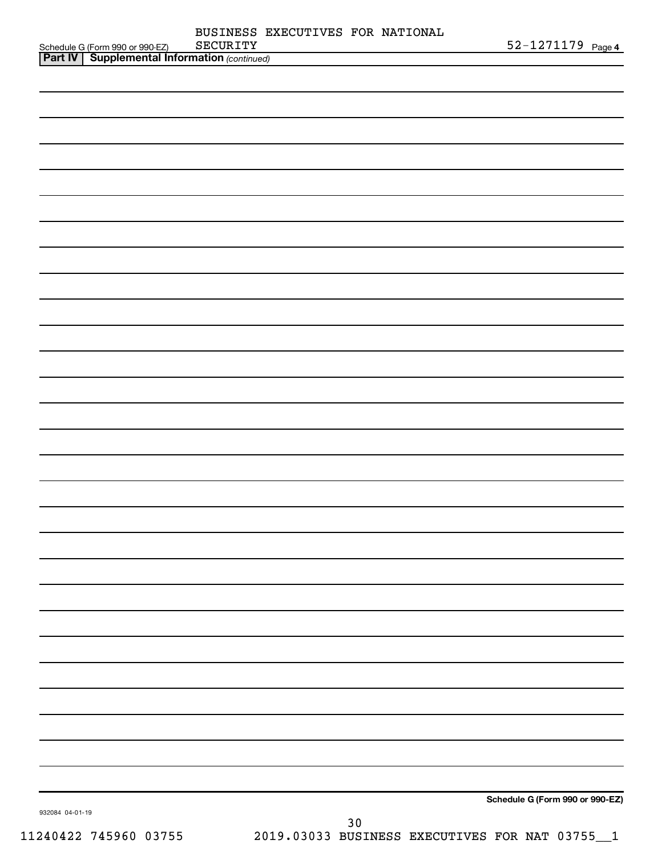|                                                                                                   | SECURITY | BUSINESS EXECUTIVES FOR NATIONAL | 52-1271179 Page 4               |
|---------------------------------------------------------------------------------------------------|----------|----------------------------------|---------------------------------|
| Schedule G (Form 990 or 990-EZ) SECURITY<br><b>Part IV   Supplemental Information</b> (continued) |          |                                  |                                 |
|                                                                                                   |          |                                  |                                 |
|                                                                                                   |          |                                  |                                 |
|                                                                                                   |          |                                  |                                 |
|                                                                                                   |          |                                  |                                 |
|                                                                                                   |          |                                  |                                 |
|                                                                                                   |          |                                  |                                 |
|                                                                                                   |          |                                  |                                 |
|                                                                                                   |          |                                  |                                 |
|                                                                                                   |          |                                  |                                 |
|                                                                                                   |          |                                  |                                 |
|                                                                                                   |          |                                  |                                 |
|                                                                                                   |          |                                  |                                 |
|                                                                                                   |          |                                  |                                 |
|                                                                                                   |          |                                  |                                 |
|                                                                                                   |          |                                  |                                 |
|                                                                                                   |          |                                  |                                 |
|                                                                                                   |          |                                  |                                 |
|                                                                                                   |          |                                  |                                 |
|                                                                                                   |          |                                  |                                 |
|                                                                                                   |          |                                  |                                 |
|                                                                                                   |          |                                  |                                 |
|                                                                                                   |          |                                  |                                 |
|                                                                                                   |          |                                  |                                 |
|                                                                                                   |          |                                  |                                 |
|                                                                                                   |          |                                  |                                 |
|                                                                                                   |          |                                  |                                 |
|                                                                                                   |          |                                  |                                 |
|                                                                                                   |          |                                  |                                 |
|                                                                                                   |          |                                  |                                 |
|                                                                                                   |          |                                  |                                 |
|                                                                                                   |          |                                  |                                 |
|                                                                                                   |          |                                  |                                 |
|                                                                                                   |          |                                  |                                 |
|                                                                                                   |          |                                  |                                 |
|                                                                                                   |          |                                  |                                 |
|                                                                                                   |          |                                  |                                 |
|                                                                                                   |          |                                  |                                 |
|                                                                                                   |          |                                  |                                 |
|                                                                                                   |          |                                  |                                 |
|                                                                                                   |          |                                  |                                 |
|                                                                                                   |          |                                  |                                 |
|                                                                                                   |          |                                  | Schedule G (Form 990 or 990-EZ) |
| 932084 04-01-19                                                                                   |          | $30$                             |                                 |
|                                                                                                   |          |                                  |                                 |

11240422 745960 03755 2019.03033 BUSINESS EXECUTIVES FOR NAT 03755\_\_1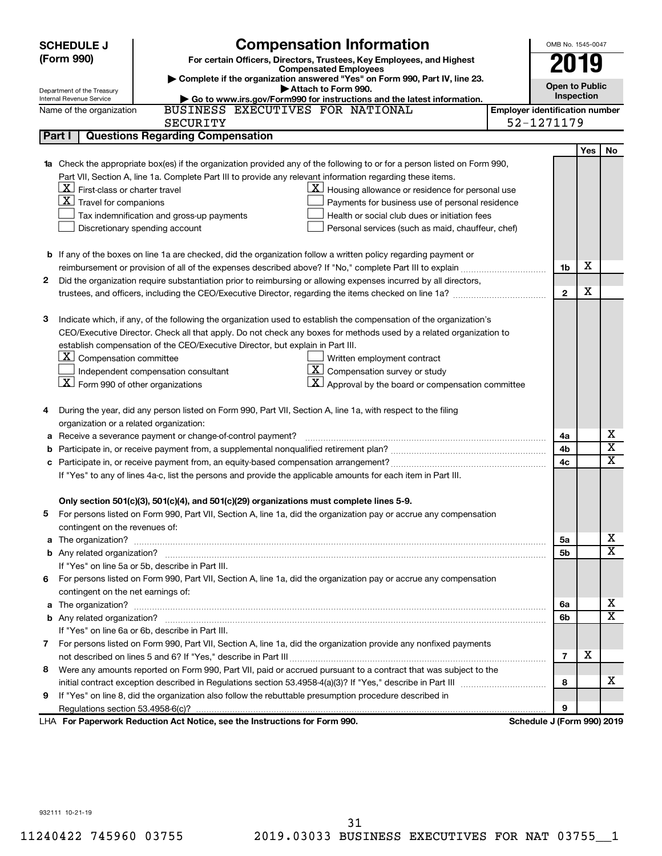|        | <b>SCHEDULE J</b>                                   | <b>Compensation Information</b>                                                                                           |                                       | OMB No. 1545-0047     |     |                         |
|--------|-----------------------------------------------------|---------------------------------------------------------------------------------------------------------------------------|---------------------------------------|-----------------------|-----|-------------------------|
|        | (Form 990)                                          | For certain Officers, Directors, Trustees, Key Employees, and Highest                                                     |                                       | 2019                  |     |                         |
|        |                                                     | <b>Compensated Employees</b>                                                                                              |                                       |                       |     |                         |
|        | Department of the Treasury                          | Complete if the organization answered "Yes" on Form 990, Part IV, line 23.<br>Attach to Form 990.                         |                                       | <b>Open to Public</b> |     |                         |
|        | Internal Revenue Service                            | Go to www.irs.gov/Form990 for instructions and the latest information.                                                    |                                       | Inspection            |     |                         |
|        | Name of the organization                            | BUSINESS EXECUTIVES FOR NATIONAL                                                                                          | <b>Employer identification number</b> |                       |     |                         |
|        |                                                     | <b>SECURITY</b>                                                                                                           | 52-1271179                            |                       |     |                         |
|        | Part I                                              | <b>Questions Regarding Compensation</b>                                                                                   |                                       |                       |     |                         |
|        |                                                     |                                                                                                                           |                                       |                       | Yes | No                      |
|        |                                                     | 1a Check the appropriate box(es) if the organization provided any of the following to or for a person listed on Form 990, |                                       |                       |     |                         |
|        |                                                     | Part VII, Section A, line 1a. Complete Part III to provide any relevant information regarding these items.                |                                       |                       |     |                         |
|        | $ \mathbf{X} $ First-class or charter travel        | $\underline{\textbf{X}}$ Housing allowance or residence for personal use                                                  |                                       |                       |     |                         |
|        | $ \mathbf{X} $ Travel for companions                | Payments for business use of personal residence                                                                           |                                       |                       |     |                         |
|        |                                                     | Health or social club dues or initiation fees<br>Tax indemnification and gross-up payments                                |                                       |                       |     |                         |
|        |                                                     | Discretionary spending account<br>Personal services (such as maid, chauffeur, chef)                                       |                                       |                       |     |                         |
|        |                                                     |                                                                                                                           |                                       |                       |     |                         |
|        |                                                     | <b>b</b> If any of the boxes on line 1a are checked, did the organization follow a written policy regarding payment or    |                                       |                       |     |                         |
|        |                                                     |                                                                                                                           |                                       | 1b                    | X   |                         |
| 2      |                                                     | Did the organization require substantiation prior to reimbursing or allowing expenses incurred by all directors,          |                                       |                       |     |                         |
|        |                                                     |                                                                                                                           |                                       | $\mathbf{2}$          | х   |                         |
|        |                                                     |                                                                                                                           |                                       |                       |     |                         |
| 3      |                                                     | Indicate which, if any, of the following the organization used to establish the compensation of the organization's        |                                       |                       |     |                         |
|        |                                                     | CEO/Executive Director. Check all that apply. Do not check any boxes for methods used by a related organization to        |                                       |                       |     |                         |
|        |                                                     | establish compensation of the CEO/Executive Director, but explain in Part III.                                            |                                       |                       |     |                         |
|        | $ \mathbf{X} $ Compensation committee               | Written employment contract                                                                                               |                                       |                       |     |                         |
|        |                                                     | $\mathbf{X}$ Compensation survey or study<br>Independent compensation consultant                                          |                                       |                       |     |                         |
|        | $\lfloor x \rfloor$ Form 990 of other organizations | $\vert X \vert$ Approval by the board or compensation committee                                                           |                                       |                       |     |                         |
|        |                                                     |                                                                                                                           |                                       |                       |     |                         |
| 4      |                                                     | During the year, did any person listed on Form 990, Part VII, Section A, line 1a, with respect to the filing              |                                       |                       |     |                         |
|        | organization or a related organization:             | Receive a severance payment or change-of-control payment?                                                                 |                                       | 4a                    |     | х                       |
| а<br>b |                                                     |                                                                                                                           |                                       | 4b                    |     | $\overline{\textbf{x}}$ |
| c      |                                                     |                                                                                                                           |                                       | 4c                    |     | X                       |
|        |                                                     | If "Yes" to any of lines 4a-c, list the persons and provide the applicable amounts for each item in Part III.             |                                       |                       |     |                         |
|        |                                                     |                                                                                                                           |                                       |                       |     |                         |
|        |                                                     | Only section 501(c)(3), 501(c)(4), and 501(c)(29) organizations must complete lines 5-9.                                  |                                       |                       |     |                         |
|        |                                                     | For persons listed on Form 990, Part VII, Section A, line 1a, did the organization pay or accrue any compensation         |                                       |                       |     |                         |
|        | contingent on the revenues of:                      |                                                                                                                           |                                       |                       |     |                         |
|        |                                                     |                                                                                                                           |                                       | 5a                    |     | х                       |
|        |                                                     |                                                                                                                           |                                       | 5b                    |     | $\overline{\mathbf{X}}$ |
|        |                                                     | If "Yes" on line 5a or 5b, describe in Part III.                                                                          |                                       |                       |     |                         |
| 6.     |                                                     | For persons listed on Form 990, Part VII, Section A, line 1a, did the organization pay or accrue any compensation         |                                       |                       |     |                         |
|        | contingent on the net earnings of:                  |                                                                                                                           |                                       |                       |     |                         |
|        |                                                     |                                                                                                                           |                                       | 6a                    |     | х                       |
|        |                                                     |                                                                                                                           |                                       | 6b                    |     | х                       |
|        |                                                     | If "Yes" on line 6a or 6b, describe in Part III.                                                                          |                                       |                       |     |                         |
|        |                                                     | 7 For persons listed on Form 990, Part VII, Section A, line 1a, did the organization provide any nonfixed payments        |                                       |                       |     |                         |
|        |                                                     |                                                                                                                           |                                       | $\overline{7}$        | X   |                         |
| 8      |                                                     | Were any amounts reported on Form 990, Part VII, paid or accrued pursuant to a contract that was subject to the           |                                       |                       |     |                         |
|        |                                                     |                                                                                                                           |                                       | 8                     |     | x                       |
| 9      |                                                     | If "Yes" on line 8, did the organization also follow the rebuttable presumption procedure described in                    |                                       |                       |     |                         |
|        |                                                     |                                                                                                                           |                                       | 9                     |     |                         |
|        |                                                     | LHA For Paperwork Reduction Act Notice, see the Instructions for Form 990.                                                | Schedule J (Form 990) 2019            |                       |     |                         |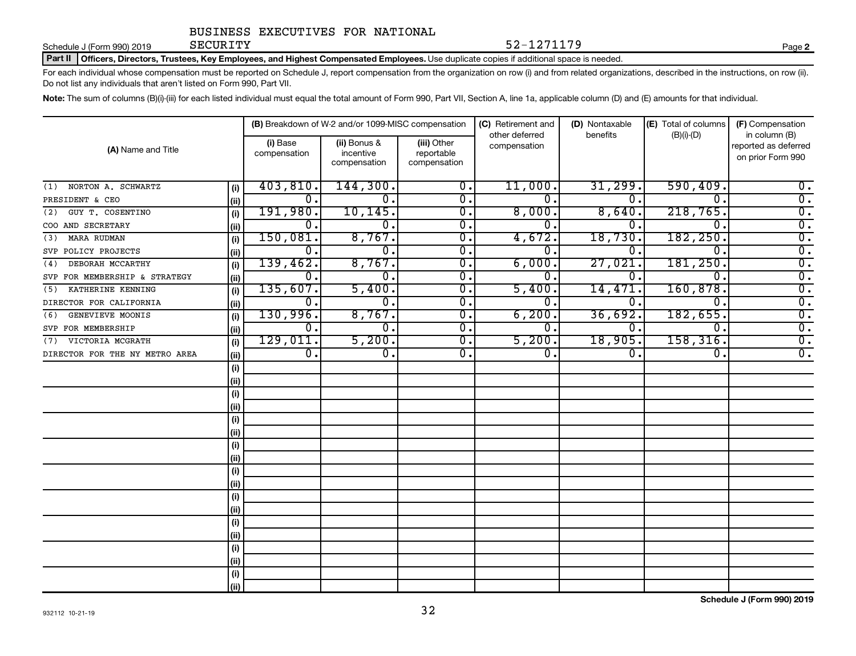Schedule J (Form 990) 2019 **Page SECURITY** 

Part II | Officers, Directors, Trustees, Key Employees, and Highest Compensated Employees. Use duplicate copies if additional space is needed.

For each individual whose compensation must be reported on Schedule J, report compensation from the organization on row (i) and from related organizations, described in the instructions, on row (ii). Do not list any individuals that aren't listed on Form 990, Part VII.

SECURITY 52-1271179

Note: The sum of columns (B)(i)-(iii) for each listed individual must equal the total amount of Form 990, Part VII, Section A, line 1a, applicable column (D) and (E) amounts for that individual.

| (A) Name and Title             |      |                           | (B) Breakdown of W-2 and/or 1099-MISC compensation |                                           | (C) Retirement and             | (D) Nontaxable   | (E) Total of columns | (F) Compensation                                           |  |
|--------------------------------|------|---------------------------|----------------------------------------------------|-------------------------------------------|--------------------------------|------------------|----------------------|------------------------------------------------------------|--|
|                                |      | (i) Base<br>compensation  | (ii) Bonus &<br>incentive<br>compensation          | (iii) Other<br>reportable<br>compensation | other deferred<br>compensation | benefits         | $(B)(i)$ - $(D)$     | in column (B)<br>reported as deferred<br>on prior Form 990 |  |
| NORTON A. SCHWARTZ<br>(1)      | (i)  | 403,810.                  | 144,300.                                           | $\overline{0}$ .                          | 11,000.                        | 31,299.          | 590, 409.            | $0$ .                                                      |  |
| PRESIDENT & CEO                | (i)  | $\mathbf 0$ .             | 0.                                                 | 0.                                        | 0                              | $\mathbf 0$ .    | $\Omega$ .           | $\overline{0}$ .                                           |  |
| GUY T. COSENTINO<br>(2)        | (i)  | 191,980.                  | 10, 145.                                           | $\overline{0}$ .                          | 8,000.                         | 8,640.           | 218,765.             | $\overline{0}$ .                                           |  |
| COO AND SECRETARY              | (ii) | 0.                        | 0.                                                 | $\overline{0}$ .                          | 0.                             | $0$ .            | $\Omega$ .           | $\overline{0}$ .                                           |  |
| <b>MARA RUDMAN</b><br>(3)      | (i)  | 150,081.                  | 8,767.                                             | $\overline{0}$ .                          | 4,672.                         | 18,730.          | 182, 250.            | $\overline{0}$ .                                           |  |
| SVP POLICY PROJECTS            | (ii) | 0.                        | 0.                                                 | $\overline{0}$ .                          | 0                              | 0.               | $\Omega$ .           | $\overline{0}$ .                                           |  |
| DEBORAH MCCARTHY<br>(4)        | (i)  | 139,462.                  | 8,767.                                             | $\overline{0}$ .                          | 6,000.                         | 27,021           | 181, 250.            | $\overline{0}$ .                                           |  |
| SVP FOR MEMBERSHIP & STRATEGY  | (i)  | 0.                        | 0.                                                 | $\overline{0}$ .                          | $\Omega$ .                     | $\Omega$ .       | $\Omega$             | $\overline{0}$ .                                           |  |
| KATHERINE KENNING<br>(5)       | (i)  | 135,607.                  | 5,400.                                             | $\overline{\mathfrak{o}}$ .               | 5,400.                         | 14,471           | 160,878.             | $\overline{0}$ .                                           |  |
| DIRECTOR FOR CALIFORNIA        | (ii) | 0.                        | $\overline{0}$ .                                   | $\overline{\mathfrak{o}}$ .               | $\mathbf{0}$ .                 | $\mathbf 0$ .    | $\overline{0}$       | $\overline{0}$ .                                           |  |
| GENEVIEVE MOONIS<br>(6)        | (i)  | 130,996.                  | 8,767.                                             | $\overline{\mathfrak{o}}$ .               | 6, 200.                        | 36,692.          | 182,655.             | $\overline{0}$ .                                           |  |
| SVP FOR MEMBERSHIP             | (i)  | $\overline{\mathbf{0}}$ . | $\overline{\mathfrak{o}}$ .                        | $\overline{0}$ .                          | $\overline{0}$ .               | Ο.               | $^{\rm o}$ .         | $\overline{0}$ .                                           |  |
| VICTORIA MCGRATH<br>(7)        | (i)  | 129,011.                  | 5,200.                                             | $\overline{0}$ .                          | 5,200.                         | 18,905.          | 158, 316.            | $\overline{0}$ .                                           |  |
| DIRECTOR FOR THE NY METRO AREA | (i)  | $\overline{0}$ .          | $\overline{0}$ .                                   | $\overline{0}$ .                          | $\overline{0}$ .               | $\overline{0}$ . | 0.                   | $\overline{0}$ .                                           |  |
|                                | (i)  |                           |                                                    |                                           |                                |                  |                      |                                                            |  |
|                                | (i)  |                           |                                                    |                                           |                                |                  |                      |                                                            |  |
|                                | (i)  |                           |                                                    |                                           |                                |                  |                      |                                                            |  |
|                                | (i)  |                           |                                                    |                                           |                                |                  |                      |                                                            |  |
|                                | (i)  |                           |                                                    |                                           |                                |                  |                      |                                                            |  |
|                                | (ii) |                           |                                                    |                                           |                                |                  |                      |                                                            |  |
|                                | (i)  |                           |                                                    |                                           |                                |                  |                      |                                                            |  |
|                                | (i)  |                           |                                                    |                                           |                                |                  |                      |                                                            |  |
|                                | (i)  |                           |                                                    |                                           |                                |                  |                      |                                                            |  |
|                                | (i)  |                           |                                                    |                                           |                                |                  |                      |                                                            |  |
|                                | (i)  |                           |                                                    |                                           |                                |                  |                      |                                                            |  |
|                                | (i)  |                           |                                                    |                                           |                                |                  |                      |                                                            |  |
|                                | (i)  |                           |                                                    |                                           |                                |                  |                      |                                                            |  |
|                                | (ii) |                           |                                                    |                                           |                                |                  |                      |                                                            |  |
|                                | (i)  |                           |                                                    |                                           |                                |                  |                      |                                                            |  |
|                                | (i)  |                           |                                                    |                                           |                                |                  |                      |                                                            |  |
|                                | (i)  |                           |                                                    |                                           |                                |                  |                      |                                                            |  |
|                                | (ii) |                           |                                                    |                                           |                                |                  |                      |                                                            |  |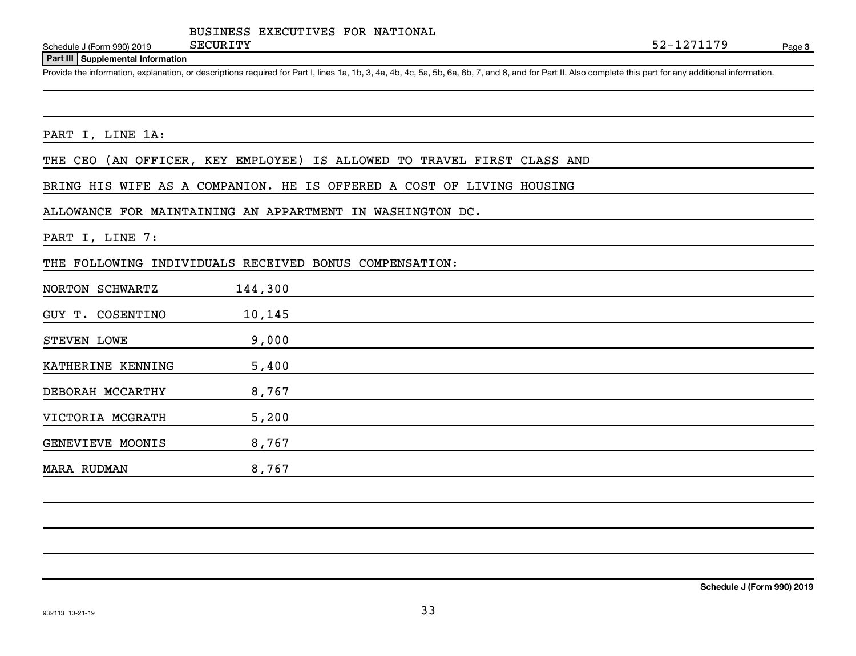Schedule J (Form 990) 2019 **Page SECURITY** 

#### **Part III Supplemental Information**

Provide the information, explanation, or descriptions required for Part I, lines 1a, 1b, 3, 4a, 4b, 4c, 5a, 5b, 6a, 6b, 7, and 8, and for Part II. Also complete this part for any additional information.

#### PART I, LINE 1A:

THE CEO (AN OFFICER, KEY EMPLOYEE) IS ALLOWED TO TRAVEL FIRST CLASS AND

BRING HIS WIFE AS A COMPANION. HE IS OFFERED A COST OF LIVING HOUSING

ALLOWANCE FOR MAINTAINING AN APPARTMENT IN WASHINGTON DC.

#### PART I, LINE 7:

THE FOLLOWING INDIVIDUALS RECEIVED BONUS COMPENSATION:

| NORTON SCHWARTZ    | 144,300 |  |  |
|--------------------|---------|--|--|
| GUY T. COSENTINO   | 10,145  |  |  |
| STEVEN LOWE        | 9,000   |  |  |
| KATHERINE KENNING  | 5,400   |  |  |
| DEBORAH MCCARTHY   | 8,767   |  |  |
| VICTORIA MCGRATH   | 5,200   |  |  |
| GENEVIEVE MOONIS   | 8,767   |  |  |
| <b>MARA RUDMAN</b> | 8,767   |  |  |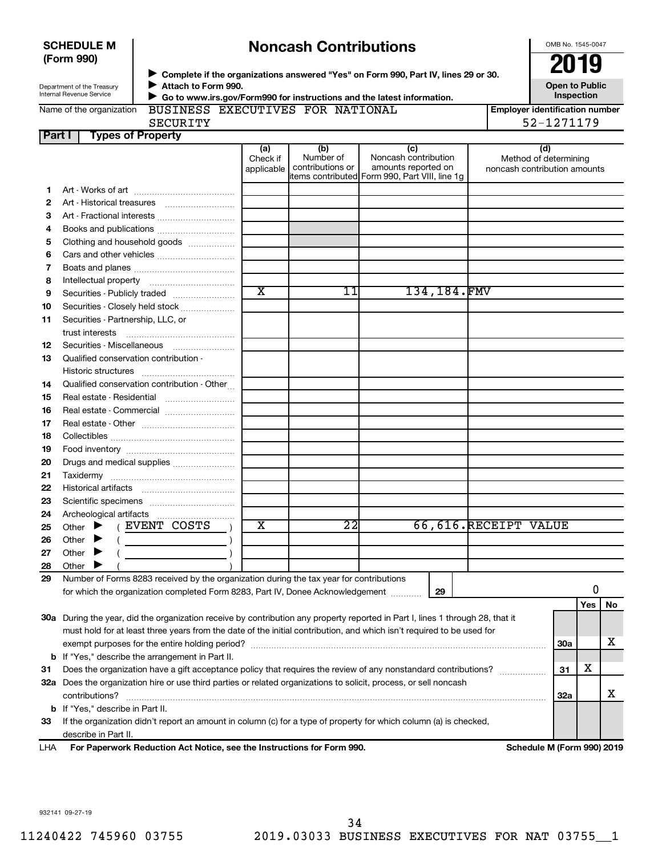| <b>SCHEDULE M</b> |  |
|-------------------|--|
| (Form 990)        |  |

# **Noncash Contributions**

OMB No. 1545-0047

| Department of the Treasury |
|----------------------------|
| Internal Revenue Service   |

◆ Complete if the organizations answered "Yes" on Form 990, Part IV, lines 29 or 30.<br>▶ Complete if the organizations answered "Yes" on Form 990, Part IV, lines 29 or 30. **Attach to Form 990. Go to www.irs.gov/Form990 for instructions and the latest information.**  $\blacktriangleright$  $\blacktriangleright$ 

**Open to Public Inspection**

|  |  |  | Name of the organization |  |
|--|--|--|--------------------------|--|
|--|--|--|--------------------------|--|

BUSINESS EXECUTIVES FOR NATIONAL

| <b>Employer identification number</b> |
|---------------------------------------|
| 52-1271179                            |

**Part I Types of Property** SECURITY 52-1271179

|     | i jihadi di Turumiy                                                                                                            |  |                               |                                                                                        |                                                    |             |                              |                              |     |    |
|-----|--------------------------------------------------------------------------------------------------------------------------------|--|-------------------------------|----------------------------------------------------------------------------------------|----------------------------------------------------|-------------|------------------------------|------------------------------|-----|----|
|     |                                                                                                                                |  | (a)<br>Check if<br>applicable | (b)<br>Number of<br>contributions or<br>items contributed Form 990, Part VIII, line 1g | (c)<br>Noncash contribution<br>amounts reported on |             | noncash contribution amounts | (d)<br>Method of determining |     |    |
| 1.  |                                                                                                                                |  |                               |                                                                                        |                                                    |             |                              |                              |     |    |
| 2   |                                                                                                                                |  |                               |                                                                                        |                                                    |             |                              |                              |     |    |
| З   |                                                                                                                                |  |                               |                                                                                        |                                                    |             |                              |                              |     |    |
| 4   | Books and publications                                                                                                         |  |                               |                                                                                        |                                                    |             |                              |                              |     |    |
| 5   | Clothing and household goods                                                                                                   |  |                               |                                                                                        |                                                    |             |                              |                              |     |    |
| 6   |                                                                                                                                |  |                               |                                                                                        |                                                    |             |                              |                              |     |    |
|     |                                                                                                                                |  |                               |                                                                                        |                                                    |             |                              |                              |     |    |
| 7   |                                                                                                                                |  |                               |                                                                                        |                                                    |             |                              |                              |     |    |
| 8   |                                                                                                                                |  | $\overline{\text{x}}$         | 11                                                                                     |                                                    | 134,184.FMV |                              |                              |     |    |
| 9   | Securities - Publicly traded                                                                                                   |  |                               |                                                                                        |                                                    |             |                              |                              |     |    |
| 10  | Securities - Closely held stock                                                                                                |  |                               |                                                                                        |                                                    |             |                              |                              |     |    |
| 11  | Securities - Partnership, LLC, or                                                                                              |  |                               |                                                                                        |                                                    |             |                              |                              |     |    |
|     | trust interests                                                                                                                |  |                               |                                                                                        |                                                    |             |                              |                              |     |    |
| 12  | Securities Miscellaneous                                                                                                       |  |                               |                                                                                        |                                                    |             |                              |                              |     |    |
| 13  | Qualified conservation contribution -                                                                                          |  |                               |                                                                                        |                                                    |             |                              |                              |     |    |
|     | Historic structures                                                                                                            |  |                               |                                                                                        |                                                    |             |                              |                              |     |    |
| 14  | Qualified conservation contribution - Other                                                                                    |  |                               |                                                                                        |                                                    |             |                              |                              |     |    |
| 15  | Real estate - Residential                                                                                                      |  |                               |                                                                                        |                                                    |             |                              |                              |     |    |
| 16  | Real estate - Commercial                                                                                                       |  |                               |                                                                                        |                                                    |             |                              |                              |     |    |
| 17  |                                                                                                                                |  |                               |                                                                                        |                                                    |             |                              |                              |     |    |
| 18  |                                                                                                                                |  |                               |                                                                                        |                                                    |             |                              |                              |     |    |
| 19  |                                                                                                                                |  |                               |                                                                                        |                                                    |             |                              |                              |     |    |
| 20  | Drugs and medical supplies                                                                                                     |  |                               |                                                                                        |                                                    |             |                              |                              |     |    |
| 21  |                                                                                                                                |  |                               |                                                                                        |                                                    |             |                              |                              |     |    |
| 22  |                                                                                                                                |  |                               |                                                                                        |                                                    |             |                              |                              |     |    |
| 23  |                                                                                                                                |  |                               |                                                                                        |                                                    |             |                              |                              |     |    |
| 24  |                                                                                                                                |  |                               |                                                                                        |                                                    |             |                              |                              |     |    |
| 25  | (EVENT COSTS<br>Other $\blacktriangleright$                                                                                    |  | $\overline{\textbf{x}}$       | $\overline{22}$                                                                        |                                                    |             | 66,616.RECEIPT VALUE         |                              |     |    |
| 26  | Other $\blacktriangleright$                                                                                                    |  |                               |                                                                                        |                                                    |             |                              |                              |     |    |
| 27  | Other $\blacktriangleright$                                                                                                    |  |                               |                                                                                        |                                                    |             |                              |                              |     |    |
| 28  | Other $\blacktriangleright$                                                                                                    |  |                               |                                                                                        |                                                    |             |                              |                              |     |    |
| 29  | Number of Forms 8283 received by the organization during the tax year for contributions                                        |  |                               |                                                                                        |                                                    |             |                              |                              |     |    |
|     | for which the organization completed Form 8283, Part IV, Donee Acknowledgement                                                 |  |                               |                                                                                        |                                                    | 29          |                              |                              | 0   |    |
|     |                                                                                                                                |  |                               |                                                                                        |                                                    |             |                              |                              | Yes | No |
|     |                                                                                                                                |  |                               |                                                                                        |                                                    |             |                              |                              |     |    |
|     | 30a During the year, did the organization receive by contribution any property reported in Part I, lines 1 through 28, that it |  |                               |                                                                                        |                                                    |             |                              |                              |     |    |
|     | must hold for at least three years from the date of the initial contribution, and which isn't required to be used for          |  |                               |                                                                                        |                                                    |             |                              |                              | x   |    |
|     |                                                                                                                                |  |                               |                                                                                        |                                                    |             | 30a                          |                              |     |    |
|     | <b>b</b> If "Yes," describe the arrangement in Part II.                                                                        |  |                               |                                                                                        |                                                    |             |                              | х                            |     |    |
| 31  | Does the organization have a gift acceptance policy that requires the review of any nonstandard contributions?                 |  |                               |                                                                                        |                                                    |             | 31                           |                              |     |    |
|     | 32a Does the organization hire or use third parties or related organizations to solicit, process, or sell noncash              |  |                               |                                                                                        |                                                    |             |                              |                              |     |    |
|     | contributions?<br>32a                                                                                                          |  |                               |                                                                                        |                                                    |             | х                            |                              |     |    |
|     | <b>b</b> If "Yes," describe in Part II.                                                                                        |  |                               |                                                                                        |                                                    |             |                              |                              |     |    |
| 33  | If the organization didn't report an amount in column (c) for a type of property for which column (a) is checked,              |  |                               |                                                                                        |                                                    |             |                              |                              |     |    |
|     | describe in Part II.                                                                                                           |  |                               |                                                                                        |                                                    |             |                              |                              |     |    |
| LHA | For Paperwork Reduction Act Notice, see the Instructions for Form 990.                                                         |  |                               |                                                                                        |                                                    |             |                              | Schedule M (Form 990) 2019   |     |    |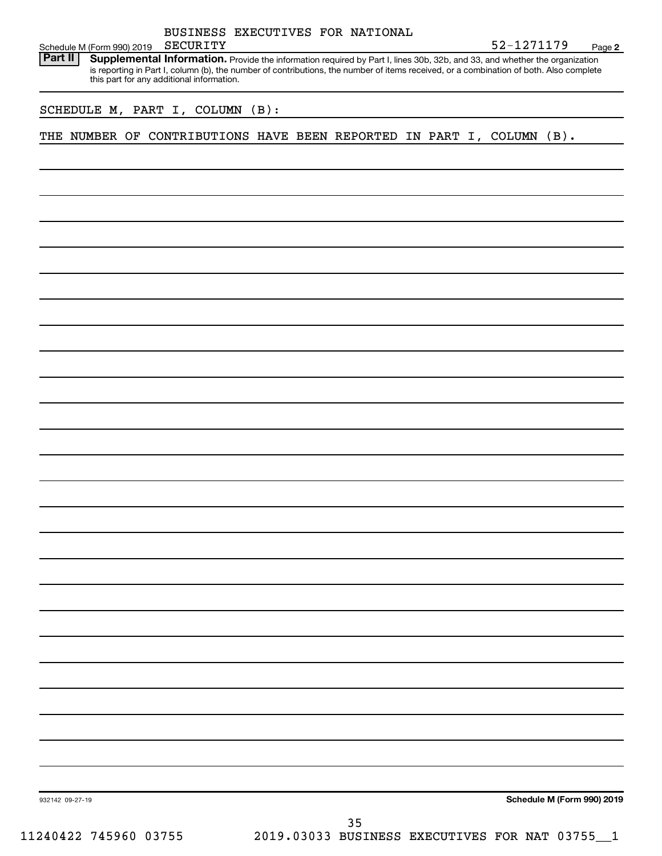| BUSINESS EXECUTIVES FOR NATIONAL                                                                                                                                                                                                                                                                                  |                            |
|-------------------------------------------------------------------------------------------------------------------------------------------------------------------------------------------------------------------------------------------------------------------------------------------------------------------|----------------------------|
| <b>SECURITY</b><br>Schedule M (Form 990) 2019<br>Part II                                                                                                                                                                                                                                                          | 52-1271179<br>Page 2       |
| Supplemental Information. Provide the information required by Part I, lines 30b, 32b, and 33, and whether the organization<br>is reporting in Part I, column (b), the number of contributions, the number of items received, or a combination of both. Also complete<br>this part for any additional information. |                            |
| SCHEDULE M, PART I, COLUMN (B):                                                                                                                                                                                                                                                                                   |                            |
| THE NUMBER OF CONTRIBUTIONS HAVE BEEN REPORTED IN PART I, COLUMN (B).                                                                                                                                                                                                                                             |                            |
|                                                                                                                                                                                                                                                                                                                   |                            |
|                                                                                                                                                                                                                                                                                                                   |                            |
|                                                                                                                                                                                                                                                                                                                   |                            |
|                                                                                                                                                                                                                                                                                                                   |                            |
|                                                                                                                                                                                                                                                                                                                   |                            |
|                                                                                                                                                                                                                                                                                                                   |                            |
|                                                                                                                                                                                                                                                                                                                   |                            |
|                                                                                                                                                                                                                                                                                                                   |                            |
|                                                                                                                                                                                                                                                                                                                   |                            |
|                                                                                                                                                                                                                                                                                                                   |                            |
|                                                                                                                                                                                                                                                                                                                   |                            |
|                                                                                                                                                                                                                                                                                                                   |                            |
|                                                                                                                                                                                                                                                                                                                   |                            |
|                                                                                                                                                                                                                                                                                                                   |                            |
|                                                                                                                                                                                                                                                                                                                   |                            |
|                                                                                                                                                                                                                                                                                                                   |                            |
|                                                                                                                                                                                                                                                                                                                   |                            |
|                                                                                                                                                                                                                                                                                                                   |                            |
|                                                                                                                                                                                                                                                                                                                   |                            |
|                                                                                                                                                                                                                                                                                                                   |                            |
|                                                                                                                                                                                                                                                                                                                   |                            |
|                                                                                                                                                                                                                                                                                                                   |                            |
| 932142 09-27-19                                                                                                                                                                                                                                                                                                   | Schedule M (Form 990) 2019 |
|                                                                                                                                                                                                                                                                                                                   |                            |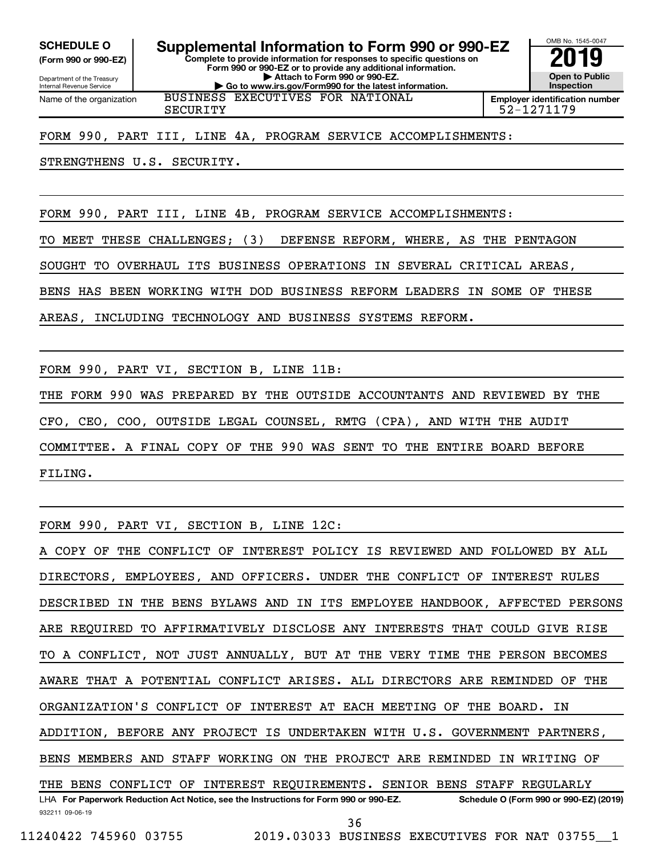**(Form 990 or 990-EZ)**

**Complete to provide information for responses to specific questions on Form 990 or 990-EZ or to provide any additional information. | Attach to Form 990 or 990-EZ. | Go to www.irs.gov/Form990 for the latest information. SCHEDULE O Supplemental Information to Form 990 or 990-EZ 2019** 

Department of the Treasury Internal Revenue Service Name of the organization

BUSINESS EXECUTIVES FOR NATIONAL

**Employer identification number** SECURITY 52-1271179

OMB No. 1545-0047

**Open to Public Inspection**

FORM 990, PART III, LINE 4A, PROGRAM SERVICE ACCOMPLISHMENTS:

STRENGTHENS U.S. SECURITY.

FORM 990, PART III, LINE 4B, PROGRAM SERVICE ACCOMPLISHMENTS:

TO MEET THESE CHALLENGES; (3) DEFENSE REFORM, WHERE, AS THE PENTAGON

SOUGHT TO OVERHAUL ITS BUSINESS OPERATIONS IN SEVERAL CRITICAL AREAS,

BENS HAS BEEN WORKING WITH DOD BUSINESS REFORM LEADERS IN SOME OF THESE

AREAS, INCLUDING TECHNOLOGY AND BUSINESS SYSTEMS REFORM.

FORM 990, PART VI, SECTION B, LINE 11B:

THE FORM 990 WAS PREPARED BY THE OUTSIDE ACCOUNTANTS AND REVIEWED BY THE CFO, CEO, COO, OUTSIDE LEGAL COUNSEL, RMTG (CPA), AND WITH THE AUDIT COMMITTEE. A FINAL COPY OF THE 990 WAS SENT TO THE ENTIRE BOARD BEFORE FILING.

FORM 990, PART VI, SECTION B, LINE 12C:

932211 09-06-19 LHA For Paperwork Reduction Act Notice, see the Instructions for Form 990 or 990-EZ. Schedule O (Form 990 or 990-EZ) (2019) COPY OF THE CONFLICT OF INTEREST POLICY IS REVIEWED AND FOLLOWED BY ALL DIRECTORS, EMPLOYEES, AND OFFICERS. UNDER THE CONFLICT OF INTEREST RULES DESCRIBED IN THE BENS BYLAWS AND IN ITS EMPLOYEE HANDBOOK, AFFECTED PERSONS ARE REQUIRED TO AFFIRMATIVELY DISCLOSE ANY INTERESTS THAT COULD GIVE RISE TO A CONFLICT, NOT JUST ANNUALLY, BUT AT THE VERY TIME THE PERSON BECOMES AWARE THAT A POTENTIAL CONFLICT ARISES. ALL DIRECTORS ARE REMINDED OF THE ORGANIZATION'S CONFLICT OF INTEREST AT EACH MEETING OF THE BOARD. IN ADDITION, BEFORE ANY PROJECT IS UNDERTAKEN WITH U.S. GOVERNMENT PARTNERS, BENS MEMBERS AND STAFF WORKING ON THE PROJECT ARE REMINDED IN WRITING OF THE BENS CONFLICT OF INTEREST REQUIREMENTS. SENIOR BENS STAFF REGULARLY 36